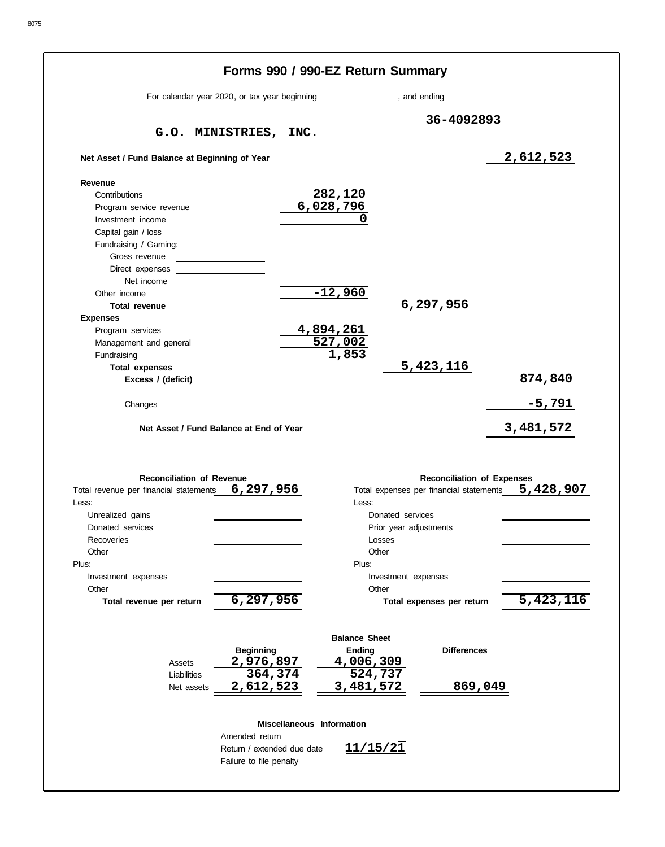|                                               | Forms 990 / 990-EZ Return Summary             |                                       |                                         |           |
|-----------------------------------------------|-----------------------------------------------|---------------------------------------|-----------------------------------------|-----------|
|                                               | For calendar year 2020, or tax year beginning |                                       | , and ending                            |           |
|                                               |                                               |                                       | 36-4092893                              |           |
|                                               | G.O. MINISTRIES, INC.                         |                                       |                                         |           |
| Net Asset / Fund Balance at Beginning of Year |                                               |                                       |                                         | 2,612,523 |
| Revenue                                       |                                               |                                       |                                         |           |
| Contributions                                 |                                               | 282,120                               |                                         |           |
| Program service revenue                       |                                               | 6,028,796                             |                                         |           |
| Investment income<br>Capital gain / loss      |                                               | O                                     |                                         |           |
| Fundraising / Gaming:                         |                                               |                                       |                                         |           |
| Gross revenue                                 |                                               |                                       |                                         |           |
| Direct expenses                               |                                               |                                       |                                         |           |
| Net income                                    |                                               |                                       |                                         |           |
| Other income                                  |                                               | $-12,960$                             |                                         |           |
| <b>Total revenue</b>                          |                                               |                                       | 6,297,956                               |           |
| <b>Expenses</b>                               |                                               |                                       |                                         |           |
| Program services                              |                                               | 4,894,261<br>527,002                  |                                         |           |
| Management and general<br>Fundraising         |                                               | 1,853                                 |                                         |           |
| <b>Total expenses</b>                         |                                               |                                       | 5,423,116                               |           |
| Excess / (deficit)                            |                                               |                                       |                                         | 874,840   |
| Changes                                       |                                               |                                       |                                         | -5,791    |
|                                               |                                               |                                       |                                         |           |
|                                               | Net Asset / Fund Balance at End of Year       |                                       |                                         | 3,481,572 |
|                                               |                                               |                                       |                                         |           |
|                                               |                                               |                                       |                                         |           |
| <b>Reconciliation of Revenue</b>              |                                               |                                       | <b>Reconciliation of Expenses</b>       |           |
| Total revenue per financial statements        | 6,297,956                                     |                                       | Total expenses per financial statements | 5,428,907 |
| Less:                                         |                                               | Less:                                 |                                         |           |
| Unrealized gains                              |                                               |                                       | Donated services                        |           |
| Donated services                              |                                               |                                       | Prior year adjustments                  |           |
| Recoveries                                    |                                               |                                       | Losses                                  |           |
| Other                                         |                                               | Other                                 |                                         |           |
| Plus:                                         |                                               | Plus:                                 |                                         |           |
| Investment expenses                           |                                               | Other                                 | Investment expenses                     |           |
| Other<br>Total revenue per return             | 6,297,956                                     |                                       | Total expenses per return               | 5,423,116 |
|                                               |                                               |                                       |                                         |           |
|                                               |                                               |                                       |                                         |           |
|                                               | <b>Beginning</b>                              | <b>Balance Sheet</b><br><b>Ending</b> | <b>Differences</b>                      |           |
| Assets                                        | 2,976,897                                     | 4,006,309                             |                                         |           |
| Liabilities                                   | 364,374                                       | 524,737                               |                                         |           |
| Net assets                                    | 2,612,523                                     | 3,481,572                             | 869,049                                 |           |
|                                               |                                               |                                       |                                         |           |
|                                               |                                               | Miscellaneous Information             |                                         |           |
|                                               | Amended return                                |                                       |                                         |           |
|                                               | Return / extended due date                    | 11/15/21                              |                                         |           |
|                                               | Failure to file penalty                       |                                       |                                         |           |
|                                               |                                               |                                       |                                         |           |
|                                               |                                               |                                       |                                         |           |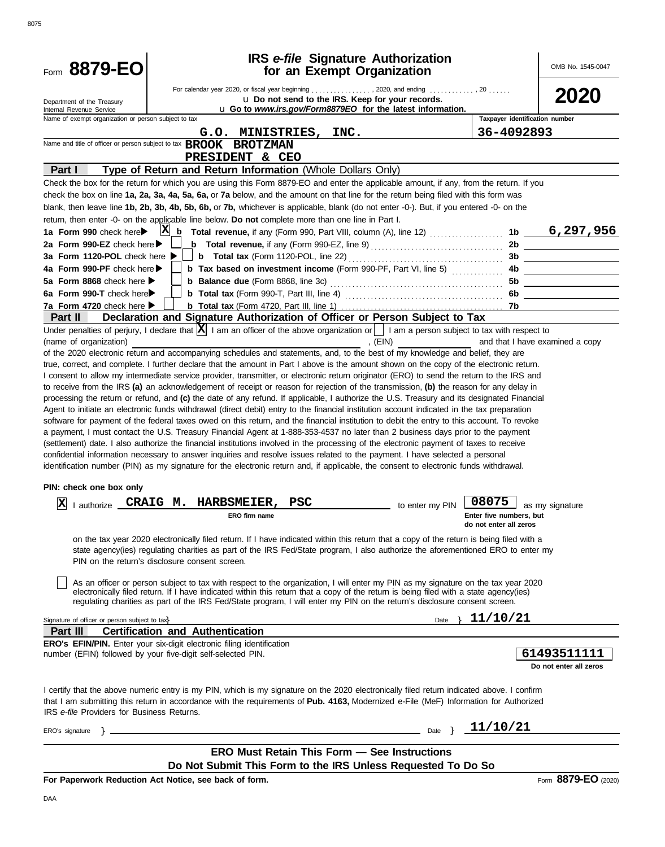| 2020<br>u Do not send to the IRS. Keep for your records.<br>Department of the Treasury<br>u Go to www.irs.gov/Form8879EO for the latest information.<br>Internal Revenue Service<br>Taxpayer identification number<br>Name of exempt organization or person subject to tax<br>36-4092893<br>G.O. MINISTRIES, INC.<br>Name and title of officer or person subject to tax <b>BROOK</b> BROTZMAN<br>PRESIDENT & CEO<br>Type of Return and Return Information (Whole Dollars Only)<br>Part I<br>Check the box for the return for which you are using this Form 8879-EO and enter the applicable amount, if any, from the return. If you<br>check the box on line 1a, 2a, 3a, 4a, 5a, 6a, or 7a below, and the amount on that line for the return being filed with this form was<br>blank, then leave line 1b, 2b, 3b, 4b, 5b, 6b, or 7b, whichever is applicable, blank (do not enter -0-). But, if you entered -0- on the<br>return, then enter -0- on the applicable line below. Do not complete more than one line in Part I.<br>$X_{b}$ Total revenue, if any (Form 990, Part VIII, column (A), line 12)  1b 6, 297, 956<br>1a Form 990 check here<br><b>b</b> Total revenue, if any (Form 990-EZ, line 9) $\ldots$ $\ldots$ $\ldots$ $\ldots$ $\ldots$ $\ldots$<br>2a Form 990-EZ check here▶<br>3a Form 1120-POL check here $\blacktriangleright$<br><b>b</b> Total tax (Form 1120-POL, line 22) $\ldots$ $\ldots$ $\ldots$ $\ldots$ $\ldots$ $\ldots$<br>4a Form 990-PF check here ▶<br><b>b</b> Tax based on investment income (Form 990-PF, Part VI, line 5)<br>5a Form 8868 check here $\blacktriangleright$<br>6a Form 990-T check here<br>7a Form 4720 check here $\blacktriangleright$<br>7b.<br>Declaration and Signature Authorization of Officer or Person Subject to Tax<br>Part II<br>Under penalties of perjury, I declare that $ \mathbf{X} $ I am an officer of the above organization or $  \cdot  $ I am a person subject to tax with respect to<br>E(N)<br>and that I have examined a copy<br>(name of organization)<br>of the 2020 electronic return and accompanying schedules and statements, and, to the best of my knowledge and belief, they are<br>true, correct, and complete. I further declare that the amount in Part I above is the amount shown on the copy of the electronic return.<br>I consent to allow my intermediate service provider, transmitter, or electronic return originator (ERO) to send the return to the IRS and<br>to receive from the IRS (a) an acknowledgement of receipt or reason for rejection of the transmission, (b) the reason for any delay in<br>processing the return or refund, and (c) the date of any refund. If applicable, I authorize the U.S. Treasury and its designated Financial<br>Agent to initiate an electronic funds withdrawal (direct debit) entry to the financial institution account indicated in the tax preparation<br>software for payment of the federal taxes owed on this return, and the financial institution to debit the entry to this account. To revoke<br>a payment, I must contact the U.S. Treasury Financial Agent at 1-888-353-4537 no later than 2 business days prior to the payment<br>(settlement) date. I also authorize the financial institutions involved in the processing of the electronic payment of taxes to receive<br>confidential information necessary to answer inquiries and resolve issues related to the payment. I have selected a personal<br>identification number (PIN) as my signature for the electronic return and, if applicable, the consent to electronic funds withdrawal.<br>PIN: check one box only<br>to enter my PIN $\boxed{08075}$ as my signature<br>$\overline{v}$ .<br>CRAIG M.<br>HARBSMEIER,<br><b>PSC</b><br>the company of the company<br>I authorize<br>▵<br>Enter five numbers, but<br>ERO firm name<br>do not enter all zeros<br>on the tax year 2020 electronically filed return. If I have indicated within this return that a copy of the return is being filed with a<br>state agency(ies) regulating charities as part of the IRS Fed/State program, I also authorize the aforementioned ERO to enter my<br>PIN on the return's disclosure consent screen.<br>As an officer or person subject to tax with respect to the organization, I will enter my PIN as my signature on the tax year 2020<br>electronically filed return. If I have indicated within this return that a copy of the return is being filed with a state agency(ies)<br>regulating charities as part of the IRS Fed/State program, I will enter my PIN on the return's disclosure consent screen.<br>11/10/21<br>Signature of officer or person subject to tax<br>Date<br>the control of the control of the control of the control of the control of<br><b>Certification and Authentication</b><br>Part III<br><b>ERO's EFIN/PIN.</b> Enter your six-digit electronic filing identification<br>number (EFIN) followed by your five-digit self-selected PIN.<br>61493511111<br>Do not enter all zeros<br>I certify that the above numeric entry is my PIN, which is my signature on the 2020 electronically filed return indicated above. I confirm<br>that I am submitting this return in accordance with the requirements of Pub. 4163, Modernized e-File (MeF) Information for Authorized<br>IRS e-file Providers for Business Returns.<br>11/10/21<br><u> 1980 - Johann Barbara, martxa alemaniar arg</u><br>Date }<br>ERO's signature<br><b>ERO Must Retain This Form - See Instructions</b><br>Do Not Submit This Form to the IRS Unless Requested To Do So<br>For Paperwork Reduction Act Notice, see back of form. | Form 8879-EO |  | <b>IRS</b> e-file Signature Authorization<br>for an Exempt Organization |  | OMB No. 1545-0047   |
|----------------------------------------------------------------------------------------------------------------------------------------------------------------------------------------------------------------------------------------------------------------------------------------------------------------------------------------------------------------------------------------------------------------------------------------------------------------------------------------------------------------------------------------------------------------------------------------------------------------------------------------------------------------------------------------------------------------------------------------------------------------------------------------------------------------------------------------------------------------------------------------------------------------------------------------------------------------------------------------------------------------------------------------------------------------------------------------------------------------------------------------------------------------------------------------------------------------------------------------------------------------------------------------------------------------------------------------------------------------------------------------------------------------------------------------------------------------------------------------------------------------------------------------------------------------------------------------------------------------------------------------------------------------------------------------------------------------------------------------------------------------------------------------------------------------------------------------------------------------------------------------------------------------------------------------------------------------------------------------------------------------------------------------------------------------------------------------------------------------------------------------------------------------------------------------------------------------------------------------------------------------------------------------------------------------------------------------------------------------------------------------------------------------------------------------------------------------------------------------------------------------------------------------------------------------------------------------------------------------------------------------------------------------------------------------------------------------------------------------------------------------------------------------------------------------------------------------------------------------------------------------------------------------------------------------------------------------------------------------------------------------------------------------------------------------------------------------------------------------------------------------------------------------------------------------------------------------------------------------------------------------------------------------------------------------------------------------------------------------------------------------------------------------------------------------------------------------------------------------------------------------------------------------------------------------------------------------------------------------------------------------------------------------------------------------------------------------------------------------------------------------------------------------------------------------------------------------------------------------------------------------------------------------------------------------------------------------------------------------------------------------------------------------------------------------------------------------------------------------------------------------------------------------------------------------------------------------------------------------------------------------------------------------------------------------------------------------------------------------------------------------------------------------------------------------------------------------------------------------------------------------------------------------------------------------------------------------------------------------------------------------------------------------------------------------------------------------------------------------------------------------------------------------------------------------------------------------------------------------------------------------------------------------------------------------------------------------------------------------------------------------------------------------------------------------------------------------------------------------------------------------------------------------------------------------------------------------------------------------------------------------------------------------------------------------------------------------------------------------------------------------------------------------------------------------------------------------------------------------------------------------------------------------------------------------------------------------------------------------------------------------------------------|--------------|--|-------------------------------------------------------------------------|--|---------------------|
|                                                                                                                                                                                                                                                                                                                                                                                                                                                                                                                                                                                                                                                                                                                                                                                                                                                                                                                                                                                                                                                                                                                                                                                                                                                                                                                                                                                                                                                                                                                                                                                                                                                                                                                                                                                                                                                                                                                                                                                                                                                                                                                                                                                                                                                                                                                                                                                                                                                                                                                                                                                                                                                                                                                                                                                                                                                                                                                                                                                                                                                                                                                                                                                                                                                                                                                                                                                                                                                                                                                                                                                                                                                                                                                                                                                                                                                                                                                                                                                                                                                                                                                                                                                                                                                                                                                                                                                                                                                                                                                                                                                                                                                                                                                                                                                                                                                                                                                                                                                                                                                                                                                                                                                                                                                                                                                                                                                                                                                                                                                                                                                                                                                          |              |  |                                                                         |  |                     |
| 5b                                                                                                                                                                                                                                                                                                                                                                                                                                                                                                                                                                                                                                                                                                                                                                                                                                                                                                                                                                                                                                                                                                                                                                                                                                                                                                                                                                                                                                                                                                                                                                                                                                                                                                                                                                                                                                                                                                                                                                                                                                                                                                                                                                                                                                                                                                                                                                                                                                                                                                                                                                                                                                                                                                                                                                                                                                                                                                                                                                                                                                                                                                                                                                                                                                                                                                                                                                                                                                                                                                                                                                                                                                                                                                                                                                                                                                                                                                                                                                                                                                                                                                                                                                                                                                                                                                                                                                                                                                                                                                                                                                                                                                                                                                                                                                                                                                                                                                                                                                                                                                                                                                                                                                                                                                                                                                                                                                                                                                                                                                                                                                                                                                                       |              |  |                                                                         |  |                     |
|                                                                                                                                                                                                                                                                                                                                                                                                                                                                                                                                                                                                                                                                                                                                                                                                                                                                                                                                                                                                                                                                                                                                                                                                                                                                                                                                                                                                                                                                                                                                                                                                                                                                                                                                                                                                                                                                                                                                                                                                                                                                                                                                                                                                                                                                                                                                                                                                                                                                                                                                                                                                                                                                                                                                                                                                                                                                                                                                                                                                                                                                                                                                                                                                                                                                                                                                                                                                                                                                                                                                                                                                                                                                                                                                                                                                                                                                                                                                                                                                                                                                                                                                                                                                                                                                                                                                                                                                                                                                                                                                                                                                                                                                                                                                                                                                                                                                                                                                                                                                                                                                                                                                                                                                                                                                                                                                                                                                                                                                                                                                                                                                                                                          |              |  |                                                                         |  |                     |
|                                                                                                                                                                                                                                                                                                                                                                                                                                                                                                                                                                                                                                                                                                                                                                                                                                                                                                                                                                                                                                                                                                                                                                                                                                                                                                                                                                                                                                                                                                                                                                                                                                                                                                                                                                                                                                                                                                                                                                                                                                                                                                                                                                                                                                                                                                                                                                                                                                                                                                                                                                                                                                                                                                                                                                                                                                                                                                                                                                                                                                                                                                                                                                                                                                                                                                                                                                                                                                                                                                                                                                                                                                                                                                                                                                                                                                                                                                                                                                                                                                                                                                                                                                                                                                                                                                                                                                                                                                                                                                                                                                                                                                                                                                                                                                                                                                                                                                                                                                                                                                                                                                                                                                                                                                                                                                                                                                                                                                                                                                                                                                                                                                                          |              |  |                                                                         |  |                     |
|                                                                                                                                                                                                                                                                                                                                                                                                                                                                                                                                                                                                                                                                                                                                                                                                                                                                                                                                                                                                                                                                                                                                                                                                                                                                                                                                                                                                                                                                                                                                                                                                                                                                                                                                                                                                                                                                                                                                                                                                                                                                                                                                                                                                                                                                                                                                                                                                                                                                                                                                                                                                                                                                                                                                                                                                                                                                                                                                                                                                                                                                                                                                                                                                                                                                                                                                                                                                                                                                                                                                                                                                                                                                                                                                                                                                                                                                                                                                                                                                                                                                                                                                                                                                                                                                                                                                                                                                                                                                                                                                                                                                                                                                                                                                                                                                                                                                                                                                                                                                                                                                                                                                                                                                                                                                                                                                                                                                                                                                                                                                                                                                                                                          |              |  |                                                                         |  |                     |
|                                                                                                                                                                                                                                                                                                                                                                                                                                                                                                                                                                                                                                                                                                                                                                                                                                                                                                                                                                                                                                                                                                                                                                                                                                                                                                                                                                                                                                                                                                                                                                                                                                                                                                                                                                                                                                                                                                                                                                                                                                                                                                                                                                                                                                                                                                                                                                                                                                                                                                                                                                                                                                                                                                                                                                                                                                                                                                                                                                                                                                                                                                                                                                                                                                                                                                                                                                                                                                                                                                                                                                                                                                                                                                                                                                                                                                                                                                                                                                                                                                                                                                                                                                                                                                                                                                                                                                                                                                                                                                                                                                                                                                                                                                                                                                                                                                                                                                                                                                                                                                                                                                                                                                                                                                                                                                                                                                                                                                                                                                                                                                                                                                                          |              |  |                                                                         |  |                     |
|                                                                                                                                                                                                                                                                                                                                                                                                                                                                                                                                                                                                                                                                                                                                                                                                                                                                                                                                                                                                                                                                                                                                                                                                                                                                                                                                                                                                                                                                                                                                                                                                                                                                                                                                                                                                                                                                                                                                                                                                                                                                                                                                                                                                                                                                                                                                                                                                                                                                                                                                                                                                                                                                                                                                                                                                                                                                                                                                                                                                                                                                                                                                                                                                                                                                                                                                                                                                                                                                                                                                                                                                                                                                                                                                                                                                                                                                                                                                                                                                                                                                                                                                                                                                                                                                                                                                                                                                                                                                                                                                                                                                                                                                                                                                                                                                                                                                                                                                                                                                                                                                                                                                                                                                                                                                                                                                                                                                                                                                                                                                                                                                                                                          |              |  |                                                                         |  |                     |
|                                                                                                                                                                                                                                                                                                                                                                                                                                                                                                                                                                                                                                                                                                                                                                                                                                                                                                                                                                                                                                                                                                                                                                                                                                                                                                                                                                                                                                                                                                                                                                                                                                                                                                                                                                                                                                                                                                                                                                                                                                                                                                                                                                                                                                                                                                                                                                                                                                                                                                                                                                                                                                                                                                                                                                                                                                                                                                                                                                                                                                                                                                                                                                                                                                                                                                                                                                                                                                                                                                                                                                                                                                                                                                                                                                                                                                                                                                                                                                                                                                                                                                                                                                                                                                                                                                                                                                                                                                                                                                                                                                                                                                                                                                                                                                                                                                                                                                                                                                                                                                                                                                                                                                                                                                                                                                                                                                                                                                                                                                                                                                                                                                                          |              |  |                                                                         |  |                     |
|                                                                                                                                                                                                                                                                                                                                                                                                                                                                                                                                                                                                                                                                                                                                                                                                                                                                                                                                                                                                                                                                                                                                                                                                                                                                                                                                                                                                                                                                                                                                                                                                                                                                                                                                                                                                                                                                                                                                                                                                                                                                                                                                                                                                                                                                                                                                                                                                                                                                                                                                                                                                                                                                                                                                                                                                                                                                                                                                                                                                                                                                                                                                                                                                                                                                                                                                                                                                                                                                                                                                                                                                                                                                                                                                                                                                                                                                                                                                                                                                                                                                                                                                                                                                                                                                                                                                                                                                                                                                                                                                                                                                                                                                                                                                                                                                                                                                                                                                                                                                                                                                                                                                                                                                                                                                                                                                                                                                                                                                                                                                                                                                                                                          |              |  |                                                                         |  |                     |
|                                                                                                                                                                                                                                                                                                                                                                                                                                                                                                                                                                                                                                                                                                                                                                                                                                                                                                                                                                                                                                                                                                                                                                                                                                                                                                                                                                                                                                                                                                                                                                                                                                                                                                                                                                                                                                                                                                                                                                                                                                                                                                                                                                                                                                                                                                                                                                                                                                                                                                                                                                                                                                                                                                                                                                                                                                                                                                                                                                                                                                                                                                                                                                                                                                                                                                                                                                                                                                                                                                                                                                                                                                                                                                                                                                                                                                                                                                                                                                                                                                                                                                                                                                                                                                                                                                                                                                                                                                                                                                                                                                                                                                                                                                                                                                                                                                                                                                                                                                                                                                                                                                                                                                                                                                                                                                                                                                                                                                                                                                                                                                                                                                                          |              |  |                                                                         |  |                     |
|                                                                                                                                                                                                                                                                                                                                                                                                                                                                                                                                                                                                                                                                                                                                                                                                                                                                                                                                                                                                                                                                                                                                                                                                                                                                                                                                                                                                                                                                                                                                                                                                                                                                                                                                                                                                                                                                                                                                                                                                                                                                                                                                                                                                                                                                                                                                                                                                                                                                                                                                                                                                                                                                                                                                                                                                                                                                                                                                                                                                                                                                                                                                                                                                                                                                                                                                                                                                                                                                                                                                                                                                                                                                                                                                                                                                                                                                                                                                                                                                                                                                                                                                                                                                                                                                                                                                                                                                                                                                                                                                                                                                                                                                                                                                                                                                                                                                                                                                                                                                                                                                                                                                                                                                                                                                                                                                                                                                                                                                                                                                                                                                                                                          |              |  |                                                                         |  |                     |
|                                                                                                                                                                                                                                                                                                                                                                                                                                                                                                                                                                                                                                                                                                                                                                                                                                                                                                                                                                                                                                                                                                                                                                                                                                                                                                                                                                                                                                                                                                                                                                                                                                                                                                                                                                                                                                                                                                                                                                                                                                                                                                                                                                                                                                                                                                                                                                                                                                                                                                                                                                                                                                                                                                                                                                                                                                                                                                                                                                                                                                                                                                                                                                                                                                                                                                                                                                                                                                                                                                                                                                                                                                                                                                                                                                                                                                                                                                                                                                                                                                                                                                                                                                                                                                                                                                                                                                                                                                                                                                                                                                                                                                                                                                                                                                                                                                                                                                                                                                                                                                                                                                                                                                                                                                                                                                                                                                                                                                                                                                                                                                                                                                                          |              |  |                                                                         |  |                     |
|                                                                                                                                                                                                                                                                                                                                                                                                                                                                                                                                                                                                                                                                                                                                                                                                                                                                                                                                                                                                                                                                                                                                                                                                                                                                                                                                                                                                                                                                                                                                                                                                                                                                                                                                                                                                                                                                                                                                                                                                                                                                                                                                                                                                                                                                                                                                                                                                                                                                                                                                                                                                                                                                                                                                                                                                                                                                                                                                                                                                                                                                                                                                                                                                                                                                                                                                                                                                                                                                                                                                                                                                                                                                                                                                                                                                                                                                                                                                                                                                                                                                                                                                                                                                                                                                                                                                                                                                                                                                                                                                                                                                                                                                                                                                                                                                                                                                                                                                                                                                                                                                                                                                                                                                                                                                                                                                                                                                                                                                                                                                                                                                                                                          |              |  |                                                                         |  |                     |
|                                                                                                                                                                                                                                                                                                                                                                                                                                                                                                                                                                                                                                                                                                                                                                                                                                                                                                                                                                                                                                                                                                                                                                                                                                                                                                                                                                                                                                                                                                                                                                                                                                                                                                                                                                                                                                                                                                                                                                                                                                                                                                                                                                                                                                                                                                                                                                                                                                                                                                                                                                                                                                                                                                                                                                                                                                                                                                                                                                                                                                                                                                                                                                                                                                                                                                                                                                                                                                                                                                                                                                                                                                                                                                                                                                                                                                                                                                                                                                                                                                                                                                                                                                                                                                                                                                                                                                                                                                                                                                                                                                                                                                                                                                                                                                                                                                                                                                                                                                                                                                                                                                                                                                                                                                                                                                                                                                                                                                                                                                                                                                                                                                                          |              |  |                                                                         |  |                     |
|                                                                                                                                                                                                                                                                                                                                                                                                                                                                                                                                                                                                                                                                                                                                                                                                                                                                                                                                                                                                                                                                                                                                                                                                                                                                                                                                                                                                                                                                                                                                                                                                                                                                                                                                                                                                                                                                                                                                                                                                                                                                                                                                                                                                                                                                                                                                                                                                                                                                                                                                                                                                                                                                                                                                                                                                                                                                                                                                                                                                                                                                                                                                                                                                                                                                                                                                                                                                                                                                                                                                                                                                                                                                                                                                                                                                                                                                                                                                                                                                                                                                                                                                                                                                                                                                                                                                                                                                                                                                                                                                                                                                                                                                                                                                                                                                                                                                                                                                                                                                                                                                                                                                                                                                                                                                                                                                                                                                                                                                                                                                                                                                                                                          |              |  |                                                                         |  |                     |
|                                                                                                                                                                                                                                                                                                                                                                                                                                                                                                                                                                                                                                                                                                                                                                                                                                                                                                                                                                                                                                                                                                                                                                                                                                                                                                                                                                                                                                                                                                                                                                                                                                                                                                                                                                                                                                                                                                                                                                                                                                                                                                                                                                                                                                                                                                                                                                                                                                                                                                                                                                                                                                                                                                                                                                                                                                                                                                                                                                                                                                                                                                                                                                                                                                                                                                                                                                                                                                                                                                                                                                                                                                                                                                                                                                                                                                                                                                                                                                                                                                                                                                                                                                                                                                                                                                                                                                                                                                                                                                                                                                                                                                                                                                                                                                                                                                                                                                                                                                                                                                                                                                                                                                                                                                                                                                                                                                                                                                                                                                                                                                                                                                                          |              |  |                                                                         |  |                     |
|                                                                                                                                                                                                                                                                                                                                                                                                                                                                                                                                                                                                                                                                                                                                                                                                                                                                                                                                                                                                                                                                                                                                                                                                                                                                                                                                                                                                                                                                                                                                                                                                                                                                                                                                                                                                                                                                                                                                                                                                                                                                                                                                                                                                                                                                                                                                                                                                                                                                                                                                                                                                                                                                                                                                                                                                                                                                                                                                                                                                                                                                                                                                                                                                                                                                                                                                                                                                                                                                                                                                                                                                                                                                                                                                                                                                                                                                                                                                                                                                                                                                                                                                                                                                                                                                                                                                                                                                                                                                                                                                                                                                                                                                                                                                                                                                                                                                                                                                                                                                                                                                                                                                                                                                                                                                                                                                                                                                                                                                                                                                                                                                                                                          |              |  |                                                                         |  |                     |
|                                                                                                                                                                                                                                                                                                                                                                                                                                                                                                                                                                                                                                                                                                                                                                                                                                                                                                                                                                                                                                                                                                                                                                                                                                                                                                                                                                                                                                                                                                                                                                                                                                                                                                                                                                                                                                                                                                                                                                                                                                                                                                                                                                                                                                                                                                                                                                                                                                                                                                                                                                                                                                                                                                                                                                                                                                                                                                                                                                                                                                                                                                                                                                                                                                                                                                                                                                                                                                                                                                                                                                                                                                                                                                                                                                                                                                                                                                                                                                                                                                                                                                                                                                                                                                                                                                                                                                                                                                                                                                                                                                                                                                                                                                                                                                                                                                                                                                                                                                                                                                                                                                                                                                                                                                                                                                                                                                                                                                                                                                                                                                                                                                                          |              |  |                                                                         |  |                     |
|                                                                                                                                                                                                                                                                                                                                                                                                                                                                                                                                                                                                                                                                                                                                                                                                                                                                                                                                                                                                                                                                                                                                                                                                                                                                                                                                                                                                                                                                                                                                                                                                                                                                                                                                                                                                                                                                                                                                                                                                                                                                                                                                                                                                                                                                                                                                                                                                                                                                                                                                                                                                                                                                                                                                                                                                                                                                                                                                                                                                                                                                                                                                                                                                                                                                                                                                                                                                                                                                                                                                                                                                                                                                                                                                                                                                                                                                                                                                                                                                                                                                                                                                                                                                                                                                                                                                                                                                                                                                                                                                                                                                                                                                                                                                                                                                                                                                                                                                                                                                                                                                                                                                                                                                                                                                                                                                                                                                                                                                                                                                                                                                                                                          |              |  |                                                                         |  |                     |
|                                                                                                                                                                                                                                                                                                                                                                                                                                                                                                                                                                                                                                                                                                                                                                                                                                                                                                                                                                                                                                                                                                                                                                                                                                                                                                                                                                                                                                                                                                                                                                                                                                                                                                                                                                                                                                                                                                                                                                                                                                                                                                                                                                                                                                                                                                                                                                                                                                                                                                                                                                                                                                                                                                                                                                                                                                                                                                                                                                                                                                                                                                                                                                                                                                                                                                                                                                                                                                                                                                                                                                                                                                                                                                                                                                                                                                                                                                                                                                                                                                                                                                                                                                                                                                                                                                                                                                                                                                                                                                                                                                                                                                                                                                                                                                                                                                                                                                                                                                                                                                                                                                                                                                                                                                                                                                                                                                                                                                                                                                                                                                                                                                                          |              |  |                                                                         |  |                     |
|                                                                                                                                                                                                                                                                                                                                                                                                                                                                                                                                                                                                                                                                                                                                                                                                                                                                                                                                                                                                                                                                                                                                                                                                                                                                                                                                                                                                                                                                                                                                                                                                                                                                                                                                                                                                                                                                                                                                                                                                                                                                                                                                                                                                                                                                                                                                                                                                                                                                                                                                                                                                                                                                                                                                                                                                                                                                                                                                                                                                                                                                                                                                                                                                                                                                                                                                                                                                                                                                                                                                                                                                                                                                                                                                                                                                                                                                                                                                                                                                                                                                                                                                                                                                                                                                                                                                                                                                                                                                                                                                                                                                                                                                                                                                                                                                                                                                                                                                                                                                                                                                                                                                                                                                                                                                                                                                                                                                                                                                                                                                                                                                                                                          |              |  |                                                                         |  |                     |
|                                                                                                                                                                                                                                                                                                                                                                                                                                                                                                                                                                                                                                                                                                                                                                                                                                                                                                                                                                                                                                                                                                                                                                                                                                                                                                                                                                                                                                                                                                                                                                                                                                                                                                                                                                                                                                                                                                                                                                                                                                                                                                                                                                                                                                                                                                                                                                                                                                                                                                                                                                                                                                                                                                                                                                                                                                                                                                                                                                                                                                                                                                                                                                                                                                                                                                                                                                                                                                                                                                                                                                                                                                                                                                                                                                                                                                                                                                                                                                                                                                                                                                                                                                                                                                                                                                                                                                                                                                                                                                                                                                                                                                                                                                                                                                                                                                                                                                                                                                                                                                                                                                                                                                                                                                                                                                                                                                                                                                                                                                                                                                                                                                                          |              |  |                                                                         |  |                     |
|                                                                                                                                                                                                                                                                                                                                                                                                                                                                                                                                                                                                                                                                                                                                                                                                                                                                                                                                                                                                                                                                                                                                                                                                                                                                                                                                                                                                                                                                                                                                                                                                                                                                                                                                                                                                                                                                                                                                                                                                                                                                                                                                                                                                                                                                                                                                                                                                                                                                                                                                                                                                                                                                                                                                                                                                                                                                                                                                                                                                                                                                                                                                                                                                                                                                                                                                                                                                                                                                                                                                                                                                                                                                                                                                                                                                                                                                                                                                                                                                                                                                                                                                                                                                                                                                                                                                                                                                                                                                                                                                                                                                                                                                                                                                                                                                                                                                                                                                                                                                                                                                                                                                                                                                                                                                                                                                                                                                                                                                                                                                                                                                                                                          |              |  |                                                                         |  |                     |
|                                                                                                                                                                                                                                                                                                                                                                                                                                                                                                                                                                                                                                                                                                                                                                                                                                                                                                                                                                                                                                                                                                                                                                                                                                                                                                                                                                                                                                                                                                                                                                                                                                                                                                                                                                                                                                                                                                                                                                                                                                                                                                                                                                                                                                                                                                                                                                                                                                                                                                                                                                                                                                                                                                                                                                                                                                                                                                                                                                                                                                                                                                                                                                                                                                                                                                                                                                                                                                                                                                                                                                                                                                                                                                                                                                                                                                                                                                                                                                                                                                                                                                                                                                                                                                                                                                                                                                                                                                                                                                                                                                                                                                                                                                                                                                                                                                                                                                                                                                                                                                                                                                                                                                                                                                                                                                                                                                                                                                                                                                                                                                                                                                                          |              |  |                                                                         |  |                     |
|                                                                                                                                                                                                                                                                                                                                                                                                                                                                                                                                                                                                                                                                                                                                                                                                                                                                                                                                                                                                                                                                                                                                                                                                                                                                                                                                                                                                                                                                                                                                                                                                                                                                                                                                                                                                                                                                                                                                                                                                                                                                                                                                                                                                                                                                                                                                                                                                                                                                                                                                                                                                                                                                                                                                                                                                                                                                                                                                                                                                                                                                                                                                                                                                                                                                                                                                                                                                                                                                                                                                                                                                                                                                                                                                                                                                                                                                                                                                                                                                                                                                                                                                                                                                                                                                                                                                                                                                                                                                                                                                                                                                                                                                                                                                                                                                                                                                                                                                                                                                                                                                                                                                                                                                                                                                                                                                                                                                                                                                                                                                                                                                                                                          |              |  |                                                                         |  |                     |
|                                                                                                                                                                                                                                                                                                                                                                                                                                                                                                                                                                                                                                                                                                                                                                                                                                                                                                                                                                                                                                                                                                                                                                                                                                                                                                                                                                                                                                                                                                                                                                                                                                                                                                                                                                                                                                                                                                                                                                                                                                                                                                                                                                                                                                                                                                                                                                                                                                                                                                                                                                                                                                                                                                                                                                                                                                                                                                                                                                                                                                                                                                                                                                                                                                                                                                                                                                                                                                                                                                                                                                                                                                                                                                                                                                                                                                                                                                                                                                                                                                                                                                                                                                                                                                                                                                                                                                                                                                                                                                                                                                                                                                                                                                                                                                                                                                                                                                                                                                                                                                                                                                                                                                                                                                                                                                                                                                                                                                                                                                                                                                                                                                                          |              |  |                                                                         |  |                     |
|                                                                                                                                                                                                                                                                                                                                                                                                                                                                                                                                                                                                                                                                                                                                                                                                                                                                                                                                                                                                                                                                                                                                                                                                                                                                                                                                                                                                                                                                                                                                                                                                                                                                                                                                                                                                                                                                                                                                                                                                                                                                                                                                                                                                                                                                                                                                                                                                                                                                                                                                                                                                                                                                                                                                                                                                                                                                                                                                                                                                                                                                                                                                                                                                                                                                                                                                                                                                                                                                                                                                                                                                                                                                                                                                                                                                                                                                                                                                                                                                                                                                                                                                                                                                                                                                                                                                                                                                                                                                                                                                                                                                                                                                                                                                                                                                                                                                                                                                                                                                                                                                                                                                                                                                                                                                                                                                                                                                                                                                                                                                                                                                                                                          |              |  |                                                                         |  |                     |
|                                                                                                                                                                                                                                                                                                                                                                                                                                                                                                                                                                                                                                                                                                                                                                                                                                                                                                                                                                                                                                                                                                                                                                                                                                                                                                                                                                                                                                                                                                                                                                                                                                                                                                                                                                                                                                                                                                                                                                                                                                                                                                                                                                                                                                                                                                                                                                                                                                                                                                                                                                                                                                                                                                                                                                                                                                                                                                                                                                                                                                                                                                                                                                                                                                                                                                                                                                                                                                                                                                                                                                                                                                                                                                                                                                                                                                                                                                                                                                                                                                                                                                                                                                                                                                                                                                                                                                                                                                                                                                                                                                                                                                                                                                                                                                                                                                                                                                                                                                                                                                                                                                                                                                                                                                                                                                                                                                                                                                                                                                                                                                                                                                                          |              |  |                                                                         |  |                     |
|                                                                                                                                                                                                                                                                                                                                                                                                                                                                                                                                                                                                                                                                                                                                                                                                                                                                                                                                                                                                                                                                                                                                                                                                                                                                                                                                                                                                                                                                                                                                                                                                                                                                                                                                                                                                                                                                                                                                                                                                                                                                                                                                                                                                                                                                                                                                                                                                                                                                                                                                                                                                                                                                                                                                                                                                                                                                                                                                                                                                                                                                                                                                                                                                                                                                                                                                                                                                                                                                                                                                                                                                                                                                                                                                                                                                                                                                                                                                                                                                                                                                                                                                                                                                                                                                                                                                                                                                                                                                                                                                                                                                                                                                                                                                                                                                                                                                                                                                                                                                                                                                                                                                                                                                                                                                                                                                                                                                                                                                                                                                                                                                                                                          |              |  |                                                                         |  |                     |
|                                                                                                                                                                                                                                                                                                                                                                                                                                                                                                                                                                                                                                                                                                                                                                                                                                                                                                                                                                                                                                                                                                                                                                                                                                                                                                                                                                                                                                                                                                                                                                                                                                                                                                                                                                                                                                                                                                                                                                                                                                                                                                                                                                                                                                                                                                                                                                                                                                                                                                                                                                                                                                                                                                                                                                                                                                                                                                                                                                                                                                                                                                                                                                                                                                                                                                                                                                                                                                                                                                                                                                                                                                                                                                                                                                                                                                                                                                                                                                                                                                                                                                                                                                                                                                                                                                                                                                                                                                                                                                                                                                                                                                                                                                                                                                                                                                                                                                                                                                                                                                                                                                                                                                                                                                                                                                                                                                                                                                                                                                                                                                                                                                                          |              |  |                                                                         |  |                     |
|                                                                                                                                                                                                                                                                                                                                                                                                                                                                                                                                                                                                                                                                                                                                                                                                                                                                                                                                                                                                                                                                                                                                                                                                                                                                                                                                                                                                                                                                                                                                                                                                                                                                                                                                                                                                                                                                                                                                                                                                                                                                                                                                                                                                                                                                                                                                                                                                                                                                                                                                                                                                                                                                                                                                                                                                                                                                                                                                                                                                                                                                                                                                                                                                                                                                                                                                                                                                                                                                                                                                                                                                                                                                                                                                                                                                                                                                                                                                                                                                                                                                                                                                                                                                                                                                                                                                                                                                                                                                                                                                                                                                                                                                                                                                                                                                                                                                                                                                                                                                                                                                                                                                                                                                                                                                                                                                                                                                                                                                                                                                                                                                                                                          |              |  |                                                                         |  |                     |
|                                                                                                                                                                                                                                                                                                                                                                                                                                                                                                                                                                                                                                                                                                                                                                                                                                                                                                                                                                                                                                                                                                                                                                                                                                                                                                                                                                                                                                                                                                                                                                                                                                                                                                                                                                                                                                                                                                                                                                                                                                                                                                                                                                                                                                                                                                                                                                                                                                                                                                                                                                                                                                                                                                                                                                                                                                                                                                                                                                                                                                                                                                                                                                                                                                                                                                                                                                                                                                                                                                                                                                                                                                                                                                                                                                                                                                                                                                                                                                                                                                                                                                                                                                                                                                                                                                                                                                                                                                                                                                                                                                                                                                                                                                                                                                                                                                                                                                                                                                                                                                                                                                                                                                                                                                                                                                                                                                                                                                                                                                                                                                                                                                                          |              |  |                                                                         |  |                     |
|                                                                                                                                                                                                                                                                                                                                                                                                                                                                                                                                                                                                                                                                                                                                                                                                                                                                                                                                                                                                                                                                                                                                                                                                                                                                                                                                                                                                                                                                                                                                                                                                                                                                                                                                                                                                                                                                                                                                                                                                                                                                                                                                                                                                                                                                                                                                                                                                                                                                                                                                                                                                                                                                                                                                                                                                                                                                                                                                                                                                                                                                                                                                                                                                                                                                                                                                                                                                                                                                                                                                                                                                                                                                                                                                                                                                                                                                                                                                                                                                                                                                                                                                                                                                                                                                                                                                                                                                                                                                                                                                                                                                                                                                                                                                                                                                                                                                                                                                                                                                                                                                                                                                                                                                                                                                                                                                                                                                                                                                                                                                                                                                                                                          |              |  |                                                                         |  |                     |
|                                                                                                                                                                                                                                                                                                                                                                                                                                                                                                                                                                                                                                                                                                                                                                                                                                                                                                                                                                                                                                                                                                                                                                                                                                                                                                                                                                                                                                                                                                                                                                                                                                                                                                                                                                                                                                                                                                                                                                                                                                                                                                                                                                                                                                                                                                                                                                                                                                                                                                                                                                                                                                                                                                                                                                                                                                                                                                                                                                                                                                                                                                                                                                                                                                                                                                                                                                                                                                                                                                                                                                                                                                                                                                                                                                                                                                                                                                                                                                                                                                                                                                                                                                                                                                                                                                                                                                                                                                                                                                                                                                                                                                                                                                                                                                                                                                                                                                                                                                                                                                                                                                                                                                                                                                                                                                                                                                                                                                                                                                                                                                                                                                                          |              |  |                                                                         |  |                     |
|                                                                                                                                                                                                                                                                                                                                                                                                                                                                                                                                                                                                                                                                                                                                                                                                                                                                                                                                                                                                                                                                                                                                                                                                                                                                                                                                                                                                                                                                                                                                                                                                                                                                                                                                                                                                                                                                                                                                                                                                                                                                                                                                                                                                                                                                                                                                                                                                                                                                                                                                                                                                                                                                                                                                                                                                                                                                                                                                                                                                                                                                                                                                                                                                                                                                                                                                                                                                                                                                                                                                                                                                                                                                                                                                                                                                                                                                                                                                                                                                                                                                                                                                                                                                                                                                                                                                                                                                                                                                                                                                                                                                                                                                                                                                                                                                                                                                                                                                                                                                                                                                                                                                                                                                                                                                                                                                                                                                                                                                                                                                                                                                                                                          |              |  |                                                                         |  |                     |
|                                                                                                                                                                                                                                                                                                                                                                                                                                                                                                                                                                                                                                                                                                                                                                                                                                                                                                                                                                                                                                                                                                                                                                                                                                                                                                                                                                                                                                                                                                                                                                                                                                                                                                                                                                                                                                                                                                                                                                                                                                                                                                                                                                                                                                                                                                                                                                                                                                                                                                                                                                                                                                                                                                                                                                                                                                                                                                                                                                                                                                                                                                                                                                                                                                                                                                                                                                                                                                                                                                                                                                                                                                                                                                                                                                                                                                                                                                                                                                                                                                                                                                                                                                                                                                                                                                                                                                                                                                                                                                                                                                                                                                                                                                                                                                                                                                                                                                                                                                                                                                                                                                                                                                                                                                                                                                                                                                                                                                                                                                                                                                                                                                                          |              |  |                                                                         |  |                     |
|                                                                                                                                                                                                                                                                                                                                                                                                                                                                                                                                                                                                                                                                                                                                                                                                                                                                                                                                                                                                                                                                                                                                                                                                                                                                                                                                                                                                                                                                                                                                                                                                                                                                                                                                                                                                                                                                                                                                                                                                                                                                                                                                                                                                                                                                                                                                                                                                                                                                                                                                                                                                                                                                                                                                                                                                                                                                                                                                                                                                                                                                                                                                                                                                                                                                                                                                                                                                                                                                                                                                                                                                                                                                                                                                                                                                                                                                                                                                                                                                                                                                                                                                                                                                                                                                                                                                                                                                                                                                                                                                                                                                                                                                                                                                                                                                                                                                                                                                                                                                                                                                                                                                                                                                                                                                                                                                                                                                                                                                                                                                                                                                                                                          |              |  |                                                                         |  |                     |
|                                                                                                                                                                                                                                                                                                                                                                                                                                                                                                                                                                                                                                                                                                                                                                                                                                                                                                                                                                                                                                                                                                                                                                                                                                                                                                                                                                                                                                                                                                                                                                                                                                                                                                                                                                                                                                                                                                                                                                                                                                                                                                                                                                                                                                                                                                                                                                                                                                                                                                                                                                                                                                                                                                                                                                                                                                                                                                                                                                                                                                                                                                                                                                                                                                                                                                                                                                                                                                                                                                                                                                                                                                                                                                                                                                                                                                                                                                                                                                                                                                                                                                                                                                                                                                                                                                                                                                                                                                                                                                                                                                                                                                                                                                                                                                                                                                                                                                                                                                                                                                                                                                                                                                                                                                                                                                                                                                                                                                                                                                                                                                                                                                                          |              |  |                                                                         |  |                     |
|                                                                                                                                                                                                                                                                                                                                                                                                                                                                                                                                                                                                                                                                                                                                                                                                                                                                                                                                                                                                                                                                                                                                                                                                                                                                                                                                                                                                                                                                                                                                                                                                                                                                                                                                                                                                                                                                                                                                                                                                                                                                                                                                                                                                                                                                                                                                                                                                                                                                                                                                                                                                                                                                                                                                                                                                                                                                                                                                                                                                                                                                                                                                                                                                                                                                                                                                                                                                                                                                                                                                                                                                                                                                                                                                                                                                                                                                                                                                                                                                                                                                                                                                                                                                                                                                                                                                                                                                                                                                                                                                                                                                                                                                                                                                                                                                                                                                                                                                                                                                                                                                                                                                                                                                                                                                                                                                                                                                                                                                                                                                                                                                                                                          |              |  |                                                                         |  |                     |
|                                                                                                                                                                                                                                                                                                                                                                                                                                                                                                                                                                                                                                                                                                                                                                                                                                                                                                                                                                                                                                                                                                                                                                                                                                                                                                                                                                                                                                                                                                                                                                                                                                                                                                                                                                                                                                                                                                                                                                                                                                                                                                                                                                                                                                                                                                                                                                                                                                                                                                                                                                                                                                                                                                                                                                                                                                                                                                                                                                                                                                                                                                                                                                                                                                                                                                                                                                                                                                                                                                                                                                                                                                                                                                                                                                                                                                                                                                                                                                                                                                                                                                                                                                                                                                                                                                                                                                                                                                                                                                                                                                                                                                                                                                                                                                                                                                                                                                                                                                                                                                                                                                                                                                                                                                                                                                                                                                                                                                                                                                                                                                                                                                                          |              |  |                                                                         |  |                     |
|                                                                                                                                                                                                                                                                                                                                                                                                                                                                                                                                                                                                                                                                                                                                                                                                                                                                                                                                                                                                                                                                                                                                                                                                                                                                                                                                                                                                                                                                                                                                                                                                                                                                                                                                                                                                                                                                                                                                                                                                                                                                                                                                                                                                                                                                                                                                                                                                                                                                                                                                                                                                                                                                                                                                                                                                                                                                                                                                                                                                                                                                                                                                                                                                                                                                                                                                                                                                                                                                                                                                                                                                                                                                                                                                                                                                                                                                                                                                                                                                                                                                                                                                                                                                                                                                                                                                                                                                                                                                                                                                                                                                                                                                                                                                                                                                                                                                                                                                                                                                                                                                                                                                                                                                                                                                                                                                                                                                                                                                                                                                                                                                                                                          |              |  |                                                                         |  |                     |
|                                                                                                                                                                                                                                                                                                                                                                                                                                                                                                                                                                                                                                                                                                                                                                                                                                                                                                                                                                                                                                                                                                                                                                                                                                                                                                                                                                                                                                                                                                                                                                                                                                                                                                                                                                                                                                                                                                                                                                                                                                                                                                                                                                                                                                                                                                                                                                                                                                                                                                                                                                                                                                                                                                                                                                                                                                                                                                                                                                                                                                                                                                                                                                                                                                                                                                                                                                                                                                                                                                                                                                                                                                                                                                                                                                                                                                                                                                                                                                                                                                                                                                                                                                                                                                                                                                                                                                                                                                                                                                                                                                                                                                                                                                                                                                                                                                                                                                                                                                                                                                                                                                                                                                                                                                                                                                                                                                                                                                                                                                                                                                                                                                                          |              |  |                                                                         |  |                     |
|                                                                                                                                                                                                                                                                                                                                                                                                                                                                                                                                                                                                                                                                                                                                                                                                                                                                                                                                                                                                                                                                                                                                                                                                                                                                                                                                                                                                                                                                                                                                                                                                                                                                                                                                                                                                                                                                                                                                                                                                                                                                                                                                                                                                                                                                                                                                                                                                                                                                                                                                                                                                                                                                                                                                                                                                                                                                                                                                                                                                                                                                                                                                                                                                                                                                                                                                                                                                                                                                                                                                                                                                                                                                                                                                                                                                                                                                                                                                                                                                                                                                                                                                                                                                                                                                                                                                                                                                                                                                                                                                                                                                                                                                                                                                                                                                                                                                                                                                                                                                                                                                                                                                                                                                                                                                                                                                                                                                                                                                                                                                                                                                                                                          |              |  |                                                                         |  |                     |
|                                                                                                                                                                                                                                                                                                                                                                                                                                                                                                                                                                                                                                                                                                                                                                                                                                                                                                                                                                                                                                                                                                                                                                                                                                                                                                                                                                                                                                                                                                                                                                                                                                                                                                                                                                                                                                                                                                                                                                                                                                                                                                                                                                                                                                                                                                                                                                                                                                                                                                                                                                                                                                                                                                                                                                                                                                                                                                                                                                                                                                                                                                                                                                                                                                                                                                                                                                                                                                                                                                                                                                                                                                                                                                                                                                                                                                                                                                                                                                                                                                                                                                                                                                                                                                                                                                                                                                                                                                                                                                                                                                                                                                                                                                                                                                                                                                                                                                                                                                                                                                                                                                                                                                                                                                                                                                                                                                                                                                                                                                                                                                                                                                                          |              |  |                                                                         |  |                     |
|                                                                                                                                                                                                                                                                                                                                                                                                                                                                                                                                                                                                                                                                                                                                                                                                                                                                                                                                                                                                                                                                                                                                                                                                                                                                                                                                                                                                                                                                                                                                                                                                                                                                                                                                                                                                                                                                                                                                                                                                                                                                                                                                                                                                                                                                                                                                                                                                                                                                                                                                                                                                                                                                                                                                                                                                                                                                                                                                                                                                                                                                                                                                                                                                                                                                                                                                                                                                                                                                                                                                                                                                                                                                                                                                                                                                                                                                                                                                                                                                                                                                                                                                                                                                                                                                                                                                                                                                                                                                                                                                                                                                                                                                                                                                                                                                                                                                                                                                                                                                                                                                                                                                                                                                                                                                                                                                                                                                                                                                                                                                                                                                                                                          |              |  |                                                                         |  |                     |
|                                                                                                                                                                                                                                                                                                                                                                                                                                                                                                                                                                                                                                                                                                                                                                                                                                                                                                                                                                                                                                                                                                                                                                                                                                                                                                                                                                                                                                                                                                                                                                                                                                                                                                                                                                                                                                                                                                                                                                                                                                                                                                                                                                                                                                                                                                                                                                                                                                                                                                                                                                                                                                                                                                                                                                                                                                                                                                                                                                                                                                                                                                                                                                                                                                                                                                                                                                                                                                                                                                                                                                                                                                                                                                                                                                                                                                                                                                                                                                                                                                                                                                                                                                                                                                                                                                                                                                                                                                                                                                                                                                                                                                                                                                                                                                                                                                                                                                                                                                                                                                                                                                                                                                                                                                                                                                                                                                                                                                                                                                                                                                                                                                                          |              |  |                                                                         |  |                     |
|                                                                                                                                                                                                                                                                                                                                                                                                                                                                                                                                                                                                                                                                                                                                                                                                                                                                                                                                                                                                                                                                                                                                                                                                                                                                                                                                                                                                                                                                                                                                                                                                                                                                                                                                                                                                                                                                                                                                                                                                                                                                                                                                                                                                                                                                                                                                                                                                                                                                                                                                                                                                                                                                                                                                                                                                                                                                                                                                                                                                                                                                                                                                                                                                                                                                                                                                                                                                                                                                                                                                                                                                                                                                                                                                                                                                                                                                                                                                                                                                                                                                                                                                                                                                                                                                                                                                                                                                                                                                                                                                                                                                                                                                                                                                                                                                                                                                                                                                                                                                                                                                                                                                                                                                                                                                                                                                                                                                                                                                                                                                                                                                                                                          |              |  |                                                                         |  |                     |
|                                                                                                                                                                                                                                                                                                                                                                                                                                                                                                                                                                                                                                                                                                                                                                                                                                                                                                                                                                                                                                                                                                                                                                                                                                                                                                                                                                                                                                                                                                                                                                                                                                                                                                                                                                                                                                                                                                                                                                                                                                                                                                                                                                                                                                                                                                                                                                                                                                                                                                                                                                                                                                                                                                                                                                                                                                                                                                                                                                                                                                                                                                                                                                                                                                                                                                                                                                                                                                                                                                                                                                                                                                                                                                                                                                                                                                                                                                                                                                                                                                                                                                                                                                                                                                                                                                                                                                                                                                                                                                                                                                                                                                                                                                                                                                                                                                                                                                                                                                                                                                                                                                                                                                                                                                                                                                                                                                                                                                                                                                                                                                                                                                                          |              |  |                                                                         |  |                     |
|                                                                                                                                                                                                                                                                                                                                                                                                                                                                                                                                                                                                                                                                                                                                                                                                                                                                                                                                                                                                                                                                                                                                                                                                                                                                                                                                                                                                                                                                                                                                                                                                                                                                                                                                                                                                                                                                                                                                                                                                                                                                                                                                                                                                                                                                                                                                                                                                                                                                                                                                                                                                                                                                                                                                                                                                                                                                                                                                                                                                                                                                                                                                                                                                                                                                                                                                                                                                                                                                                                                                                                                                                                                                                                                                                                                                                                                                                                                                                                                                                                                                                                                                                                                                                                                                                                                                                                                                                                                                                                                                                                                                                                                                                                                                                                                                                                                                                                                                                                                                                                                                                                                                                                                                                                                                                                                                                                                                                                                                                                                                                                                                                                                          |              |  |                                                                         |  |                     |
|                                                                                                                                                                                                                                                                                                                                                                                                                                                                                                                                                                                                                                                                                                                                                                                                                                                                                                                                                                                                                                                                                                                                                                                                                                                                                                                                                                                                                                                                                                                                                                                                                                                                                                                                                                                                                                                                                                                                                                                                                                                                                                                                                                                                                                                                                                                                                                                                                                                                                                                                                                                                                                                                                                                                                                                                                                                                                                                                                                                                                                                                                                                                                                                                                                                                                                                                                                                                                                                                                                                                                                                                                                                                                                                                                                                                                                                                                                                                                                                                                                                                                                                                                                                                                                                                                                                                                                                                                                                                                                                                                                                                                                                                                                                                                                                                                                                                                                                                                                                                                                                                                                                                                                                                                                                                                                                                                                                                                                                                                                                                                                                                                                                          |              |  |                                                                         |  |                     |
|                                                                                                                                                                                                                                                                                                                                                                                                                                                                                                                                                                                                                                                                                                                                                                                                                                                                                                                                                                                                                                                                                                                                                                                                                                                                                                                                                                                                                                                                                                                                                                                                                                                                                                                                                                                                                                                                                                                                                                                                                                                                                                                                                                                                                                                                                                                                                                                                                                                                                                                                                                                                                                                                                                                                                                                                                                                                                                                                                                                                                                                                                                                                                                                                                                                                                                                                                                                                                                                                                                                                                                                                                                                                                                                                                                                                                                                                                                                                                                                                                                                                                                                                                                                                                                                                                                                                                                                                                                                                                                                                                                                                                                                                                                                                                                                                                                                                                                                                                                                                                                                                                                                                                                                                                                                                                                                                                                                                                                                                                                                                                                                                                                                          |              |  |                                                                         |  |                     |
|                                                                                                                                                                                                                                                                                                                                                                                                                                                                                                                                                                                                                                                                                                                                                                                                                                                                                                                                                                                                                                                                                                                                                                                                                                                                                                                                                                                                                                                                                                                                                                                                                                                                                                                                                                                                                                                                                                                                                                                                                                                                                                                                                                                                                                                                                                                                                                                                                                                                                                                                                                                                                                                                                                                                                                                                                                                                                                                                                                                                                                                                                                                                                                                                                                                                                                                                                                                                                                                                                                                                                                                                                                                                                                                                                                                                                                                                                                                                                                                                                                                                                                                                                                                                                                                                                                                                                                                                                                                                                                                                                                                                                                                                                                                                                                                                                                                                                                                                                                                                                                                                                                                                                                                                                                                                                                                                                                                                                                                                                                                                                                                                                                                          |              |  |                                                                         |  |                     |
|                                                                                                                                                                                                                                                                                                                                                                                                                                                                                                                                                                                                                                                                                                                                                                                                                                                                                                                                                                                                                                                                                                                                                                                                                                                                                                                                                                                                                                                                                                                                                                                                                                                                                                                                                                                                                                                                                                                                                                                                                                                                                                                                                                                                                                                                                                                                                                                                                                                                                                                                                                                                                                                                                                                                                                                                                                                                                                                                                                                                                                                                                                                                                                                                                                                                                                                                                                                                                                                                                                                                                                                                                                                                                                                                                                                                                                                                                                                                                                                                                                                                                                                                                                                                                                                                                                                                                                                                                                                                                                                                                                                                                                                                                                                                                                                                                                                                                                                                                                                                                                                                                                                                                                                                                                                                                                                                                                                                                                                                                                                                                                                                                                                          |              |  |                                                                         |  |                     |
|                                                                                                                                                                                                                                                                                                                                                                                                                                                                                                                                                                                                                                                                                                                                                                                                                                                                                                                                                                                                                                                                                                                                                                                                                                                                                                                                                                                                                                                                                                                                                                                                                                                                                                                                                                                                                                                                                                                                                                                                                                                                                                                                                                                                                                                                                                                                                                                                                                                                                                                                                                                                                                                                                                                                                                                                                                                                                                                                                                                                                                                                                                                                                                                                                                                                                                                                                                                                                                                                                                                                                                                                                                                                                                                                                                                                                                                                                                                                                                                                                                                                                                                                                                                                                                                                                                                                                                                                                                                                                                                                                                                                                                                                                                                                                                                                                                                                                                                                                                                                                                                                                                                                                                                                                                                                                                                                                                                                                                                                                                                                                                                                                                                          |              |  |                                                                         |  |                     |
|                                                                                                                                                                                                                                                                                                                                                                                                                                                                                                                                                                                                                                                                                                                                                                                                                                                                                                                                                                                                                                                                                                                                                                                                                                                                                                                                                                                                                                                                                                                                                                                                                                                                                                                                                                                                                                                                                                                                                                                                                                                                                                                                                                                                                                                                                                                                                                                                                                                                                                                                                                                                                                                                                                                                                                                                                                                                                                                                                                                                                                                                                                                                                                                                                                                                                                                                                                                                                                                                                                                                                                                                                                                                                                                                                                                                                                                                                                                                                                                                                                                                                                                                                                                                                                                                                                                                                                                                                                                                                                                                                                                                                                                                                                                                                                                                                                                                                                                                                                                                                                                                                                                                                                                                                                                                                                                                                                                                                                                                                                                                                                                                                                                          |              |  |                                                                         |  | Form 8879-EO (2020) |

DAA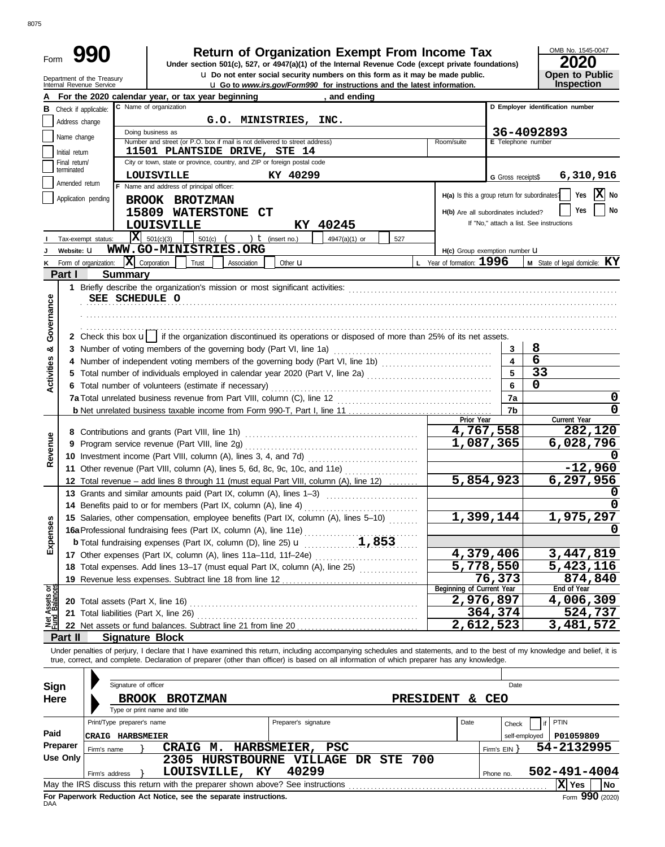| 8075<br>۰.<br>۰,<br>٠ |  |
|-----------------------|--|
|                       |  |



# **990 2020 2010 2020 2020 2020 2020 2020 2020 2020 2020 2020 2020 2020 2020 2020 2020 2020 2020 2020 2020 2020 2020 2020 2020 2020 2020 2020 2020 2020 2020 2020**

**u** Do not enter social security numbers on this form as it may be made public.

Internal Revenue Service u **Go to** *www.irs.gov/Form990* **for instructions and the latest information.**

OMB No. 1545-0047 **Open to Public<br>Inspection** 

|                                |                             |                       | For the 2020 calendar year, or tax year beginning                                                                                                                          |                      | a so to <i>www.ms.govn</i> chinzzo for modiactions and the latest imormation<br>, and ending |                  |                                               |                    |                                                 |
|--------------------------------|-----------------------------|-----------------------|----------------------------------------------------------------------------------------------------------------------------------------------------------------------------|----------------------|----------------------------------------------------------------------------------------------|------------------|-----------------------------------------------|--------------------|-------------------------------------------------|
| в                              | Check if applicable:        |                       | C Name of organization                                                                                                                                                     |                      |                                                                                              |                  |                                               |                    | D Employer identification number                |
|                                | Address change              |                       | G.O. MINISTRIES, INC.                                                                                                                                                      |                      |                                                                                              |                  |                                               |                    |                                                 |
|                                |                             |                       | Doing business as                                                                                                                                                          |                      |                                                                                              |                  |                                               |                    | 36-4092893                                      |
|                                | Name change                 |                       | Number and street (or P.O. box if mail is not delivered to street address)                                                                                                 |                      |                                                                                              |                  | Room/suite                                    | E Telephone number |                                                 |
|                                | Initial return              |                       | 11501 PLANTSIDE DRIVE, STE 14                                                                                                                                              |                      |                                                                                              |                  |                                               |                    |                                                 |
|                                | Final return/<br>terminated |                       | City or town, state or province, country, and ZIP or foreign postal code                                                                                                   |                      |                                                                                              |                  |                                               |                    |                                                 |
|                                |                             |                       | <b>LOUISVILLE</b>                                                                                                                                                          | KY 40299             |                                                                                              |                  |                                               | G Gross receipts\$ | 6,310,916                                       |
|                                | Amended return              |                       | F Name and address of principal officer:                                                                                                                                   |                      |                                                                                              |                  |                                               |                    |                                                 |
|                                | Application pending         |                       | BROOK BROTZMAN                                                                                                                                                             |                      |                                                                                              |                  | H(a) Is this a group return for subordinates? |                    | X No<br>Yes                                     |
|                                |                             |                       | 15809 WATERSTONE CT                                                                                                                                                        |                      |                                                                                              |                  | H(b) Are all subordinates included?           |                    | No<br>Yes                                       |
|                                |                             |                       | <b>LOUISVILLE</b>                                                                                                                                                          | KY                   | 40245                                                                                        |                  |                                               |                    | If "No," attach a list. See instructions        |
|                                |                             | Tax-exempt status:    | $X = 501(c)(3)$<br>501(c)<br>$\lambda$                                                                                                                                     | $t$ (insert no.)     | 4947(a)(1) or                                                                                | 527              |                                               |                    |                                                 |
|                                | Website: U                  |                       | WWW.GO-MINISTRIES.ORG                                                                                                                                                      |                      |                                                                                              |                  | H(c) Group exemption number LI                |                    |                                                 |
| ĸ                              |                             | Form of organization: | $ \mathbf{X} $ Corporation<br>Trust<br>Association                                                                                                                         | Other <b>u</b>       |                                                                                              |                  | L Year of formation: $1996$                   |                    | <b>M</b> State of legal domicile: $\mathbf{KY}$ |
|                                | Part I                      |                       | <b>Summary</b>                                                                                                                                                             |                      |                                                                                              |                  |                                               |                    |                                                 |
|                                |                             |                       |                                                                                                                                                                            |                      |                                                                                              |                  |                                               |                    |                                                 |
|                                |                             |                       | SEE SCHEDULE O                                                                                                                                                             |                      |                                                                                              |                  |                                               |                    |                                                 |
| Governance                     |                             |                       |                                                                                                                                                                            |                      |                                                                                              |                  |                                               |                    |                                                 |
|                                |                             |                       |                                                                                                                                                                            |                      |                                                                                              |                  |                                               |                    |                                                 |
|                                |                             |                       |                                                                                                                                                                            |                      |                                                                                              |                  |                                               |                    |                                                 |
|                                |                             |                       | 2 Check this box u    if the organization discontinued its operations or disposed of more than 25% of its net assets.                                                      |                      |                                                                                              |                  |                                               |                    |                                                 |
| య                              |                             |                       | 3 Number of voting members of the governing body (Part VI, line 1a)                                                                                                        |                      |                                                                                              |                  |                                               | 3                  | 8                                               |
| <b>Activities</b>              |                             |                       |                                                                                                                                                                            |                      |                                                                                              |                  |                                               | 4                  | 6                                               |
|                                |                             |                       | Total number of individuals employed in calendar year 2020 (Part V, line 2a) [[[[[[[[[[[[[[[[[[[[[[[[[[[[[[[[                                                              |                      |                                                                                              |                  |                                               |                    | 33                                              |
|                                |                             |                       | 6 Total number of volunteers (estimate if necessary)                                                                                                                       |                      |                                                                                              |                  |                                               | 6                  | 0                                               |
|                                |                             |                       |                                                                                                                                                                            |                      |                                                                                              |                  |                                               | 7a                 | 0                                               |
|                                |                             |                       |                                                                                                                                                                            |                      |                                                                                              |                  |                                               | 7b                 | 0                                               |
|                                |                             |                       |                                                                                                                                                                            |                      |                                                                                              |                  | Prior Year                                    |                    | Current Year                                    |
|                                |                             |                       | 8 Contributions and grants (Part VIII, line 1h)                                                                                                                            |                      |                                                                                              |                  | 4,767,558                                     |                    | 282,120                                         |
| Revenue                        |                             |                       | 9 Program service revenue (Part VIII, line 2g)                                                                                                                             |                      |                                                                                              |                  | 1,087,365                                     |                    | 6,028,796                                       |
|                                |                             |                       | 10 Investment income (Part VIII, column (A), lines 3, 4, and 7d)                                                                                                           |                      |                                                                                              |                  |                                               |                    |                                                 |
|                                |                             |                       | 11 Other revenue (Part VIII, column (A), lines 5, 6d, 8c, 9c, 10c, and 11e)                                                                                                |                      |                                                                                              |                  |                                               |                    | $-12,960$                                       |
|                                |                             |                       | 12 Total revenue – add lines 8 through 11 (must equal Part VIII, column (A), line 12)                                                                                      |                      |                                                                                              |                  | $\overline{5,854,923}$                        |                    | 6,297,956                                       |
|                                |                             |                       | 13 Grants and similar amounts paid (Part IX, column (A), lines 1-3)                                                                                                        |                      |                                                                                              |                  |                                               |                    |                                                 |
|                                |                             |                       | 14 Benefits paid to or for members (Part IX, column (A), line 4)                                                                                                           |                      |                                                                                              |                  |                                               |                    |                                                 |
|                                |                             |                       |                                                                                                                                                                            |                      |                                                                                              |                  | 1,399,144                                     |                    | 1,975,297                                       |
| w                              |                             |                       | 15 Salaries, other compensation, employee benefits (Part IX, column (A), lines 5-10)                                                                                       |                      |                                                                                              |                  |                                               |                    |                                                 |
| pense.                         |                             |                       | 16a Professional fundraising fees (Part IX, column (A), line 11e)                                                                                                          |                      | 1,853                                                                                        |                  |                                               |                    |                                                 |
| யி                             |                             |                       | <b>b</b> Total fundraising expenses (Part IX, column (D), line 25) <b>u</b>                                                                                                |                      |                                                                                              |                  |                                               |                    |                                                 |
|                                |                             |                       |                                                                                                                                                                            |                      |                                                                                              |                  | 4,379,406                                     |                    | 3,447,819                                       |
|                                |                             |                       | 18 Total expenses. Add lines 13-17 (must equal Part IX, column (A), line 25) [                                                                                             |                      |                                                                                              |                  |                                               | 5,778,550          | $\overline{5,423,116}$                          |
|                                |                             |                       | 19 Revenue less expenses. Subtract line 18 from line 12                                                                                                                    |                      |                                                                                              |                  |                                               | 76,373             | 874,840                                         |
|                                |                             |                       |                                                                                                                                                                            |                      |                                                                                              |                  | Beginning of Current Year                     |                    | End of Year                                     |
| Net Assets or<br>Fund Balances |                             |                       |                                                                                                                                                                            |                      |                                                                                              |                  | 2,976,897                                     |                    | 4,006,309                                       |
|                                |                             |                       | 21 Total liabilities (Part X, line 26)                                                                                                                                     |                      |                                                                                              |                  |                                               | 364,374            | 524,737                                         |
|                                |                             |                       |                                                                                                                                                                            |                      |                                                                                              |                  | 2,612,523                                     |                    | 3,481,572                                       |
|                                | Part II                     |                       | <b>Signature Block</b>                                                                                                                                                     |                      |                                                                                              |                  |                                               |                    |                                                 |
|                                |                             |                       | Under penalties of perjury, I declare that I have examined this return, including accompanying schedules and statements, and to the best of my knowledge and belief, it is |                      |                                                                                              |                  |                                               |                    |                                                 |
|                                |                             |                       | true, correct, and complete. Declaration of preparer (other than officer) is based on all information of which preparer has any knowledge.                                 |                      |                                                                                              |                  |                                               |                    |                                                 |
|                                |                             |                       |                                                                                                                                                                            |                      |                                                                                              |                  |                                               |                    |                                                 |
| Sign                           |                             |                       | Signature of officer                                                                                                                                                       |                      |                                                                                              |                  |                                               | Date               |                                                 |
| Here                           |                             |                       | <b>BROOK</b><br><b>BROTZMAN</b>                                                                                                                                            |                      |                                                                                              | <b>PRESIDENT</b> | &.                                            | <b>CEO</b>         |                                                 |
|                                |                             |                       | Type or print name and title                                                                                                                                               |                      |                                                                                              |                  |                                               |                    |                                                 |
|                                |                             |                       | Print/Type preparer's name                                                                                                                                                 | Preparer's signature |                                                                                              |                  | Date                                          | Check              | <b>PTIN</b><br>if                               |
| Paid                           |                             |                       | <b>CRAIG HARBSMEIER</b>                                                                                                                                                    |                      |                                                                                              |                  |                                               |                    | P01059809<br>self-employed                      |
|                                | Preparer                    |                       | CRAIG M.                                                                                                                                                                   | <b>HARBSMEIER,</b>   | PSC                                                                                          |                  |                                               | Firm's EIN         | 54-2132995                                      |
|                                | <b>Use Only</b>             | Firm's name           | 2305 HURSTBOURNE VILLAGE DR STE                                                                                                                                            |                      |                                                                                              | 700              |                                               |                    |                                                 |
|                                |                             |                       | LOUISVILLE,<br>ΚY                                                                                                                                                          | 40299                |                                                                                              |                  |                                               |                    | 502-491-4004                                    |
|                                |                             | Firm's address        |                                                                                                                                                                            |                      |                                                                                              |                  |                                               | Phone no.          |                                                 |
|                                |                             |                       |                                                                                                                                                                            |                      |                                                                                              |                  |                                               |                    | $ \mathbf{X} $ Yes<br>  No                      |

For Paperwork Reduction Act Notice, see the separate instructions.<br>DAA Form **990** (2020) **X**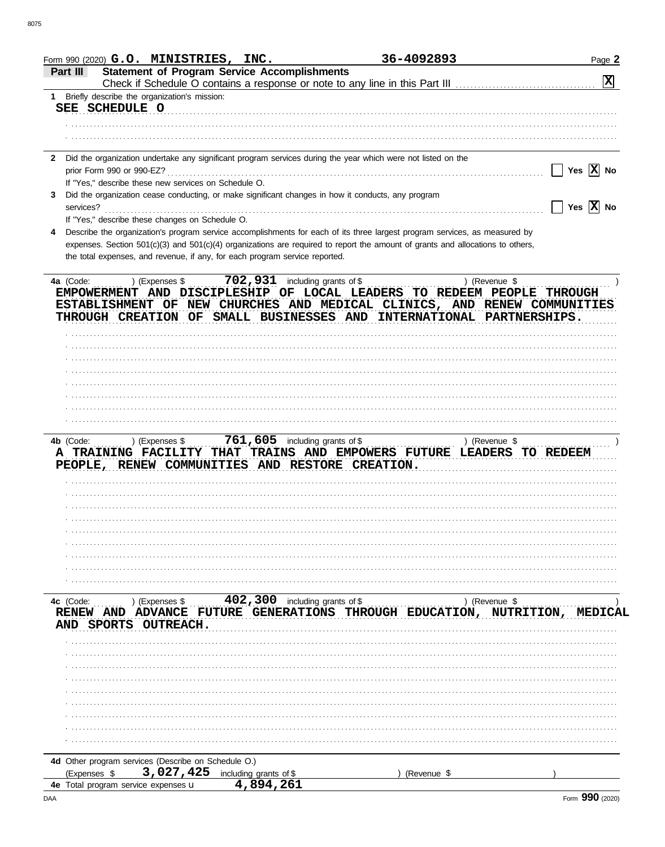|                                         | Form 990 (2020) $G.O.$ MINISTRIES,                               |                                                                                                    |                                                                                                                                                                                                                                             | Page 2                  |
|-----------------------------------------|------------------------------------------------------------------|----------------------------------------------------------------------------------------------------|---------------------------------------------------------------------------------------------------------------------------------------------------------------------------------------------------------------------------------------------|-------------------------|
| Part III                                |                                                                  | <b>Statement of Program Service Accomplishments</b>                                                |                                                                                                                                                                                                                                             | $ \mathbf{x} $          |
|                                         | Briefly describe the organization's mission:                     |                                                                                                    |                                                                                                                                                                                                                                             |                         |
| SEE SCHEDULE O                          |                                                                  |                                                                                                    |                                                                                                                                                                                                                                             |                         |
|                                         |                                                                  |                                                                                                    |                                                                                                                                                                                                                                             |                         |
|                                         |                                                                  |                                                                                                    |                                                                                                                                                                                                                                             |                         |
|                                         |                                                                  |                                                                                                    |                                                                                                                                                                                                                                             |                         |
|                                         |                                                                  |                                                                                                    | Did the organization undertake any significant program services during the year which were not listed on the                                                                                                                                | Yes $ \overline{X} $ No |
| prior Form 990 or 990-EZ?               | If "Yes," describe these new services on Schedule O.             |                                                                                                    |                                                                                                                                                                                                                                             |                         |
|                                         |                                                                  | Did the organization cease conducting, or make significant changes in how it conducts, any program |                                                                                                                                                                                                                                             |                         |
| services?                               |                                                                  |                                                                                                    |                                                                                                                                                                                                                                             | Yes $\overline{X}$ No   |
|                                         | If "Yes," describe these changes on Schedule O.                  |                                                                                                    |                                                                                                                                                                                                                                             |                         |
|                                         |                                                                  |                                                                                                    | Describe the organization's program service accomplishments for each of its three largest program services, as measured by                                                                                                                  |                         |
|                                         |                                                                  |                                                                                                    | expenses. Section 501(c)(3) and 501(c)(4) organizations are required to report the amount of grants and allocations to others,                                                                                                              |                         |
|                                         |                                                                  | the total expenses, and revenue, if any, for each program service reported.                        |                                                                                                                                                                                                                                             |                         |
| 4a (Code:                               | ) (Expenses \$                                                   | 702,931<br>including grants of \$                                                                  | ) (Revenue \$<br>EMPOWERMENT AND DISCIPLESHIP OF LOCAL LEADERS TO REDEEM PEOPLE THROUGH<br>ESTABLISHMENT OF NEW CHURCHES AND MEDICAL CLINICS, AND RENEW COMMUNITIES<br>THROUGH CREATION OF SMALL BUSINESSES AND INTERNATIONAL PARTNERSHIPS. |                         |
|                                         |                                                                  |                                                                                                    |                                                                                                                                                                                                                                             |                         |
|                                         |                                                                  |                                                                                                    |                                                                                                                                                                                                                                             |                         |
|                                         |                                                                  |                                                                                                    |                                                                                                                                                                                                                                             |                         |
|                                         |                                                                  |                                                                                                    |                                                                                                                                                                                                                                             |                         |
|                                         |                                                                  |                                                                                                    |                                                                                                                                                                                                                                             |                         |
|                                         |                                                                  |                                                                                                    |                                                                                                                                                                                                                                             |                         |
|                                         |                                                                  |                                                                                                    |                                                                                                                                                                                                                                             |                         |
|                                         |                                                                  |                                                                                                    |                                                                                                                                                                                                                                             |                         |
| 4b (Code:                               | ) (Expenses \$                                                   | 761,605 including grants of \$                                                                     | ) (Revenue \$<br>A TRAINING FACILITY THAT TRAINS AND EMPOWERS FUTURE LEADERS TO REDEEM                                                                                                                                                      |                         |
|                                         |                                                                  | PEOPLE, RENEW COMMUNITIES AND RESTORE CREATION.                                                    |                                                                                                                                                                                                                                             |                         |
| 4c (Code:<br><b>RENEW</b><br><b>AND</b> | ) (Expenses \$<br>ADVANCE<br>SPORTS OUTREACH.                    | 402, 300 including grants of \$<br><b>FUTURE GENERATIONS THROUGH</b>                               | ) (Revenue \$<br>EDUCATION, NUTRITION,                                                                                                                                                                                                      |                         |
|                                         |                                                                  |                                                                                                    |                                                                                                                                                                                                                                             |                         |
|                                         |                                                                  |                                                                                                    |                                                                                                                                                                                                                                             |                         |
|                                         |                                                                  |                                                                                                    |                                                                                                                                                                                                                                             |                         |
|                                         |                                                                  |                                                                                                    |                                                                                                                                                                                                                                             |                         |
|                                         |                                                                  |                                                                                                    |                                                                                                                                                                                                                                             |                         |
|                                         |                                                                  |                                                                                                    |                                                                                                                                                                                                                                             |                         |
|                                         |                                                                  |                                                                                                    |                                                                                                                                                                                                                                             |                         |
| (Expenses \$                            | 4d Other program services (Describe on Schedule O.)<br>3,027,425 | including grants of \$                                                                             | ) (Revenue \$                                                                                                                                                                                                                               |                         |

Form 990 (2020)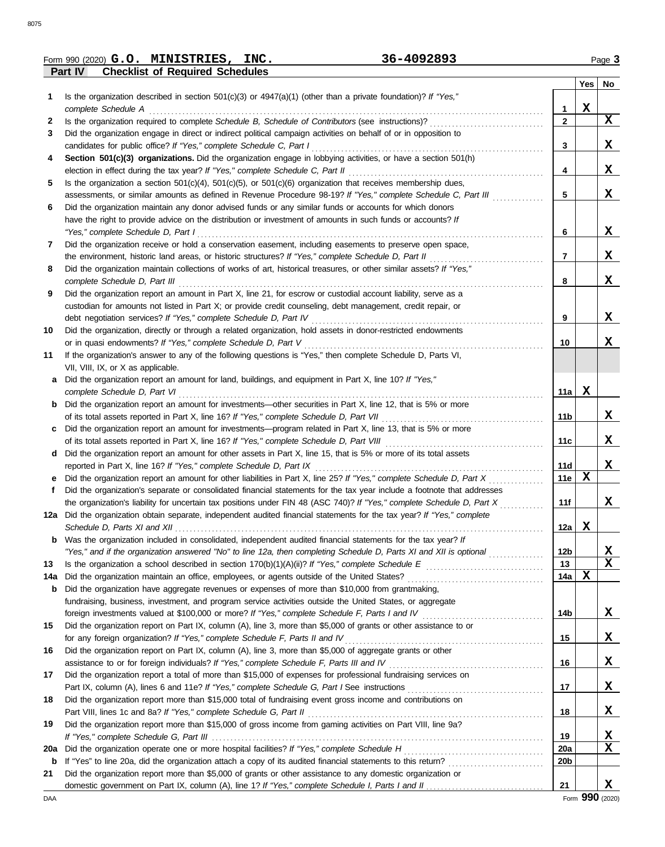Form 990 (2020) Page **3 G.O. MINISTRIES, INC. 36-4092893**

|     | <b>Checklist of Required Schedules</b><br><b>Part IV</b>                                                                                                                                                               |                 |     |    |
|-----|------------------------------------------------------------------------------------------------------------------------------------------------------------------------------------------------------------------------|-----------------|-----|----|
|     |                                                                                                                                                                                                                        |                 | Yes | No |
| 1   | Is the organization described in section $501(c)(3)$ or $4947(a)(1)$ (other than a private foundation)? If "Yes,"                                                                                                      |                 |     |    |
|     | complete Schedule A                                                                                                                                                                                                    | 1               | X   |    |
| 2   | Is the organization required to complete Schedule B, Schedule of Contributors (see instructions)?                                                                                                                      | $\mathbf{2}$    |     | X  |
| 3   | Did the organization engage in direct or indirect political campaign activities on behalf of or in opposition to                                                                                                       |                 |     |    |
|     | candidates for public office? If "Yes," complete Schedule C, Part I                                                                                                                                                    | 3               |     | X  |
| 4   | Section 501(c)(3) organizations. Did the organization engage in lobbying activities, or have a section 501(h)                                                                                                          |                 |     |    |
|     | election in effect during the tax year? If "Yes," complete Schedule C, Part II                                                                                                                                         | 4               |     | X  |
| 5   | Is the organization a section $501(c)(4)$ , $501(c)(5)$ , or $501(c)(6)$ organization that receives membership dues,                                                                                                   |                 |     | X  |
|     | assessments, or similar amounts as defined in Revenue Procedure 98-19? If "Yes," complete Schedule C, Part III                                                                                                         | 5               |     |    |
| 6   | Did the organization maintain any donor advised funds or any similar funds or accounts for which donors<br>have the right to provide advice on the distribution or investment of amounts in such funds or accounts? If |                 |     |    |
|     | "Yes," complete Schedule D, Part I                                                                                                                                                                                     | 6               |     | X  |
| 7   | Did the organization receive or hold a conservation easement, including easements to preserve open space,                                                                                                              |                 |     |    |
|     | the environment, historic land areas, or historic structures? If "Yes," complete Schedule D, Part II                                                                                                                   | 7               |     | X  |
| 8   | Did the organization maintain collections of works of art, historical treasures, or other similar assets? If "Yes,"                                                                                                    |                 |     |    |
|     | complete Schedule D, Part III                                                                                                                                                                                          | 8               |     | X  |
| 9   | Did the organization report an amount in Part X, line 21, for escrow or custodial account liability, serve as a                                                                                                        |                 |     |    |
|     | custodian for amounts not listed in Part X; or provide credit counseling, debt management, credit repair, or                                                                                                           |                 |     |    |
|     | debt negotiation services? If "Yes," complete Schedule D, Part IV                                                                                                                                                      | 9               |     | X  |
| 10  | Did the organization, directly or through a related organization, hold assets in donor-restricted endowments                                                                                                           |                 |     |    |
|     | or in quasi endowments? If "Yes," complete Schedule D, Part V                                                                                                                                                          | 10              |     | X  |
| 11  | If the organization's answer to any of the following questions is "Yes," then complete Schedule D, Parts VI,                                                                                                           |                 |     |    |
|     | VII, VIII, IX, or X as applicable.                                                                                                                                                                                     |                 |     |    |
| a   | Did the organization report an amount for land, buildings, and equipment in Part X, line 10? If "Yes,"                                                                                                                 |                 |     |    |
|     | complete Schedule D, Part VI                                                                                                                                                                                           | 11a             | x   |    |
| b   | Did the organization report an amount for investments—other securities in Part X, line 12, that is 5% or more                                                                                                          |                 |     |    |
|     | of its total assets reported in Part X, line 16? If "Yes," complete Schedule D, Part VII                                                                                                                               | 11b             |     | X  |
| c   | Did the organization report an amount for investments-program related in Part X, line 13, that is 5% or more                                                                                                           |                 |     |    |
|     | of its total assets reported in Part X, line 16? If "Yes," complete Schedule D, Part VIII [[[[[[[[[[[[[[[[[[[[                                                                                                         | 11c             |     | X  |
| d   | Did the organization report an amount for other assets in Part X, line 15, that is 5% or more of its total assets                                                                                                      |                 |     |    |
|     | reported in Part X, line 16? If "Yes," complete Schedule D, Part IX                                                                                                                                                    | 11d             |     | X  |
|     | Did the organization report an amount for other liabilities in Part X, line 25? If "Yes," complete Schedule D, Part X                                                                                                  | 11e             | X   |    |
| f   | Did the organization's separate or consolidated financial statements for the tax year include a footnote that addresses                                                                                                |                 |     |    |
|     | the organization's liability for uncertain tax positions under FIN 48 (ASC 740)? If "Yes," complete Schedule D, Part X                                                                                                 | 11f             |     | X  |
| 12a | Did the organization obtain separate, independent audited financial statements for the tax year? If "Yes," complete                                                                                                    |                 | X   |    |
|     | Schedule D, Parts XI and XII                                                                                                                                                                                           | 12a             |     |    |
|     | <b>b</b> Was the organization included in consolidated, independent audited financial statements for the tax year? If                                                                                                  | 12 <sub>b</sub> |     | X  |
| 13  | "Yes," and if the organization answered "No" to line 12a, then completing Schedule D, Parts XI and XII is optional                                                                                                     | 13              |     | X  |
| 14a |                                                                                                                                                                                                                        | 14a             | х   |    |
| b   | Did the organization have aggregate revenues or expenses of more than \$10,000 from grantmaking,                                                                                                                       |                 |     |    |
|     | fundraising, business, investment, and program service activities outside the United States, or aggregate                                                                                                              |                 |     |    |
|     | foreign investments valued at \$100,000 or more? If "Yes," complete Schedule F, Parts I and IV [[[[[[[[[[[[[[[[                                                                                                        | 14b             |     | X  |
| 15  | Did the organization report on Part IX, column (A), line 3, more than \$5,000 of grants or other assistance to or                                                                                                      |                 |     |    |
|     | for any foreign organization? If "Yes," complete Schedule F, Parts II and IV                                                                                                                                           | 15              |     | X  |
| 16  | Did the organization report on Part IX, column (A), line 3, more than \$5,000 of aggregate grants or other                                                                                                             |                 |     |    |
|     |                                                                                                                                                                                                                        | 16              |     | X  |
| 17  | Did the organization report a total of more than \$15,000 of expenses for professional fundraising services on                                                                                                         |                 |     |    |
|     |                                                                                                                                                                                                                        | 17              |     | X  |
| 18  | Did the organization report more than \$15,000 total of fundraising event gross income and contributions on                                                                                                            |                 |     |    |
|     | Part VIII, lines 1c and 8a? If "Yes," complete Schedule G, Part II                                                                                                                                                     | 18              |     | X  |
| 19  | Did the organization report more than \$15,000 of gross income from gaming activities on Part VIII, line 9a?                                                                                                           |                 |     |    |
|     |                                                                                                                                                                                                                        | 19              |     | X  |
| 20a |                                                                                                                                                                                                                        | 20a             |     | X  |
| b   |                                                                                                                                                                                                                        | 20 <sub>b</sub> |     |    |
| 21  | Did the organization report more than \$5,000 of grants or other assistance to any domestic organization or                                                                                                            |                 |     |    |
|     |                                                                                                                                                                                                                        | 21              |     | X  |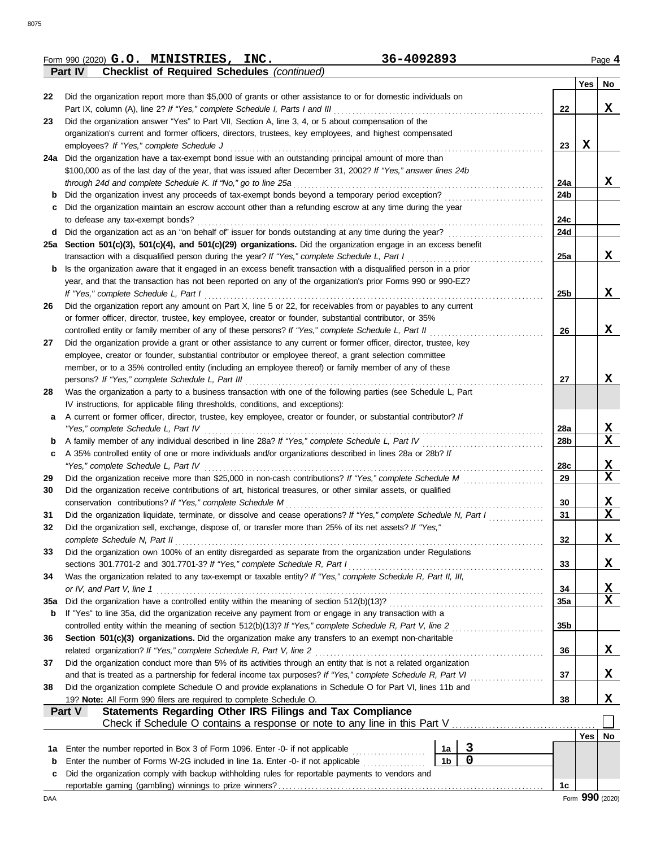|     | Part IV<br><b>Checklist of Required Schedules (continued)</b>                                                                                                     |                 |     |             |
|-----|-------------------------------------------------------------------------------------------------------------------------------------------------------------------|-----------------|-----|-------------|
|     |                                                                                                                                                                   |                 | Yes | No          |
| 22  | Did the organization report more than \$5,000 of grants or other assistance to or for domestic individuals on                                                     |                 |     |             |
|     | Part IX, column (A), line 2? If "Yes," complete Schedule I, Parts I and III                                                                                       | 22              |     | X           |
| 23  | Did the organization answer "Yes" to Part VII, Section A, line 3, 4, or 5 about compensation of the                                                               |                 |     |             |
|     | organization's current and former officers, directors, trustees, key employees, and highest compensated                                                           |                 |     |             |
|     | employees? If "Yes," complete Schedule J                                                                                                                          | 23              | x   |             |
|     | 24a Did the organization have a tax-exempt bond issue with an outstanding principal amount of more than                                                           |                 |     |             |
|     | \$100,000 as of the last day of the year, that was issued after December 31, 2002? If "Yes," answer lines 24b                                                     |                 |     | X           |
| b   | through 24d and complete Schedule K. If "No," go to line 25a<br>Did the organization invest any proceeds of tax-exempt bonds beyond a temporary period exception? | 24a<br>24b      |     |             |
|     | Did the organization maintain an escrow account other than a refunding escrow at any time during the year                                                         |                 |     |             |
|     | to defease any tax-exempt bonds?                                                                                                                                  | 24c             |     |             |
| d   |                                                                                                                                                                   | 24d             |     |             |
|     | 25a Section 501(c)(3), 501(c)(4), and 501(c)(29) organizations. Did the organization engage in an excess benefit                                                  |                 |     |             |
|     | transaction with a disqualified person during the year? If "Yes," complete Schedule L, Part I                                                                     | 25a             |     | X           |
| b   | Is the organization aware that it engaged in an excess benefit transaction with a disqualified person in a prior                                                  |                 |     |             |
|     | year, and that the transaction has not been reported on any of the organization's prior Forms 990 or 990-EZ?                                                      |                 |     |             |
|     | If "Yes," complete Schedule L, Part I                                                                                                                             | 25 <sub>b</sub> |     | X           |
| 26  | Did the organization report any amount on Part X, line 5 or 22, for receivables from or payables to any current                                                   |                 |     |             |
|     | or former officer, director, trustee, key employee, creator or founder, substantial contributor, or 35%                                                           |                 |     |             |
|     | controlled entity or family member of any of these persons? If "Yes," complete Schedule L, Part II                                                                | 26              |     | X           |
| 27  | Did the organization provide a grant or other assistance to any current or former officer, director, trustee, key                                                 |                 |     |             |
|     | employee, creator or founder, substantial contributor or employee thereof, a grant selection committee                                                            |                 |     |             |
|     | member, or to a 35% controlled entity (including an employee thereof) or family member of any of these                                                            |                 |     |             |
|     | persons? If "Yes," complete Schedule L, Part III                                                                                                                  | 27              |     | X           |
| 28  | Was the organization a party to a business transaction with one of the following parties (see Schedule L, Part                                                    |                 |     |             |
|     | IV instructions, for applicable filing thresholds, conditions, and exceptions):                                                                                   |                 |     |             |
| a   | A current or former officer, director, trustee, key employee, creator or founder, or substantial contributor? If                                                  |                 |     |             |
|     | "Yes," complete Schedule L, Part IV                                                                                                                               | 28a             |     | X           |
| b   | A family member of any individual described in line 28a? If "Yes," complete Schedule L, Part IV [[[[[[[[[[[[[                                                     | 28b             |     | X           |
| c   | A 35% controlled entity of one or more individuals and/or organizations described in lines 28a or 28b? If                                                         |                 |     |             |
|     | "Yes," complete Schedule L, Part IV                                                                                                                               | 28c             |     | X           |
| 29  |                                                                                                                                                                   | 29              |     | $\mathbf x$ |
| 30  | Did the organization receive contributions of art, historical treasures, or other similar assets, or qualified                                                    |                 |     |             |
|     | conservation contributions? If "Yes," complete Schedule M                                                                                                         | 30              |     | X<br>X      |
| 31  | Did the organization liquidate, terminate, or dissolve and cease operations? If "Yes," complete Schedule N, Part I                                                | 31              |     |             |
|     | Did the organization sell, exchange, dispose of, or transfer more than 25% of its net assets? If "Yes,"                                                           |                 |     | X           |
| 33  | complete Schedule N, Part II<br>Did the organization own 100% of an entity disregarded as separate from the organization under Regulations                        | 32              |     |             |
|     | sections 301.7701-2 and 301.7701-3? If "Yes," complete Schedule R, Part I                                                                                         | 33              |     | X           |
| 34  | Was the organization related to any tax-exempt or taxable entity? If "Yes," complete Schedule R, Part II, III,                                                    |                 |     |             |
|     | or IV, and Part V, line 1                                                                                                                                         | 34              |     | X           |
| 35a |                                                                                                                                                                   | 35a             |     | X           |
| b   | If "Yes" to line 35a, did the organization receive any payment from or engage in any transaction with a                                                           |                 |     |             |
|     | controlled entity within the meaning of section 512(b)(13)? If "Yes," complete Schedule R, Part V, line 2                                                         | 35 <sub>b</sub> |     |             |
| 36  | Section 501(c)(3) organizations. Did the organization make any transfers to an exempt non-charitable                                                              |                 |     |             |
|     | related organization? If "Yes," complete Schedule R, Part V, line 2                                                                                               | 36              |     | X           |
| 37  | Did the organization conduct more than 5% of its activities through an entity that is not a related organization                                                  |                 |     |             |
|     | and that is treated as a partnership for federal income tax purposes? If "Yes," complete Schedule R, Part VI                                                      | 37              |     | X           |
| 38  | Did the organization complete Schedule O and provide explanations in Schedule O for Part VI, lines 11b and                                                        |                 |     |             |
|     | 19? Note: All Form 990 filers are required to complete Schedule O.                                                                                                | 38              |     | X           |
|     | Statements Regarding Other IRS Filings and Tax Compliance<br>Part V                                                                                               |                 |     |             |
|     |                                                                                                                                                                   |                 |     |             |
|     |                                                                                                                                                                   |                 | Yes | No          |
| 1a  | $\overline{\mathbf{3}}$<br>Enter the number reported in Box 3 of Form 1096. Enter -0- if not applicable<br>1a                                                     |                 |     |             |
| b   | $\mathbf 0$<br>1 <sub>b</sub><br>Enter the number of Forms W-2G included in line 1a. Enter -0- if not applicable                                                  |                 |     |             |
| c   | Did the organization comply with backup withholding rules for reportable payments to vendors and                                                                  |                 |     |             |
|     |                                                                                                                                                                   | 1 <sub>c</sub>  |     |             |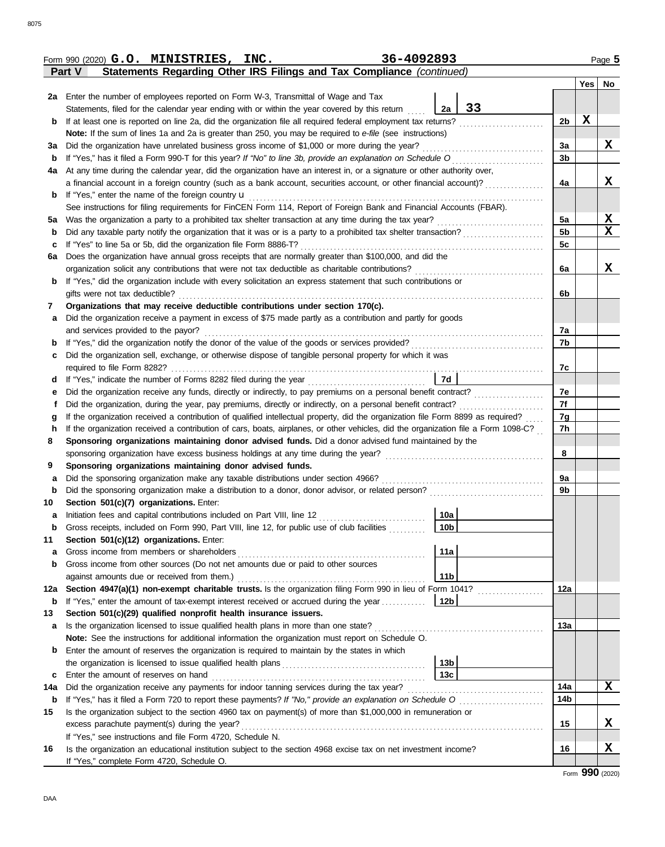|         |                                                                                                                                                                |                      | Yes | No     |  |  |  |  |  |  |
|---------|----------------------------------------------------------------------------------------------------------------------------------------------------------------|----------------------|-----|--------|--|--|--|--|--|--|
|         | 2a Enter the number of employees reported on Form W-3, Transmittal of Wage and Tax                                                                             |                      |     |        |  |  |  |  |  |  |
|         | 33<br>2a<br>Statements, filed for the calendar year ending with or within the year covered by this return                                                      |                      |     |        |  |  |  |  |  |  |
| b       | If at least one is reported on line 2a, did the organization file all required federal employment tax returns?                                                 | 2b                   | X   |        |  |  |  |  |  |  |
|         | Note: If the sum of lines 1a and 2a is greater than 250, you may be required to e-file (see instructions)                                                      |                      |     |        |  |  |  |  |  |  |
| За      | Did the organization have unrelated business gross income of \$1,000 or more during the year?                                                                  | За                   |     | X      |  |  |  |  |  |  |
| b       | If "Yes," has it filed a Form 990-T for this year? If "No" to line 3b, provide an explanation on Schedule O                                                    | 3b                   |     |        |  |  |  |  |  |  |
| 4a      | At any time during the calendar year, did the organization have an interest in, or a signature or other authority over,                                        |                      |     |        |  |  |  |  |  |  |
|         | a financial account in a foreign country (such as a bank account, securities account, or other financial account)?                                             | 4a                   |     | X      |  |  |  |  |  |  |
| b       | If "Yes," enter the name of the foreign country <b>u</b>                                                                                                       |                      |     |        |  |  |  |  |  |  |
|         | See instructions for filing requirements for FinCEN Form 114, Report of Foreign Bank and Financial Accounts (FBAR).                                            |                      |     |        |  |  |  |  |  |  |
| 5a      |                                                                                                                                                                | 5a<br>5 <sub>b</sub> |     | X<br>X |  |  |  |  |  |  |
| b       |                                                                                                                                                                |                      |     |        |  |  |  |  |  |  |
| с       | If "Yes" to line 5a or 5b, did the organization file Form 8886-T?                                                                                              | 5c                   |     |        |  |  |  |  |  |  |
| 6a      | Does the organization have annual gross receipts that are normally greater than \$100,000, and did the                                                         |                      |     |        |  |  |  |  |  |  |
|         | organization solicit any contributions that were not tax deductible as charitable contributions?                                                               | 6a                   |     | X      |  |  |  |  |  |  |
| b       | If "Yes," did the organization include with every solicitation an express statement that such contributions or                                                 |                      |     |        |  |  |  |  |  |  |
|         | gifts were not tax deductible?                                                                                                                                 | 6b                   |     |        |  |  |  |  |  |  |
| 7       | Organizations that may receive deductible contributions under section 170(c).                                                                                  |                      |     |        |  |  |  |  |  |  |
| a       | Did the organization receive a payment in excess of \$75 made partly as a contribution and partly for goods                                                    |                      |     |        |  |  |  |  |  |  |
|         | and services provided to the payor?                                                                                                                            | 7a                   |     |        |  |  |  |  |  |  |
| b       |                                                                                                                                                                | 7b                   |     |        |  |  |  |  |  |  |
| с       | Did the organization sell, exchange, or otherwise dispose of tangible personal property for which it was                                                       |                      |     |        |  |  |  |  |  |  |
|         | required to file Form 8282?                                                                                                                                    | 7c                   |     |        |  |  |  |  |  |  |
| d       | 7d<br>If "Yes," indicate the number of Forms 8282 filed during the year                                                                                        |                      |     |        |  |  |  |  |  |  |
| е       |                                                                                                                                                                | 7e                   |     |        |  |  |  |  |  |  |
| t       | Did the organization, during the year, pay premiums, directly or indirectly, on a personal benefit contract?                                                   | 7f                   |     |        |  |  |  |  |  |  |
| g       | If the organization received a contribution of qualified intellectual property, did the organization file Form 8899 as required?                               | 7g                   |     |        |  |  |  |  |  |  |
| h       | If the organization received a contribution of cars, boats, airplanes, or other vehicles, did the organization file a Form 1098-C?                             | 7h                   |     |        |  |  |  |  |  |  |
| 8       | Sponsoring organizations maintaining donor advised funds. Did a donor advised fund maintained by the                                                           |                      |     |        |  |  |  |  |  |  |
|         | sponsoring organization have excess business holdings at any time during the year?                                                                             | 8                    |     |        |  |  |  |  |  |  |
| 9       | Sponsoring organizations maintaining donor advised funds.                                                                                                      |                      |     |        |  |  |  |  |  |  |
| а       | Did the sponsoring organization make any taxable distributions under section 4966?                                                                             | 9a                   |     |        |  |  |  |  |  |  |
| b       |                                                                                                                                                                | 9b                   |     |        |  |  |  |  |  |  |
| 10      | Section 501(c)(7) organizations. Enter:                                                                                                                        |                      |     |        |  |  |  |  |  |  |
| а       | Initiation fees and capital contributions included on Part VIII, line 12<br>10a                                                                                |                      |     |        |  |  |  |  |  |  |
| b       | 10 <sub>b</sub><br>Gross receipts, included on Form 990, Part VIII, line 12, for public use of club facilities                                                 |                      |     |        |  |  |  |  |  |  |
| 11      | Section 501(c)(12) organizations. Enter:                                                                                                                       |                      |     |        |  |  |  |  |  |  |
| а       | 11a<br>Gross income from members or shareholders                                                                                                               |                      |     |        |  |  |  |  |  |  |
| b       | Gross income from other sources (Do not net amounts due or paid to other sources                                                                               |                      |     |        |  |  |  |  |  |  |
|         | 11 <sub>b</sub><br>Section 4947(a)(1) non-exempt charitable trusts. Is the organization filing Form 990 in lieu of Form 1041? [[[[[[[[[[[[[[[[[[[[[[[[]]]]]]]] | 12a                  |     |        |  |  |  |  |  |  |
| 12a     | 12 <sub>b</sub>                                                                                                                                                |                      |     |        |  |  |  |  |  |  |
| b<br>13 | If "Yes," enter the amount of tax-exempt interest received or accrued during the year<br>Section 501(c)(29) qualified nonprofit health insurance issuers.      |                      |     |        |  |  |  |  |  |  |
|         |                                                                                                                                                                | 13а                  |     |        |  |  |  |  |  |  |
| a       | Note: See the instructions for additional information the organization must report on Schedule O.                                                              |                      |     |        |  |  |  |  |  |  |
| b       | Enter the amount of reserves the organization is required to maintain by the states in which                                                                   |                      |     |        |  |  |  |  |  |  |
|         | 13 <sub>b</sub>                                                                                                                                                |                      |     |        |  |  |  |  |  |  |
| c       | 13с<br>Enter the amount of reserves on hand                                                                                                                    |                      |     |        |  |  |  |  |  |  |
| 14a     |                                                                                                                                                                | 14a                  |     | X      |  |  |  |  |  |  |
| b       | If "Yes," has it filed a Form 720 to report these payments? If "No," provide an explanation on Schedule O                                                      | 14b                  |     |        |  |  |  |  |  |  |
| 15      | Is the organization subject to the section 4960 tax on payment(s) of more than \$1,000,000 in remuneration or                                                  |                      |     |        |  |  |  |  |  |  |
|         |                                                                                                                                                                | 15                   |     | X      |  |  |  |  |  |  |
|         | If "Yes," see instructions and file Form 4720, Schedule N.                                                                                                     |                      |     |        |  |  |  |  |  |  |
| 16      | Is the organization an educational institution subject to the section 4968 excise tax on net investment income?                                                | 16                   |     | X      |  |  |  |  |  |  |
|         | If "Yes," complete Form 4720, Schedule O.                                                                                                                      |                      |     |        |  |  |  |  |  |  |
|         |                                                                                                                                                                |                      |     |        |  |  |  |  |  |  |

**Part V Statements Regarding Other IRS Filings and Tax Compliance** *(continued)*

Form 990 (2020) Page **5 G.O. MINISTRIES, INC. 36-4092893**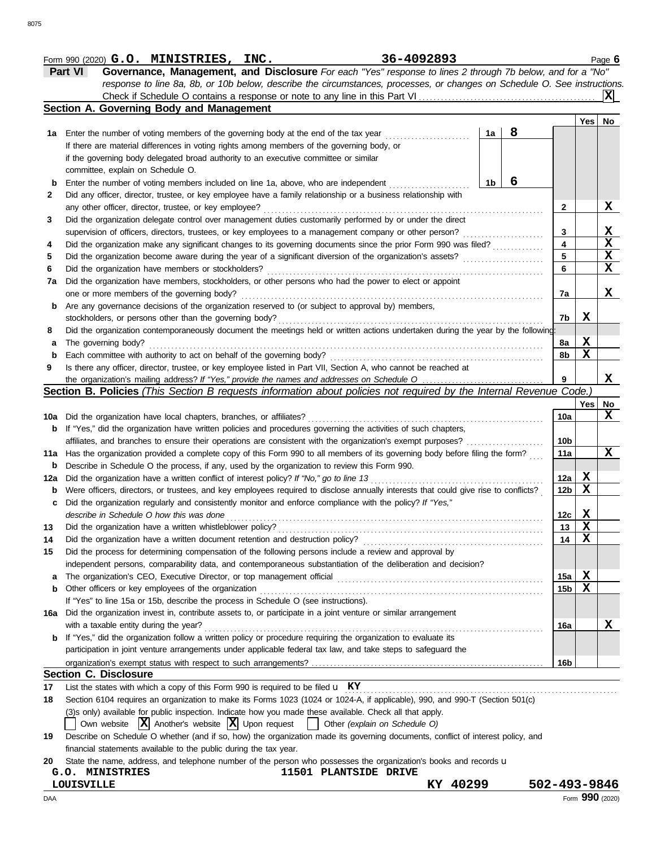|         | Check if Schedule O contains a response or note to any line in this Part VI                                                                                   |              |                        |        | IХ                           |  |  |  |  |
|---------|---------------------------------------------------------------------------------------------------------------------------------------------------------------|--------------|------------------------|--------|------------------------------|--|--|--|--|
|         | Section A. Governing Body and Management                                                                                                                      |              |                        |        |                              |  |  |  |  |
|         |                                                                                                                                                               |              |                        | Yes l  | No                           |  |  |  |  |
| 1а      | 8<br>Enter the number of voting members of the governing body at the end of the tax year<br>1a                                                                |              |                        |        |                              |  |  |  |  |
|         | If there are material differences in voting rights among members of the governing body, or                                                                    |              |                        |        |                              |  |  |  |  |
|         | if the governing body delegated broad authority to an executive committee or similar                                                                          |              |                        |        |                              |  |  |  |  |
|         | committee, explain on Schedule O.                                                                                                                             |              |                        |        |                              |  |  |  |  |
| b       | 6<br>Enter the number of voting members included on line 1a, above, who are independent<br>1b                                                                 |              |                        |        |                              |  |  |  |  |
| 2       | Did any officer, director, trustee, or key employee have a family relationship or a business relationship with                                                |              |                        |        |                              |  |  |  |  |
|         | any other officer, director, trustee, or key employee?                                                                                                        |              | $\mathbf{2}$           |        | X                            |  |  |  |  |
| 3       | Did the organization delegate control over management duties customarily performed by or under the direct                                                     |              |                        |        |                              |  |  |  |  |
|         | supervision of officers, directors, trustees, or key employees to a management company or other person?<br>.                                                  |              | 3<br>4                 |        | X<br>$\overline{\mathbf{x}}$ |  |  |  |  |
| 4       | Did the organization make any significant changes to its governing documents since the prior Form 990 was filed?                                              |              | 5                      |        | $\mathbf x$                  |  |  |  |  |
|         | 5                                                                                                                                                             |              |                        |        |                              |  |  |  |  |
| 6<br>7a | Did the organization have members or stockholders?<br>Did the organization have members, stockholders, or other persons who had the power to elect or appoint |              | 6                      |        | $\mathbf X$                  |  |  |  |  |
|         | one or more members of the governing body?                                                                                                                    |              | 7a                     |        | X                            |  |  |  |  |
| b       | Are any governance decisions of the organization reserved to (or subject to approval by) members,                                                             |              |                        |        |                              |  |  |  |  |
|         | stockholders, or persons other than the governing body?                                                                                                       |              | 7b                     | X      |                              |  |  |  |  |
| 8       | Did the organization contemporaneously document the meetings held or written actions undertaken during the year by the following:                             |              |                        |        |                              |  |  |  |  |
| а       | The governing body?                                                                                                                                           |              | 8a                     | X      |                              |  |  |  |  |
| b       | Each committee with authority to act on behalf of the governing body?                                                                                         |              | 8b                     | X      |                              |  |  |  |  |
| 9       | Is there any officer, director, trustee, or key employee listed in Part VII, Section A, who cannot be reached at                                              |              |                        |        |                              |  |  |  |  |
|         |                                                                                                                                                               |              | 9                      |        | X                            |  |  |  |  |
|         | Section B. Policies (This Section B requests information about policies not required by the Internal Revenue Code.)                                           |              |                        |        |                              |  |  |  |  |
|         |                                                                                                                                                               |              |                        | Yes    | No                           |  |  |  |  |
| 10a     | Did the organization have local chapters, branches, or affiliates?                                                                                            |              | 10a                    |        | X                            |  |  |  |  |
| b       | If "Yes," did the organization have written policies and procedures governing the activities of such chapters,                                                |              |                        |        |                              |  |  |  |  |
|         | affiliates, and branches to ensure their operations are consistent with the organization's exempt purposes?                                                   |              | 10b                    |        |                              |  |  |  |  |
| 11a     | Has the organization provided a complete copy of this Form 990 to all members of its governing body before filing the form?                                   |              | 11a                    |        | X                            |  |  |  |  |
| b       | Describe in Schedule O the process, if any, used by the organization to review this Form 990.                                                                 |              |                        |        |                              |  |  |  |  |
| 12a     | Did the organization have a written conflict of interest policy? If "No," go to line 13                                                                       |              |                        |        |                              |  |  |  |  |
| b       | Were officers, directors, or trustees, and key employees required to disclose annually interests that could give rise to conflicts?                           |              | 12 <sub>b</sub>        | X      |                              |  |  |  |  |
| c       | Did the organization regularly and consistently monitor and enforce compliance with the policy? If "Yes,"                                                     |              |                        |        |                              |  |  |  |  |
|         | describe in Schedule O how this was done                                                                                                                      |              | 12c                    | X      |                              |  |  |  |  |
| 13      | Did the organization have a written whistleblower policy?                                                                                                     |              | 13                     | X      |                              |  |  |  |  |
| 14      | Did the organization have a written document retention and destruction policy?                                                                                |              | 14                     | X      |                              |  |  |  |  |
| 15      | Did the process for determining compensation of the following persons include a review and approval by                                                        |              |                        |        |                              |  |  |  |  |
|         | independent persons, comparability data, and contemporaneous substantiation of the deliberation and decision?                                                 |              |                        |        |                              |  |  |  |  |
| a       | Other officers or key employees of the organization                                                                                                           |              | 15a<br>15 <sub>b</sub> | X<br>x |                              |  |  |  |  |
| b       | If "Yes" to line 15a or 15b, describe the process in Schedule O (see instructions).                                                                           |              |                        |        |                              |  |  |  |  |
| 16a     | Did the organization invest in, contribute assets to, or participate in a joint venture or similar arrangement                                                |              |                        |        |                              |  |  |  |  |
|         | with a taxable entity during the year?                                                                                                                        |              | 16a                    |        | X                            |  |  |  |  |
| b       | If "Yes," did the organization follow a written policy or procedure requiring the organization to evaluate its                                                |              |                        |        |                              |  |  |  |  |
|         | participation in joint venture arrangements under applicable federal tax law, and take steps to safeguard the                                                 |              |                        |        |                              |  |  |  |  |
|         |                                                                                                                                                               |              | 16 <sub>b</sub>        |        |                              |  |  |  |  |
|         | <b>Section C. Disclosure</b>                                                                                                                                  |              |                        |        |                              |  |  |  |  |
| 17      | List the states with which a copy of this Form 990 is required to be filed $\mathbf{u}$ KY                                                                    |              |                        |        |                              |  |  |  |  |
| 18      | Section 6104 requires an organization to make its Forms 1023 (1024 or 1024-A, if applicable), 990, and 990-T (Section 501(c)                                  |              |                        |        |                              |  |  |  |  |
|         | (3)s only) available for public inspection. Indicate how you made these available. Check all that apply.                                                      |              |                        |        |                              |  |  |  |  |
|         | Own website $ X $ Another's website $ X $ Upon request $ $ Other (explain on Schedule O)                                                                      |              |                        |        |                              |  |  |  |  |
| 19      | Describe on Schedule O whether (and if so, how) the organization made its governing documents, conflict of interest policy, and                               |              |                        |        |                              |  |  |  |  |
|         | financial statements available to the public during the tax year.                                                                                             |              |                        |        |                              |  |  |  |  |
| 20      | State the name, address, and telephone number of the person who possesses the organization's books and records u                                              |              |                        |        |                              |  |  |  |  |
|         | 11501 PLANTSIDE DRIVE<br>G.O. MINISTRIES                                                                                                                      |              |                        |        |                              |  |  |  |  |
|         | KY 40299<br><b>LOUISVILLE</b>                                                                                                                                 | 502-493-9846 |                        |        |                              |  |  |  |  |
| DAA     |                                                                                                                                                               |              |                        |        | Form 990 (2020)              |  |  |  |  |

Form 990 (2020) Page **6 G.O. MINISTRIES, INC. 36-4092893 Part VI Governance, Management, and Disclosure** *For each "Yes" response to lines 2 through 7b below, and for a "No"*

*response to line 8a, 8b, or 10b below, describe the circumstances, processes, or changes on Schedule O. See instructions.*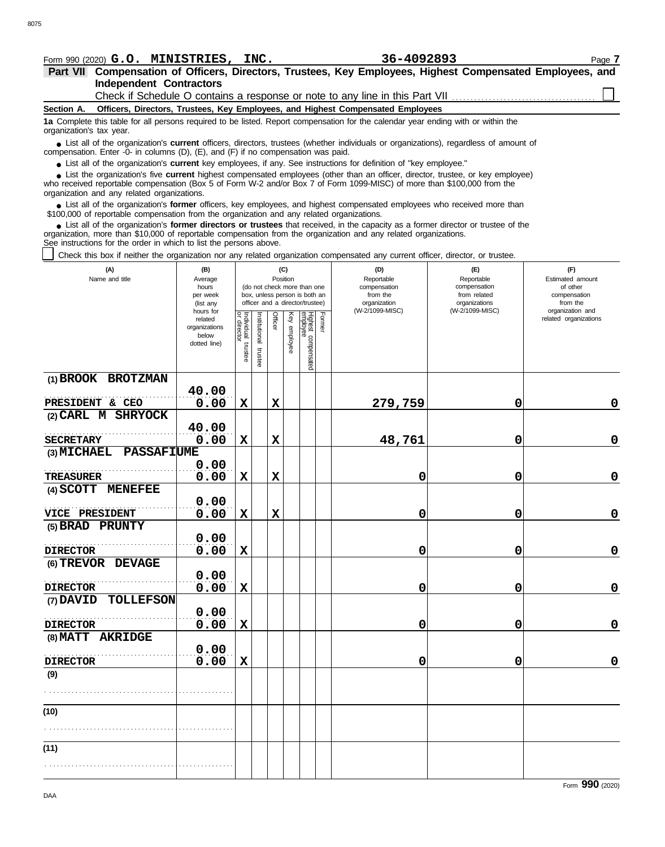## Form 990 (2020) Page **7 G.O. MINISTRIES, INC. 36-4092893**

**Independent Contractors Part VII Compensation of Officers, Directors, Trustees, Key Employees, Highest Compensated Employees, and** Check if Schedule O contains a response or note to any line in this Part VII

**Section A. Officers, Directors, Trustees, Key Employees, and Highest Compensated Employees**

**1a** Complete this table for all persons required to be listed. Report compensation for the calendar year ending with or within the organization's tax year.

■ List all of the organization's **current** officers, directors, trustees (whether individuals or organizations), regardless of amount of annount of annount of the companies (D) (E) and (E) if no companiestion was paid compensation. Enter -0- in columns (D), (E), and (F) if no compensation was paid.

● List all of the organization's **current** key employees, if any. See instructions for definition of "key employee."

who received reportable compensation (Box 5 of Form W-2 and/or Box 7 of Form 1099-MISC) of more than \$100,000 from the organization and any related organizations. ■ List the organization's five **current** highest compensated employees (other than an officer, director, trustee, or key employee)<br> **•** Peceived reportable compensation (Box 5 of Form W-2 and/or Box 7 of Form 1000-MISC) o

■ List all of the organization's **former** officers, key employees, and highest compensated employees who received more than<br>00,000 of reportable compensation from the organization and any related organizations \$100,000 of reportable compensation from the organization and any related organizations.

■ List all of the organization's **former directors or trustees** that received, in the capacity as a former director or trustee of the prization more than \$10,000 of reportable compensation from the organization and any re organization, more than \$10,000 of reportable compensation from the organization and any related organizations. See instructions for the order in which to list the persons above.

Check this box if neither the organization nor any related organization compensated any current officer, director, or trustee.

| (A)<br>Name and title                                | (B)<br>Average<br>hours<br>per week<br>(list any               |                                   |                          | (C)<br>Position |              | (do not check more than one<br>box, unless person is both an<br>officer and a director/trustee) |        | (D)<br>Reportable<br>compensation<br>from the<br>organization<br>(W-2/1099-MISC) | (E)<br>Reportable<br>compensation<br>from related<br>organizations<br>(W-2/1099-MISC) | (F)<br>Estimated amount<br>of other<br>compensation<br>from the |
|------------------------------------------------------|----------------------------------------------------------------|-----------------------------------|--------------------------|-----------------|--------------|-------------------------------------------------------------------------------------------------|--------|----------------------------------------------------------------------------------|---------------------------------------------------------------------------------------|-----------------------------------------------------------------|
|                                                      | hours for<br>related<br>organizations<br>below<br>dotted line) | Individual trustee<br>or director | Institutional<br>trustee | <b>Officer</b>  | Key employee | Highest compensated<br>employee                                                                 | Former |                                                                                  |                                                                                       | organization and<br>related organizations                       |
| (1) BROOK BROTZMAN                                   | 40.00                                                          |                                   |                          |                 |              |                                                                                                 |        |                                                                                  |                                                                                       |                                                                 |
| PRESIDENT & CEO                                      | 0.00                                                           | X                                 |                          | X               |              |                                                                                                 |        | 279,759                                                                          | 0                                                                                     | 0                                                               |
| (2) CARL M SHRYOCK                                   |                                                                |                                   |                          |                 |              |                                                                                                 |        |                                                                                  |                                                                                       |                                                                 |
| <b>SECRETARY</b>                                     | 40.00<br>0.00                                                  | X                                 |                          | $\mathbf x$     |              |                                                                                                 |        | 48,761                                                                           | 0                                                                                     | $\mathbf 0$                                                     |
| (3) MICHAEL<br><b>PASSAFIUME</b>                     |                                                                |                                   |                          |                 |              |                                                                                                 |        |                                                                                  |                                                                                       |                                                                 |
| <b>TREASURER</b>                                     | 0.00<br>0.00                                                   | X                                 |                          | X               |              |                                                                                                 |        | 0                                                                                | 0                                                                                     | $\mathbf 0$                                                     |
| (4) SCOTT MENEFEE                                    |                                                                |                                   |                          |                 |              |                                                                                                 |        |                                                                                  |                                                                                       |                                                                 |
|                                                      | 0.00                                                           |                                   |                          |                 |              |                                                                                                 |        |                                                                                  |                                                                                       |                                                                 |
| <b>VICE PRESIDENT</b><br><b>PRUNTY</b><br>$(5)$ BRAD | 0.00                                                           | X                                 |                          | $\mathbf X$     |              |                                                                                                 |        | 0                                                                                | 0                                                                                     | $\mathbf 0$                                                     |
|                                                      | 0.00                                                           |                                   |                          |                 |              |                                                                                                 |        |                                                                                  |                                                                                       | 0                                                               |
| <b>DIRECTOR</b><br>(6) TREVOR DEVAGE                 | 0.00                                                           | X                                 |                          |                 |              |                                                                                                 |        | 0                                                                                | 0                                                                                     |                                                                 |
| <b>DIRECTOR</b>                                      | 0.00<br>0.00                                                   | X                                 |                          |                 |              |                                                                                                 |        | 0                                                                                | 0                                                                                     | 0                                                               |
| <b>TOLLEFSON</b><br>(7) DAVID                        |                                                                |                                   |                          |                 |              |                                                                                                 |        |                                                                                  |                                                                                       |                                                                 |
| <b>DIRECTOR</b>                                      | 0.00<br>0.00                                                   | $\mathbf x$                       |                          |                 |              |                                                                                                 |        | 0                                                                                | 0                                                                                     | 0                                                               |
| (8) MATT AKRIDGE                                     |                                                                |                                   |                          |                 |              |                                                                                                 |        |                                                                                  |                                                                                       |                                                                 |
| <b>DIRECTOR</b>                                      | 0.00<br>0.00                                                   | X                                 |                          |                 |              |                                                                                                 |        | 0                                                                                | 0                                                                                     | $\mathbf 0$                                                     |
| (9)                                                  |                                                                |                                   |                          |                 |              |                                                                                                 |        |                                                                                  |                                                                                       |                                                                 |
|                                                      |                                                                |                                   |                          |                 |              |                                                                                                 |        |                                                                                  |                                                                                       |                                                                 |
| (10)                                                 |                                                                |                                   |                          |                 |              |                                                                                                 |        |                                                                                  |                                                                                       |                                                                 |
|                                                      |                                                                |                                   |                          |                 |              |                                                                                                 |        |                                                                                  |                                                                                       |                                                                 |
| (11)                                                 |                                                                |                                   |                          |                 |              |                                                                                                 |        |                                                                                  |                                                                                       |                                                                 |
|                                                      |                                                                |                                   |                          |                 |              |                                                                                                 |        |                                                                                  |                                                                                       |                                                                 |
|                                                      |                                                                |                                   |                          |                 |              |                                                                                                 |        |                                                                                  |                                                                                       | Form 990 (2020)                                                 |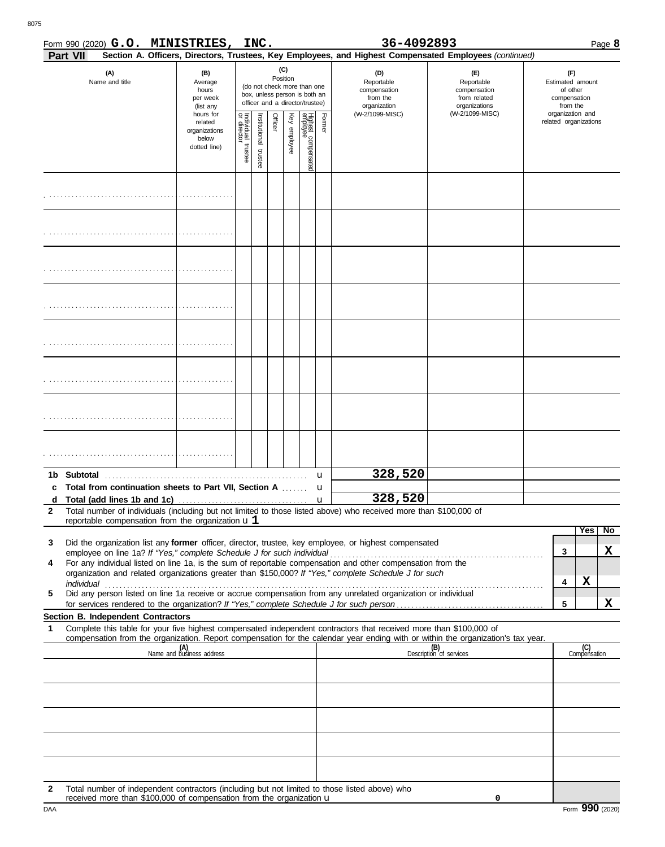|              | Form 990 (2020) G.O. MINISTRIES, INC.<br><b>Part VII</b>                                                                                                                                                                                               |                                                                |                                      |                      |          |              |                                                                                                 |                        | 36-4092893                                                    | Section A. Officers, Directors, Trustees, Key Employees, and Highest Compensated Employees (continued) |                       |                                                                 |                     | Page 8 |
|--------------|--------------------------------------------------------------------------------------------------------------------------------------------------------------------------------------------------------------------------------------------------------|----------------------------------------------------------------|--------------------------------------|----------------------|----------|--------------|-------------------------------------------------------------------------------------------------|------------------------|---------------------------------------------------------------|--------------------------------------------------------------------------------------------------------|-----------------------|-----------------------------------------------------------------|---------------------|--------|
|              | (A)<br>Name and title                                                                                                                                                                                                                                  | (B)<br>Average<br>hours<br>per week<br>(list any               |                                      |                      | Position | (C)          | (do not check more than one<br>box, unless person is both an<br>officer and a director/trustee) |                        | (D)<br>Reportable<br>compensation<br>from the<br>organization | (E)<br>Reportable<br>compensation<br>from related<br>organizations                                     |                       | (F)<br>Estimated amount<br>of other<br>compensation<br>from the |                     |        |
|              |                                                                                                                                                                                                                                                        | hours for<br>related<br>organizations<br>below<br>dotted line) | Individual<br>or director<br>trustee | nstitutional trustee | Officer  | Key employee | Highest compensated<br>employee                                                                 | Former                 | (W-2/1099-MISC)                                               | (W-2/1099-MISC)                                                                                        | related organizations | organization and                                                |                     |        |
|              |                                                                                                                                                                                                                                                        |                                                                |                                      |                      |          |              |                                                                                                 |                        |                                                               |                                                                                                        |                       |                                                                 |                     |        |
|              |                                                                                                                                                                                                                                                        |                                                                |                                      |                      |          |              |                                                                                                 |                        |                                                               |                                                                                                        |                       |                                                                 |                     |        |
|              |                                                                                                                                                                                                                                                        |                                                                |                                      |                      |          |              |                                                                                                 |                        |                                                               |                                                                                                        |                       |                                                                 |                     |        |
|              |                                                                                                                                                                                                                                                        |                                                                |                                      |                      |          |              |                                                                                                 |                        |                                                               |                                                                                                        |                       |                                                                 |                     |        |
|              |                                                                                                                                                                                                                                                        |                                                                |                                      |                      |          |              |                                                                                                 |                        |                                                               |                                                                                                        |                       |                                                                 |                     |        |
|              |                                                                                                                                                                                                                                                        |                                                                |                                      |                      |          |              |                                                                                                 |                        |                                                               |                                                                                                        |                       |                                                                 |                     |        |
|              |                                                                                                                                                                                                                                                        |                                                                |                                      |                      |          |              |                                                                                                 |                        |                                                               |                                                                                                        |                       |                                                                 |                     |        |
|              |                                                                                                                                                                                                                                                        |                                                                |                                      |                      |          |              |                                                                                                 |                        |                                                               |                                                                                                        |                       |                                                                 |                     |        |
| c<br>d       | 1b Subtotal<br>Total from continuation sheets to Part VII, Section A                                                                                                                                                                                   |                                                                |                                      |                      |          |              |                                                                                                 | u<br>u<br>$\mathbf{u}$ | 328,520<br>328,520                                            |                                                                                                        |                       |                                                                 |                     |        |
| $\mathbf{2}$ | Total number of individuals (including but not limited to those listed above) who received more than \$100,000 of<br>reportable compensation from the organization $\mathbf{u} \mathbf{1}$                                                             |                                                                |                                      |                      |          |              |                                                                                                 |                        |                                                               |                                                                                                        |                       |                                                                 |                     |        |
| 3            | Did the organization list any <b>former</b> officer, director, trustee, key employee, or highest compensated                                                                                                                                           |                                                                |                                      |                      |          |              |                                                                                                 |                        |                                                               |                                                                                                        |                       |                                                                 | <b>Yes</b>          | No     |
| 4            | employee on line 1a? If "Yes," complete Schedule J for such individual<br>For any individual listed on line 1a, is the sum of reportable compensation and other compensation from the                                                                  |                                                                |                                      |                      |          |              |                                                                                                 |                        |                                                               |                                                                                                        |                       | 3                                                               |                     | X      |
|              | organization and related organizations greater than \$150,000? If "Yes," complete Schedule J for such                                                                                                                                                  |                                                                |                                      |                      |          |              |                                                                                                 |                        |                                                               |                                                                                                        |                       |                                                                 | X                   |        |
| 5            | individual<br>individual<br>Did any person listed on line 1a receive or accrue compensation from any unrelated organization or individual                                                                                                              |                                                                |                                      |                      |          |              |                                                                                                 |                        |                                                               |                                                                                                        |                       | 4                                                               |                     |        |
|              | Section B. Independent Contractors                                                                                                                                                                                                                     |                                                                |                                      |                      |          |              |                                                                                                 |                        |                                                               |                                                                                                        |                       | 5                                                               |                     | X      |
| 1            | Complete this table for your five highest compensated independent contractors that received more than \$100,000 of<br>compensation from the organization. Report compensation for the calendar year ending with or within the organization's tax year. |                                                                |                                      |                      |          |              |                                                                                                 |                        |                                                               |                                                                                                        |                       |                                                                 |                     |        |
|              |                                                                                                                                                                                                                                                        | (A)<br>Name and business address                               |                                      |                      |          |              |                                                                                                 |                        |                                                               | (B)<br>Description of services                                                                         |                       |                                                                 | (C)<br>Compensation |        |
|              |                                                                                                                                                                                                                                                        |                                                                |                                      |                      |          |              |                                                                                                 |                        |                                                               |                                                                                                        |                       |                                                                 |                     |        |
|              |                                                                                                                                                                                                                                                        |                                                                |                                      |                      |          |              |                                                                                                 |                        |                                                               |                                                                                                        |                       |                                                                 |                     |        |
|              |                                                                                                                                                                                                                                                        |                                                                |                                      |                      |          |              |                                                                                                 |                        |                                                               |                                                                                                        |                       |                                                                 |                     |        |
|              |                                                                                                                                                                                                                                                        |                                                                |                                      |                      |          |              |                                                                                                 |                        |                                                               |                                                                                                        |                       |                                                                 |                     |        |
|              |                                                                                                                                                                                                                                                        |                                                                |                                      |                      |          |              |                                                                                                 |                        |                                                               |                                                                                                        |                       |                                                                 |                     |        |
|              |                                                                                                                                                                                                                                                        |                                                                |                                      |                      |          |              |                                                                                                 |                        |                                                               |                                                                                                        |                       |                                                                 |                     |        |

**2** Total number of independent contractors (including but not limited to those listed above) who

received more than \$100,000 of compensation from the organization u

**0**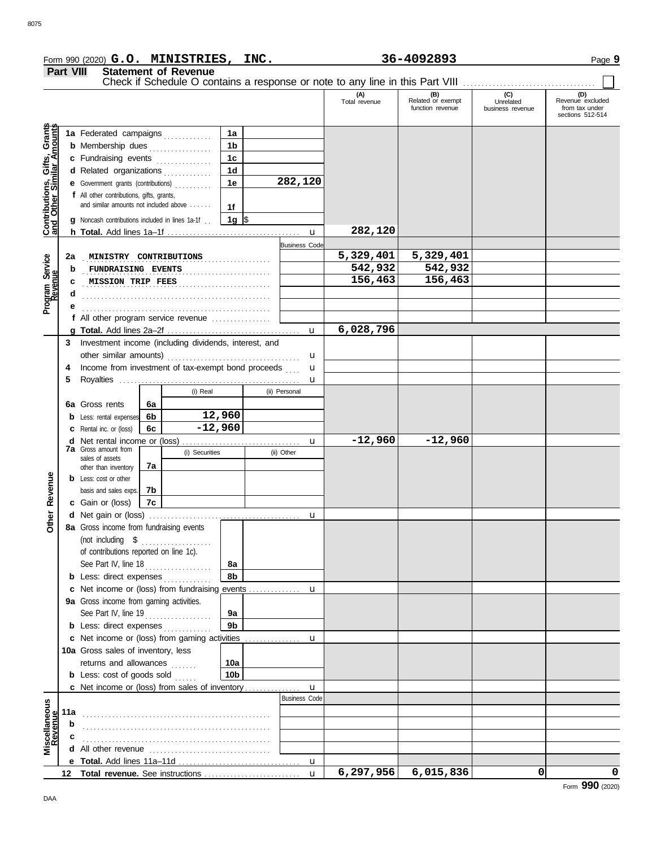| Form 990 (2020) $G.O.$ | <b>MINISTRIES,</b> | INC. | 36-4092893 | Page |
|------------------------|--------------------|------|------------|------|

**Part VIII Statement of Revenue**

Check if Schedule O contains a response or note to any line in this Part VIII ................................

|                                                                  |     |                                                       |    |                |               |  |                      | (A)           |                          | (C)              |                                    |
|------------------------------------------------------------------|-----|-------------------------------------------------------|----|----------------|---------------|--|----------------------|---------------|--------------------------|------------------|------------------------------------|
|                                                                  |     |                                                       |    |                |               |  |                      | Total revenue | (B)<br>Related or exempt | Unrelated        | (D)<br>Revenue excluded            |
|                                                                  |     |                                                       |    |                |               |  |                      |               | function revenue         | business revenue | from tax under<br>sections 512-514 |
|                                                                  |     |                                                       |    |                |               |  |                      |               |                          |                  |                                    |
| <b>Contributions, Gifts, Grants</b><br>and Other Similar Amounts |     | 1a Federated campaigns                                |    |                | 1a            |  |                      |               |                          |                  |                                    |
|                                                                  |     | <b>b</b> Membership dues                              |    |                | 1b            |  |                      |               |                          |                  |                                    |
|                                                                  |     |                                                       |    |                | 1c            |  |                      |               |                          |                  |                                    |
|                                                                  |     | c Fundraising events                                  |    |                |               |  |                      |               |                          |                  |                                    |
|                                                                  |     | d Related organizations                               |    |                | 1d            |  |                      |               |                          |                  |                                    |
|                                                                  |     | e Government grants (contributions)                   |    |                | 1е            |  | 282,120              |               |                          |                  |                                    |
|                                                                  |     | f All other contributions, gifts, grants,             |    |                |               |  |                      |               |                          |                  |                                    |
|                                                                  |     | and similar amounts not included above                |    |                | 1f            |  |                      |               |                          |                  |                                    |
|                                                                  |     | g Noncash contributions included in lines 1a-1f.      |    |                | 1g $\sqrt{3}$ |  |                      |               |                          |                  |                                    |
|                                                                  |     |                                                       |    |                |               |  | $\mathbf{u}$         | 282,120       |                          |                  |                                    |
|                                                                  |     |                                                       |    |                |               |  |                      |               |                          |                  |                                    |
|                                                                  |     |                                                       |    |                |               |  | <b>Business Code</b> |               |                          |                  |                                    |
|                                                                  | 2a  | MINISTRY CONTRIBUTIONS                                |    |                |               |  |                      | 5,329,401     | 5,329,401                |                  |                                    |
|                                                                  | b   | FUNDRAISING EVENTS                                    |    |                |               |  |                      | 542,932       | 542,932                  |                  |                                    |
|                                                                  | с   | <b>MISSION TRIP FEES</b>                              |    |                |               |  |                      | 156,463       | 156,463                  |                  |                                    |
| Program Service<br>Revenue                                       |     |                                                       |    |                |               |  |                      |               |                          |                  |                                    |
|                                                                  |     |                                                       |    |                |               |  |                      |               |                          |                  |                                    |
|                                                                  |     | f All other program service revenue                   |    |                |               |  |                      |               |                          |                  |                                    |
|                                                                  |     |                                                       |    |                |               |  |                      | 6,028,796     |                          |                  |                                    |
|                                                                  |     |                                                       |    |                |               |  | $\mathbf{u}$         |               |                          |                  |                                    |
|                                                                  | 3   | Investment income (including dividends, interest, and |    |                |               |  |                      |               |                          |                  |                                    |
|                                                                  |     | u                                                     |    |                |               |  |                      |               |                          |                  |                                    |
|                                                                  | 4   | Income from investment of tax-exempt bond proceeds    |    |                |               |  | u                    |               |                          |                  |                                    |
|                                                                  | 5   |                                                       |    |                |               |  | u                    |               |                          |                  |                                    |
|                                                                  |     |                                                       |    | (i) Real       |               |  | (ii) Personal        |               |                          |                  |                                    |
|                                                                  |     | <b>6a</b> Gross rents                                 | 6a |                |               |  |                      |               |                          |                  |                                    |
|                                                                  |     |                                                       |    |                | 12,960        |  |                      |               |                          |                  |                                    |
|                                                                  | b   | Less: rental expenses                                 | 6b |                |               |  |                      |               |                          |                  |                                    |
|                                                                  | c   | Rental inc. or (loss)                                 | 6с | $-12,960$      |               |  |                      |               |                          |                  |                                    |
|                                                                  | d   | Net rental income or (loss)                           |    |                |               |  | u                    | $-12,960$     | $-12,960$                |                  |                                    |
|                                                                  |     | <b>7a</b> Gross amount from<br>sales of assets        |    | (i) Securities |               |  | (ii) Other           |               |                          |                  |                                    |
|                                                                  |     | other than inventory                                  | 7a |                |               |  |                      |               |                          |                  |                                    |
|                                                                  |     | <b>b</b> Less: cost or other                          |    |                |               |  |                      |               |                          |                  |                                    |
|                                                                  |     | basis and sales exps.                                 | 7b |                |               |  |                      |               |                          |                  |                                    |
| Revenue                                                          |     |                                                       | 7c |                |               |  |                      |               |                          |                  |                                    |
|                                                                  |     | c Gain or (loss)                                      |    |                |               |  |                      |               |                          |                  |                                    |
| Other                                                            |     |                                                       |    |                |               |  | u                    |               |                          |                  |                                    |
|                                                                  |     | 8a Gross income from fundraising events               |    |                |               |  |                      |               |                          |                  |                                    |
|                                                                  |     | (not including \$                                     |    | .              |               |  |                      |               |                          |                  |                                    |
|                                                                  |     | of contributions reported on line 1c).                |    |                |               |  |                      |               |                          |                  |                                    |
|                                                                  |     | See Part IV, line 18                                  |    |                | 8a            |  |                      |               |                          |                  |                                    |
|                                                                  |     | <b>b</b> Less: direct expenses                        |    |                | 8b            |  |                      |               |                          |                  |                                    |
|                                                                  |     | c Net income or (loss) from fundraising events        |    |                |               |  |                      |               |                          |                  |                                    |
|                                                                  |     |                                                       |    |                |               |  | u                    |               |                          |                  |                                    |
|                                                                  |     | 9a Gross income from gaming activities.               |    |                |               |  |                      |               |                          |                  |                                    |
|                                                                  |     | See Part IV, line 19                                  |    |                | 9a            |  |                      |               |                          |                  |                                    |
|                                                                  |     | <b>b</b> Less: direct expenses                        |    |                | 9b            |  |                      |               |                          |                  |                                    |
|                                                                  |     | c Net income or (loss) from gaming activities         |    |                |               |  | u                    |               |                          |                  |                                    |
|                                                                  |     | 10a Gross sales of inventory, less                    |    |                |               |  |                      |               |                          |                  |                                    |
|                                                                  |     | returns and allowances                                |    |                | 10a           |  |                      |               |                          |                  |                                    |
|                                                                  |     | <b>b</b> Less: cost of goods sold                     |    |                | 10b           |  |                      |               |                          |                  |                                    |
|                                                                  |     | c Net income or (loss) from sales of inventory        |    |                |               |  |                      |               |                          |                  |                                    |
|                                                                  |     |                                                       |    |                |               |  | u                    |               |                          |                  |                                    |
|                                                                  |     |                                                       |    |                |               |  | <b>Business Code</b> |               |                          |                  |                                    |
|                                                                  | 11a |                                                       |    |                |               |  |                      |               |                          |                  |                                    |
|                                                                  | b   |                                                       |    |                |               |  |                      |               |                          |                  |                                    |
|                                                                  |     |                                                       |    |                |               |  |                      |               |                          |                  |                                    |
| Miscellaneous<br>Revenue                                         |     |                                                       |    |                |               |  |                      |               |                          |                  |                                    |
|                                                                  |     |                                                       |    |                |               |  | u                    |               |                          |                  |                                    |
|                                                                  |     |                                                       |    |                |               |  | $\mathbf{u}$         | 6, 297, 956   | 6,015,836                | 0                | 0                                  |
|                                                                  |     |                                                       |    |                |               |  |                      |               |                          |                  |                                    |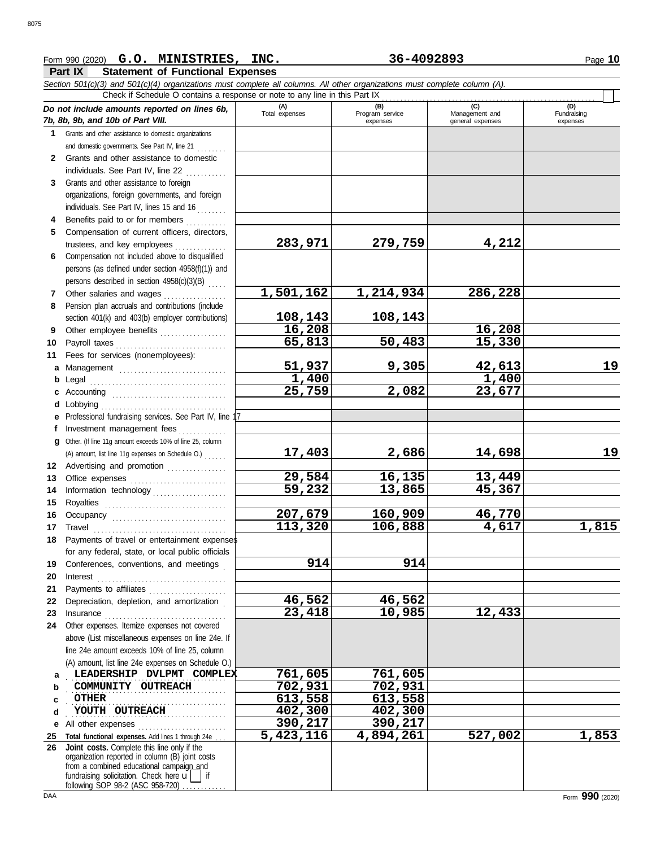## Form 990 (2020) Page **10 G.O. MINISTRIES, INC. 36-4092893**

**Part IX Statement of Functional Expenses**

|              | Section 501(c)(3) and 501(c)(4) organizations must complete all columns. All other organizations must complete column (A).                                                                                                          |                |                             |                                    |                         |  |  |  |  |  |
|--------------|-------------------------------------------------------------------------------------------------------------------------------------------------------------------------------------------------------------------------------------|----------------|-----------------------------|------------------------------------|-------------------------|--|--|--|--|--|
|              | Check if Schedule O contains a response or note to any line in this Part IX<br>(A)<br>(C)<br>(D)<br>(B)                                                                                                                             |                |                             |                                    |                         |  |  |  |  |  |
|              | Do not include amounts reported on lines 6b,<br>7b, 8b, 9b, and 10b of Part VIII.                                                                                                                                                   | Total expenses | Program service<br>expenses | Management and<br>general expenses | Fundraising<br>expenses |  |  |  |  |  |
| 1.           | Grants and other assistance to domestic organizations                                                                                                                                                                               |                |                             |                                    |                         |  |  |  |  |  |
|              | and domestic governments. See Part IV, line 21                                                                                                                                                                                      |                |                             |                                    |                         |  |  |  |  |  |
| $\mathbf{2}$ | Grants and other assistance to domestic                                                                                                                                                                                             |                |                             |                                    |                         |  |  |  |  |  |
|              | individuals. See Part IV, line 22                                                                                                                                                                                                   |                |                             |                                    |                         |  |  |  |  |  |
| 3            | Grants and other assistance to foreign                                                                                                                                                                                              |                |                             |                                    |                         |  |  |  |  |  |
|              | organizations, foreign governments, and foreign                                                                                                                                                                                     |                |                             |                                    |                         |  |  |  |  |  |
|              | individuals. See Part IV, lines 15 and 16                                                                                                                                                                                           |                |                             |                                    |                         |  |  |  |  |  |
| 4            | Benefits paid to or for members                                                                                                                                                                                                     |                |                             |                                    |                         |  |  |  |  |  |
| 5            | Compensation of current officers, directors,                                                                                                                                                                                        |                |                             |                                    |                         |  |  |  |  |  |
|              |                                                                                                                                                                                                                                     | 283,971        | 279,759                     | 4,212                              |                         |  |  |  |  |  |
| 6            | Compensation not included above to disqualified                                                                                                                                                                                     |                |                             |                                    |                         |  |  |  |  |  |
|              | persons (as defined under section 4958(f)(1)) and                                                                                                                                                                                   |                |                             |                                    |                         |  |  |  |  |  |
|              | persons described in section 4958(c)(3)(B)                                                                                                                                                                                          |                |                             |                                    |                         |  |  |  |  |  |
| 7            | Other salaries and wages                                                                                                                                                                                                            | 1,501,162      | 1,214,934                   | 286,228                            |                         |  |  |  |  |  |
| 8            | Pension plan accruals and contributions (include                                                                                                                                                                                    |                |                             |                                    |                         |  |  |  |  |  |
|              | section 401(k) and 403(b) employer contributions)                                                                                                                                                                                   | 108,143        | 108,143                     |                                    |                         |  |  |  |  |  |
| 9            | Other employee benefits                                                                                                                                                                                                             | 16,208         |                             | 16,208                             |                         |  |  |  |  |  |
| 10           | Payroll taxes                                                                                                                                                                                                                       | 65,813         | 50,483                      | 15,330                             |                         |  |  |  |  |  |
| 11           | Fees for services (nonemployees):                                                                                                                                                                                                   | 51,937         | 9,305                       | 42,613                             |                         |  |  |  |  |  |
|              | a Management                                                                                                                                                                                                                        | 1,400          |                             | 1,400                              | 19                      |  |  |  |  |  |
| b            |                                                                                                                                                                                                                                     | 25,759         | 2,082                       | 23,677                             |                         |  |  |  |  |  |
| c            | Lobbying                                                                                                                                                                                                                            |                |                             |                                    |                         |  |  |  |  |  |
| d<br>е       | Professional fundraising services. See Part IV, line 17                                                                                                                                                                             |                |                             |                                    |                         |  |  |  |  |  |
| t.           | Investment management fees                                                                                                                                                                                                          |                |                             |                                    |                         |  |  |  |  |  |
| a            | Other. (If line 11g amount exceeds 10% of line 25, column                                                                                                                                                                           |                |                             |                                    |                         |  |  |  |  |  |
|              | (A) amount, list line 11g expenses on Schedule O.)                                                                                                                                                                                  | 17,403         | 2,686                       | 14,698                             | 19                      |  |  |  |  |  |
|              | 12 Advertising and promotion                                                                                                                                                                                                        |                |                             |                                    |                         |  |  |  |  |  |
| 13           |                                                                                                                                                                                                                                     | 29,584         | 16,135                      | 13,449                             |                         |  |  |  |  |  |
| 14           | Information technology                                                                                                                                                                                                              | 59,232         | 13,865                      | 45,367                             |                         |  |  |  |  |  |
| 15           |                                                                                                                                                                                                                                     |                |                             |                                    |                         |  |  |  |  |  |
| 16           | Occupancy                                                                                                                                                                                                                           | 207,679        | 160,909                     | 46,770                             |                         |  |  |  |  |  |
|              |                                                                                                                                                                                                                                     | 113,320        | 106,888                     | 4,617                              | 1,815                   |  |  |  |  |  |
|              | 18 Payments of travel or entertainment expenses                                                                                                                                                                                     |                |                             |                                    |                         |  |  |  |  |  |
|              | for any federal, state, or local public officials                                                                                                                                                                                   |                |                             |                                    |                         |  |  |  |  |  |
| 19           | Conferences, conventions, and meetings                                                                                                                                                                                              | 914            | 914                         |                                    |                         |  |  |  |  |  |
| 20           | Interest                                                                                                                                                                                                                            |                |                             |                                    |                         |  |  |  |  |  |
| 21           |                                                                                                                                                                                                                                     |                |                             |                                    |                         |  |  |  |  |  |
| 22           | Depreciation, depletion, and amortization                                                                                                                                                                                           | 46,562         | 46,562                      |                                    |                         |  |  |  |  |  |
| 23           | Insurance <b>continuous</b> contains a series of the series of the series of the series of the series of the series of the series of the series of the series of the series of the series of the series of the series of the series | 23,418         | 10,985                      | 12,433                             |                         |  |  |  |  |  |
| 24           | Other expenses. Itemize expenses not covered                                                                                                                                                                                        |                |                             |                                    |                         |  |  |  |  |  |
|              | above (List miscellaneous expenses on line 24e. If                                                                                                                                                                                  |                |                             |                                    |                         |  |  |  |  |  |
|              | line 24e amount exceeds 10% of line 25, column                                                                                                                                                                                      |                |                             |                                    |                         |  |  |  |  |  |
|              | (A) amount, list line 24e expenses on Schedule O.)<br>LEADERSHIP DVLPMT COMPLEX                                                                                                                                                     | 761,605        | 761,605                     |                                    |                         |  |  |  |  |  |
| a<br>b       | COMMUNITY OUTREACH                                                                                                                                                                                                                  | 702,931        | 702,931                     |                                    |                         |  |  |  |  |  |
| c            | ${\tt OTHEN}$                                                                                                                                                                                                                       | 613,558        | 613,558                     |                                    |                         |  |  |  |  |  |
| d            | YOUTH OUTREACH                                                                                                                                                                                                                      | 402,300        | $\overline{402,300}$        |                                    |                         |  |  |  |  |  |
| е            | All other expenses                                                                                                                                                                                                                  | 390,217        | 390,217                     |                                    |                         |  |  |  |  |  |
| 25           | Total functional expenses. Add lines 1 through 24e                                                                                                                                                                                  | 5,423,116      | 4,894,261                   | 527,002                            | 1,853                   |  |  |  |  |  |
| 26           | Joint costs. Complete this line only if the                                                                                                                                                                                         |                |                             |                                    |                         |  |  |  |  |  |
|              | organization reported in column (B) joint costs<br>from a combined educational campaign and                                                                                                                                         |                |                             |                                    |                         |  |  |  |  |  |
|              | fundraising solicitation. Check here $\mathbf{u}$<br>l if                                                                                                                                                                           |                |                             |                                    |                         |  |  |  |  |  |
|              | following SOP 98-2 (ASC 958-720).                                                                                                                                                                                                   |                |                             |                                    |                         |  |  |  |  |  |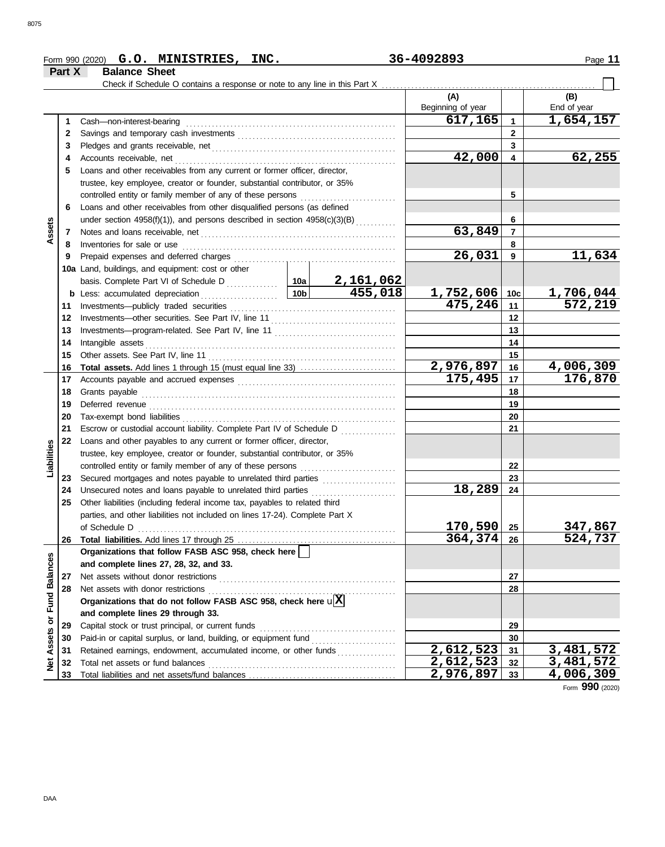|                         |        | Form 990 $(2020)$ G.O. MINISTRIES, INC.                                                                                              |                 |                  | 36-4092893               |                 | Page 11                |
|-------------------------|--------|--------------------------------------------------------------------------------------------------------------------------------------|-----------------|------------------|--------------------------|-----------------|------------------------|
|                         | Part X | <b>Balance Sheet</b>                                                                                                                 |                 |                  |                          |                 |                        |
|                         |        | Check if Schedule O contains a response or note to any line in this Part X                                                           |                 |                  |                          |                 |                        |
|                         |        |                                                                                                                                      |                 |                  | (A)<br>Beginning of year |                 | (B)<br>End of year     |
|                         | 1      | Cash-non-interest-bearing                                                                                                            |                 |                  | 617,165                  | $\mathbf{1}$    | 1,654,157              |
|                         | 2      |                                                                                                                                      |                 |                  |                          | $\mathbf{2}$    |                        |
|                         | 3      |                                                                                                                                      |                 |                  |                          | 3               |                        |
|                         | 4      | Accounts receivable, net                                                                                                             |                 |                  | 42,000                   | 4               | 62,255                 |
|                         | 5      | Loans and other receivables from any current or former officer, director,                                                            |                 |                  |                          |                 |                        |
|                         |        | trustee, key employee, creator or founder, substantial contributor, or 35%                                                           |                 |                  |                          |                 |                        |
|                         |        | controlled entity or family member of any of these persons                                                                           |                 |                  |                          | 5               |                        |
|                         | 6      | Loans and other receivables from other disqualified persons (as defined                                                              |                 |                  |                          |                 |                        |
|                         |        | under section 4958(f)(1)), and persons described in section 4958(c)(3)(B)                                                            |                 |                  |                          | 6               |                        |
| Assets                  | 7      |                                                                                                                                      |                 |                  | 63,849                   | $\overline{7}$  |                        |
|                         | 8      | Inventories for sale or use                                                                                                          |                 |                  |                          | 8               |                        |
|                         | 9      | Prepaid expenses and deferred charges                                                                                                |                 |                  | 26,031                   | 9               | 11,634                 |
|                         |        | 10a Land, buildings, and equipment: cost or other                                                                                    |                 |                  |                          |                 |                        |
|                         |        |                                                                                                                                      |                 | <u>2,161,062</u> |                          |                 |                        |
|                         |        | <b>b</b> Less: accumulated depreciation<br>.                                                                                         | 10 <sub>b</sub> | 455,018          | 1,752,606                | 10 <sub>c</sub> | <u>1,706,044</u>       |
|                         | 11     |                                                                                                                                      |                 |                  | 475,246                  | 11              | $\overline{572,219}$   |
|                         | 12     | Investments-other securities. See Part IV, line 11                                                                                   |                 | 12               |                          |                 |                        |
|                         | 13     |                                                                                                                                      |                 | 13               |                          |                 |                        |
|                         | 14     | Intangible assets                                                                                                                    |                 | 14               |                          |                 |                        |
|                         | 15     | Other assets. See Part IV, line 11                                                                                                   |                 |                  |                          | 15              |                        |
|                         | 16     |                                                                                                                                      |                 |                  | 2,976,897                | 16              | $\overline{4,006,309}$ |
|                         | 17     |                                                                                                                                      |                 |                  | 175,495                  | 17              | 176,870                |
|                         | 18     | Grants payable                                                                                                                       |                 | 18               |                          |                 |                        |
|                         | 19     | Deferred revenue                                                                                                                     |                 |                  |                          | 19              |                        |
|                         | 20     | Tax-exempt bond liabilities                                                                                                          |                 |                  |                          | 20              |                        |
|                         | 21     | Escrow or custodial account liability. Complete Part IV of Schedule D                                                                |                 |                  |                          | 21              |                        |
|                         | 22     | Loans and other payables to any current or former officer, director,                                                                 |                 |                  |                          |                 |                        |
|                         |        | trustee, key employee, creator or founder, substantial contributor, or 35%                                                           |                 |                  |                          |                 |                        |
| Liabilities             |        | controlled entity or family member of any of these persons                                                                           |                 |                  |                          | 22              |                        |
|                         | 23     |                                                                                                                                      |                 |                  |                          | 23              |                        |
|                         | 24     | Unsecured notes and loans payable to unrelated third parties [111] [11] Unsecured notes and loans payable to unrelated third parties |                 |                  | 18,289                   | 24              |                        |
|                         | 25     | Other liabilities (including federal income tax, payables to related third                                                           |                 |                  |                          |                 |                        |
|                         |        | parties, and other liabilities not included on lines 17-24). Complete Part X                                                         |                 |                  |                          |                 |                        |
|                         |        | of Schedule D                                                                                                                        |                 |                  | 170,590                  | 25              | 347,867                |
|                         | 26     |                                                                                                                                      |                 |                  | 364,374                  | 26              | 524,737                |
|                         |        | Organizations that follow FASB ASC 958, check here                                                                                   |                 |                  |                          |                 |                        |
|                         |        | and complete lines 27, 28, 32, and 33.                                                                                               |                 |                  |                          |                 |                        |
|                         | 27     | Net assets without donor restrictions                                                                                                |                 |                  |                          | 27              |                        |
|                         | 28     | Net assets with donor restrictions                                                                                                   |                 |                  |                          | 28              |                        |
|                         |        | Organizations that do not follow FASB ASC 958, check here $\mathbf{u}^{\overline{\mathbf{X}}}$                                       |                 |                  |                          |                 |                        |
|                         |        | and complete lines 29 through 33.                                                                                                    |                 |                  |                          |                 |                        |
| Assets or Fund Balances | 29     | Capital stock or trust principal, or current funds                                                                                   |                 |                  |                          | 29              |                        |
|                         | 30     |                                                                                                                                      |                 |                  |                          | 30              |                        |
|                         | 31     | Retained earnings, endowment, accumulated income, or other funds                                                                     |                 |                  | $\overline{2,612,523}$   | 31              | 3,481,572              |
| <b>Net</b>              | 32     | Total net assets or fund balances                                                                                                    |                 |                  | 2,612,523                | 32              | 3,481,572              |
|                         | 33     |                                                                                                                                      |                 |                  | 2,976,897                | 33              | 4,006,309              |

Form **990** (2020)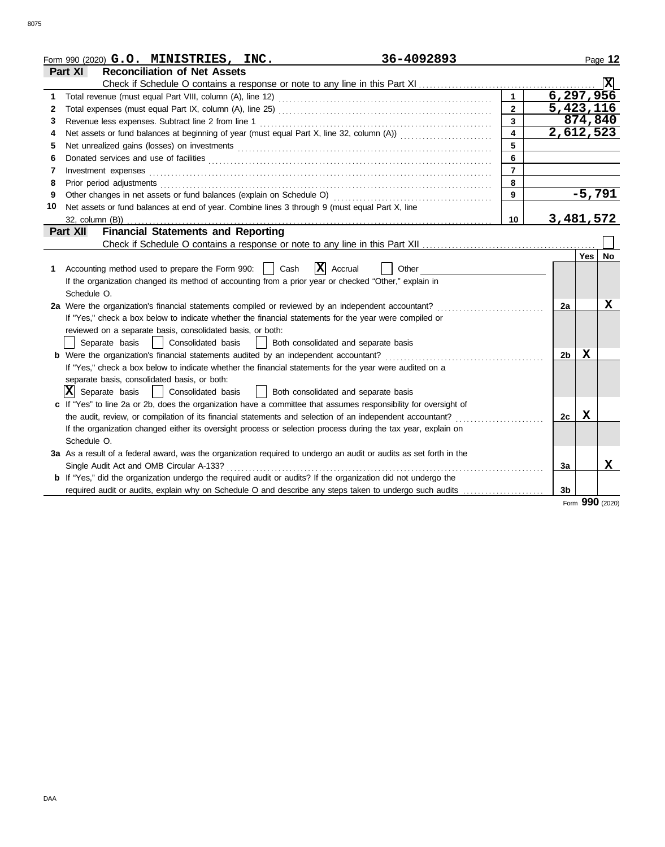|    | 36-4092893<br>Form 990 (2020) G.O. MINISTRIES, INC.                                                                |                |                |             | Page 12         |
|----|--------------------------------------------------------------------------------------------------------------------|----------------|----------------|-------------|-----------------|
|    | Part XI<br><b>Reconciliation of Net Assets</b>                                                                     |                |                |             |                 |
|    | Check if Schedule O contains a response or note to any line in this Part XI                                        |                |                |             |                 |
| 1  |                                                                                                                    | $\mathbf{1}$   | 6, 297, 956    |             |                 |
| 2  |                                                                                                                    | $\mathbf{2}$   | 5,423,116      |             |                 |
| 3  | Revenue less expenses. Subtract line 2 from line 1                                                                 | $\mathbf{3}$   |                | 874,840     |                 |
| 4  |                                                                                                                    | 4              | 2,612,523      |             |                 |
| 5  |                                                                                                                    | 5              |                |             |                 |
| 6  |                                                                                                                    | 6              |                |             |                 |
| 7  | Investment expenses                                                                                                | $\overline{7}$ |                |             |                 |
| 8  | Prior period adjustments                                                                                           | 8              |                |             |                 |
| 9  | Other changes in net assets or fund balances (explain on Schedule O)                                               | 9              |                |             | $-5,791$        |
| 10 | Net assets or fund balances at end of year. Combine lines 3 through 9 (must equal Part X, line                     |                |                |             |                 |
|    | $32$ , column $(B)$ )                                                                                              | 10             | 3,481,572      |             |                 |
|    | <b>Financial Statements and Reporting</b><br><b>Part XII</b>                                                       |                |                |             |                 |
|    |                                                                                                                    |                |                |             |                 |
|    |                                                                                                                    |                |                | Yes   No    |                 |
| 1. | ΙXΙ<br>Accounting method used to prepare the Form 990:     Cash<br>Accrual<br>Other                                |                |                |             |                 |
|    | If the organization changed its method of accounting from a prior year or checked "Other," explain in              |                |                |             |                 |
|    | Schedule O.                                                                                                        |                |                |             |                 |
|    | 2a Were the organization's financial statements compiled or reviewed by an independent accountant?                 |                | 2a             |             | x               |
|    | If "Yes," check a box below to indicate whether the financial statements for the year were compiled or             |                |                |             |                 |
|    | reviewed on a separate basis, consolidated basis, or both:                                                         |                |                |             |                 |
|    | Consolidated basis<br>Separate basis<br>Both consolidated and separate basis                                       |                |                |             |                 |
|    | <b>b</b> Were the organization's financial statements audited by an independent accountant?                        |                | 2 <sub>b</sub> | X           |                 |
|    | If "Yes," check a box below to indicate whether the financial statements for the year were audited on a            |                |                |             |                 |
|    | separate basis, consolidated basis, or both:                                                                       |                |                |             |                 |
|    | $ \mathbf{X} $ Separate basis<br>Consolidated basis<br>Both consolidated and separate basis                        |                |                |             |                 |
|    | c If "Yes" to line 2a or 2b, does the organization have a committee that assumes responsibility for oversight of   |                |                |             |                 |
|    | the audit, review, or compilation of its financial statements and selection of an independent accountant?          |                | 2c             | $\mathbf x$ |                 |
|    | If the organization changed either its oversight process or selection process during the tax year, explain on      |                |                |             |                 |
|    | Schedule O.                                                                                                        |                |                |             |                 |
|    | 3a As a result of a federal award, was the organization required to undergo an audit or audits as set forth in the |                |                |             |                 |
|    | Single Audit Act and OMB Circular A-133?                                                                           |                | 3a             |             | X               |
|    | b If "Yes," did the organization undergo the required audit or audits? If the organization did not undergo the     |                |                |             |                 |
|    |                                                                                                                    |                | 3b             |             |                 |
|    |                                                                                                                    |                |                |             | Form 990 (2020) |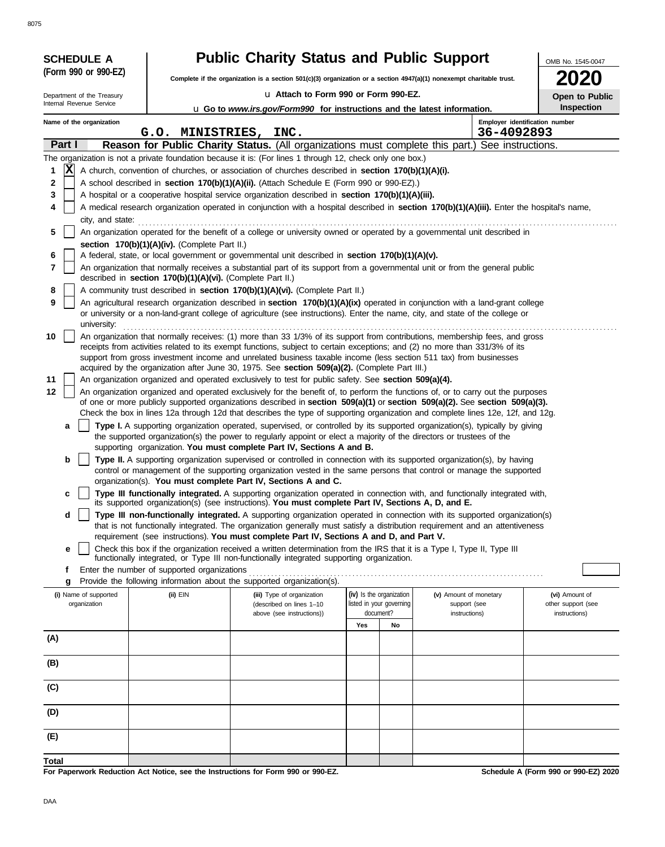|        |                  | <b>SCHEDULE A</b>          |                                                            | <b>Public Charity Status and Public Support</b>                                                                                                                                                                                                                        |                                                        |                                       |                               | OMB No. 1545-0047                    |  |  |  |
|--------|------------------|----------------------------|------------------------------------------------------------|------------------------------------------------------------------------------------------------------------------------------------------------------------------------------------------------------------------------------------------------------------------------|--------------------------------------------------------|---------------------------------------|-------------------------------|--------------------------------------|--|--|--|
|        |                  | (Form 990 or 990-EZ)       |                                                            | Complete if the organization is a section 501(c)(3) organization or a section 4947(a)(1) nonexempt charitable trust.                                                                                                                                                   |                                                        |                                       |                               | 2020                                 |  |  |  |
|        |                  | Department of the Treasury |                                                            |                                                                                                                                                                                                                                                                        | u Attach to Form 990 or Form 990-EZ.<br>Open to Public |                                       |                               |                                      |  |  |  |
|        |                  | Internal Revenue Service   |                                                            | <b>u</b> Go to www.irs.gov/Form990 for instructions and the latest information.                                                                                                                                                                                        |                                                        |                                       |                               | Inspection                           |  |  |  |
|        |                  | Name of the organization   |                                                            |                                                                                                                                                                                                                                                                        |                                                        |                                       |                               | Employer identification number       |  |  |  |
|        |                  |                            | G.O. MINISTRIES,                                           | INC.                                                                                                                                                                                                                                                                   | 36-4092893                                             |                                       |                               |                                      |  |  |  |
| Part I |                  |                            |                                                            | <b>Reason for Public Charity Status.</b> (All organizations must complete this part.) See instructions.                                                                                                                                                                |                                                        |                                       |                               |                                      |  |  |  |
| 1      | ΙX               |                            |                                                            | The organization is not a private foundation because it is: (For lines 1 through 12, check only one box.)<br>A church, convention of churches, or association of churches described in section 170(b)(1)(A)(i).                                                        |                                                        |                                       |                               |                                      |  |  |  |
| 2      |                  |                            |                                                            | A school described in section 170(b)(1)(A)(ii). (Attach Schedule E (Form 990 or 990-EZ).)                                                                                                                                                                              |                                                        |                                       |                               |                                      |  |  |  |
| 3      |                  |                            |                                                            | A hospital or a cooperative hospital service organization described in section 170(b)(1)(A)(iii).                                                                                                                                                                      |                                                        |                                       |                               |                                      |  |  |  |
| 4      |                  |                            |                                                            | A medical research organization operated in conjunction with a hospital described in section 170(b)(1)(A)(iii). Enter the hospital's name,                                                                                                                             |                                                        |                                       |                               |                                      |  |  |  |
|        | city, and state: |                            |                                                            |                                                                                                                                                                                                                                                                        |                                                        |                                       |                               |                                      |  |  |  |
| 5      |                  |                            | section 170(b)(1)(A)(iv). (Complete Part II.)              | An organization operated for the benefit of a college or university owned or operated by a governmental unit described in                                                                                                                                              |                                                        |                                       |                               |                                      |  |  |  |
| 6      |                  |                            |                                                            | A federal, state, or local government or governmental unit described in section 170(b)(1)(A)(v).                                                                                                                                                                       |                                                        |                                       |                               |                                      |  |  |  |
| 7      |                  |                            | described in section 170(b)(1)(A)(vi). (Complete Part II.) | An organization that normally receives a substantial part of its support from a governmental unit or from the general public                                                                                                                                           |                                                        |                                       |                               |                                      |  |  |  |
| 8      |                  |                            |                                                            | A community trust described in section 170(b)(1)(A)(vi). (Complete Part II.)                                                                                                                                                                                           |                                                        |                                       |                               |                                      |  |  |  |
| 9      |                  | university:                |                                                            | An agricultural research organization described in <b>section 170(b)(1)(A)(ix)</b> operated in conjunction with a land-grant college<br>or university or a non-land-grant college of agriculture (see instructions). Enter the name, city, and state of the college or |                                                        |                                       |                               |                                      |  |  |  |
| 10     |                  |                            |                                                            | An organization that normally receives: (1) more than 33 1/3% of its support from contributions, membership fees, and gross                                                                                                                                            |                                                        |                                       |                               |                                      |  |  |  |
|        |                  |                            |                                                            | receipts from activities related to its exempt functions, subject to certain exceptions; and (2) no more than 331/3% of its                                                                                                                                            |                                                        |                                       |                               |                                      |  |  |  |
|        |                  |                            |                                                            | support from gross investment income and unrelated business taxable income (less section 511 tax) from businesses<br>acquired by the organization after June 30, 1975. See section 509(a)(2). (Complete Part III.)                                                     |                                                        |                                       |                               |                                      |  |  |  |
| 11     |                  |                            |                                                            | An organization organized and operated exclusively to test for public safety. See section 509(a)(4).                                                                                                                                                                   |                                                        |                                       |                               |                                      |  |  |  |
| 12     |                  |                            |                                                            | An organization organized and operated exclusively for the benefit of, to perform the functions of, or to carry out the purposes                                                                                                                                       |                                                        |                                       |                               |                                      |  |  |  |
|        |                  |                            |                                                            | of one or more publicly supported organizations described in section 509(a)(1) or section 509(a)(2). See section 509(a)(3).<br>Check the box in lines 12a through 12d that describes the type of supporting organization and complete lines 12e, 12f, and 12g.         |                                                        |                                       |                               |                                      |  |  |  |
|        | a                |                            |                                                            | Type I. A supporting organization operated, supervised, or controlled by its supported organization(s), typically by giving                                                                                                                                            |                                                        |                                       |                               |                                      |  |  |  |
|        |                  |                            |                                                            | the supported organization(s) the power to regularly appoint or elect a majority of the directors or trustees of the                                                                                                                                                   |                                                        |                                       |                               |                                      |  |  |  |
|        |                  |                            |                                                            | supporting organization. You must complete Part IV, Sections A and B.<br>Type II. A supporting organization supervised or controlled in connection with its supported organization(s), by having                                                                       |                                                        |                                       |                               |                                      |  |  |  |
|        | b                |                            |                                                            | control or management of the supporting organization vested in the same persons that control or manage the supported<br>organization(s). You must complete Part IV, Sections A and C.                                                                                  |                                                        |                                       |                               |                                      |  |  |  |
|        | c                |                            |                                                            | Type III functionally integrated. A supporting organization operated in connection with, and functionally integrated with,<br>its supported organization(s) (see instructions). You must complete Part IV, Sections A, D, and E.                                       |                                                        |                                       |                               |                                      |  |  |  |
|        | d                |                            |                                                            | Type III non-functionally integrated. A supporting organization operated in connection with its supported organization(s)<br>that is not functionally integrated. The organization generally must satisfy a distribution requirement and an attentiveness              |                                                        |                                       |                               |                                      |  |  |  |
|        |                  |                            |                                                            | requirement (see instructions). You must complete Part IV, Sections A and D, and Part V.                                                                                                                                                                               |                                                        |                                       |                               |                                      |  |  |  |
|        | е                |                            |                                                            | Check this box if the organization received a written determination from the IRS that it is a Type I, Type II, Type III<br>functionally integrated, or Type III non-functionally integrated supporting organization.                                                   |                                                        |                                       |                               |                                      |  |  |  |
|        | f<br>g           |                            | Enter the number of supported organizations                | Provide the following information about the supported organization(s).                                                                                                                                                                                                 |                                                        |                                       |                               |                                      |  |  |  |
|        |                  | (i) Name of supported      | $(ii)$ EIN                                                 | (iii) Type of organization                                                                                                                                                                                                                                             |                                                        | (iv) Is the organization              | (v) Amount of monetary        | (vi) Amount of                       |  |  |  |
|        |                  | organization               |                                                            | (described on lines 1-10<br>above (see instructions))                                                                                                                                                                                                                  |                                                        | listed in your governing<br>document? | support (see<br>instructions) | other support (see                   |  |  |  |
|        |                  |                            |                                                            |                                                                                                                                                                                                                                                                        | Yes                                                    | No                                    |                               | instructions)                        |  |  |  |
| (A)    |                  |                            |                                                            |                                                                                                                                                                                                                                                                        |                                                        |                                       |                               |                                      |  |  |  |
| (B)    |                  |                            |                                                            |                                                                                                                                                                                                                                                                        |                                                        |                                       |                               |                                      |  |  |  |
|        |                  |                            |                                                            |                                                                                                                                                                                                                                                                        |                                                        |                                       |                               |                                      |  |  |  |
| (C)    |                  |                            |                                                            |                                                                                                                                                                                                                                                                        |                                                        |                                       |                               |                                      |  |  |  |
| (D)    |                  |                            |                                                            |                                                                                                                                                                                                                                                                        |                                                        |                                       |                               |                                      |  |  |  |
| (E)    |                  |                            |                                                            |                                                                                                                                                                                                                                                                        |                                                        |                                       |                               |                                      |  |  |  |
| Total  |                  |                            |                                                            |                                                                                                                                                                                                                                                                        |                                                        |                                       |                               |                                      |  |  |  |
|        |                  |                            |                                                            | For Paperwork Reduction Act Notice, see the Instructions for Form 990 or 990-EZ.                                                                                                                                                                                       |                                                        |                                       |                               | Schedule A (Form 990 or 990-EZ) 2020 |  |  |  |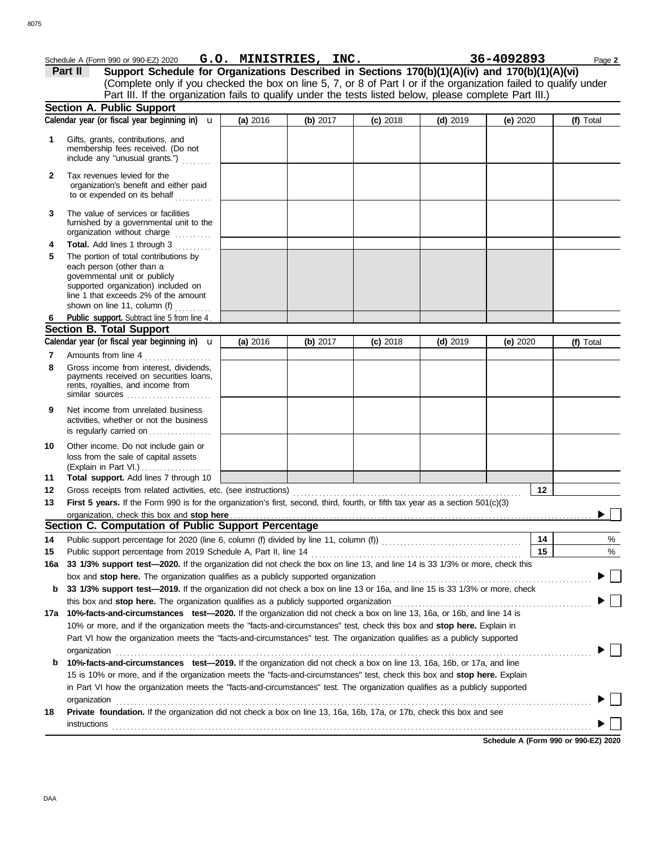|              | Schedule A (Form 990 or 990-EZ) 2020                                                                                            | G.O. MINISTRIES, INC. |          |            |            | 36-4092893 | Page 2    |
|--------------|---------------------------------------------------------------------------------------------------------------------------------|-----------------------|----------|------------|------------|------------|-----------|
|              | Support Schedule for Organizations Described in Sections 170(b)(1)(A)(iv) and 170(b)(1)(A)(vi)<br>Part II                       |                       |          |            |            |            |           |
|              | (Complete only if you checked the box on line 5, 7, or 8 of Part I or if the organization failed to qualify under               |                       |          |            |            |            |           |
|              | Part III. If the organization fails to qualify under the tests listed below, please complete Part III.)                         |                       |          |            |            |            |           |
|              | Section A. Public Support                                                                                                       |                       |          |            |            |            |           |
|              | Calendar year (or fiscal year beginning in) $\mathbf u$                                                                         | (a) 2016              | (b) 2017 | $(c)$ 2018 | $(d)$ 2019 | (e) $2020$ | (f) Total |
| 1            |                                                                                                                                 |                       |          |            |            |            |           |
|              | Gifts, grants, contributions, and<br>membership fees received. (Do not                                                          |                       |          |            |            |            |           |
|              | include any "unusual grants.")                                                                                                  |                       |          |            |            |            |           |
| $\mathbf{2}$ | Tax revenues levied for the                                                                                                     |                       |          |            |            |            |           |
|              | organization's benefit and either paid                                                                                          |                       |          |            |            |            |           |
|              | to or expended on its behalf                                                                                                    |                       |          |            |            |            |           |
|              |                                                                                                                                 |                       |          |            |            |            |           |
| 3            | The value of services or facilities<br>furnished by a governmental unit to the                                                  |                       |          |            |            |            |           |
|              | organization without charge<br><u>.</u>                                                                                         |                       |          |            |            |            |           |
| 4            | Total. Add lines 1 through 3                                                                                                    |                       |          |            |            |            |           |
| 5            | The portion of total contributions by                                                                                           |                       |          |            |            |            |           |
|              | each person (other than a                                                                                                       |                       |          |            |            |            |           |
|              | governmental unit or publicly                                                                                                   |                       |          |            |            |            |           |
|              | supported organization) included on                                                                                             |                       |          |            |            |            |           |
|              | line 1 that exceeds 2% of the amount                                                                                            |                       |          |            |            |            |           |
|              | shown on line 11, column (f)<br>Public support. Subtract line 5 from line 4.                                                    |                       |          |            |            |            |           |
| 6            | <b>Section B. Total Support</b>                                                                                                 |                       |          |            |            |            |           |
|              | Calendar year (or fiscal year beginning in) $\mathbf u$                                                                         | (a) 2016              | (b) 2017 | $(c)$ 2018 | $(d)$ 2019 | (e) 2020   | (f) Total |
| 7            | Amounts from line 4                                                                                                             |                       |          |            |            |            |           |
| 8            | Gross income from interest, dividends,                                                                                          |                       |          |            |            |            |           |
|              | payments received on securities loans,                                                                                          |                       |          |            |            |            |           |
|              | rents, royalties, and income from                                                                                               |                       |          |            |            |            |           |
|              | similar sources                                                                                                                 |                       |          |            |            |            |           |
| 9            | Net income from unrelated business                                                                                              |                       |          |            |            |            |           |
|              | activities, whether or not the business                                                                                         |                       |          |            |            |            |           |
|              | is regularly carried on                                                                                                         |                       |          |            |            |            |           |
| 10           | Other income. Do not include gain or                                                                                            |                       |          |            |            |            |           |
|              | loss from the sale of capital assets                                                                                            |                       |          |            |            |            |           |
|              | (Explain in Part VI.)                                                                                                           |                       |          |            |            |            |           |
| 11           | Total support. Add lines 7 through 10                                                                                           |                       |          |            |            |            |           |
| 12           | Gross receipts from related activities, etc. (see instructions)                                                                 |                       |          |            |            | 12         |           |
| 13           | First 5 years. If the Form 990 is for the organization's first, second, third, fourth, or fifth tax year as a section 501(c)(3) |                       |          |            |            |            |           |
|              | Section C. Computation of Public Support Percentage                                                                             |                       |          |            |            |            |           |
|              |                                                                                                                                 |                       |          |            |            | 14         | %         |
| 14           |                                                                                                                                 |                       |          |            |            | 15         | %         |
| 15           | 33 1/3% support test-2020. If the organization did not check the box on line 13, and line 14 is 33 1/3% or more, check this     |                       |          |            |            |            |           |
| 16a          |                                                                                                                                 |                       |          |            |            |            |           |
|              | box and stop here. The organization qualifies as a publicly supported organization                                              |                       |          |            |            |            |           |
| b            | 33 1/3% support test-2019. If the organization did not check a box on line 13 or 16a, and line 15 is 33 1/3% or more, check     |                       |          |            |            |            |           |
|              | 17a 10%-facts-and-circumstances test-2020. If the organization did not check a box on line 13, 16a, or 16b, and line 14 is      |                       |          |            |            |            |           |
|              |                                                                                                                                 |                       |          |            |            |            |           |
|              | 10% or more, and if the organization meets the "facts-and-circumstances" test, check this box and stop here. Explain in         |                       |          |            |            |            |           |
|              | Part VI how the organization meets the "facts-and-circumstances" test. The organization qualifies as a publicly supported       |                       |          |            |            |            |           |
|              | organization                                                                                                                    |                       |          |            |            |            |           |
| b            | 10%-facts-and-circumstances test-2019. If the organization did not check a box on line 13, 16a, 16b, or 17a, and line           |                       |          |            |            |            |           |
|              | 15 is 10% or more, and if the organization meets the "facts-and-circumstances" test, check this box and stop here. Explain      |                       |          |            |            |            |           |
|              | in Part VI how the organization meets the "facts-and-circumstances" test. The organization qualifies as a publicly supported    |                       |          |            |            |            |           |
|              | organization                                                                                                                    |                       |          |            |            |            |           |
| 18           | Private foundation. If the organization did not check a box on line 13, 16a, 16b, 17a, or 17b, check this box and see           |                       |          |            |            |            |           |
|              | instructions                                                                                                                    |                       |          |            |            |            |           |

**Schedule A (Form 990 or 990-EZ) 2020**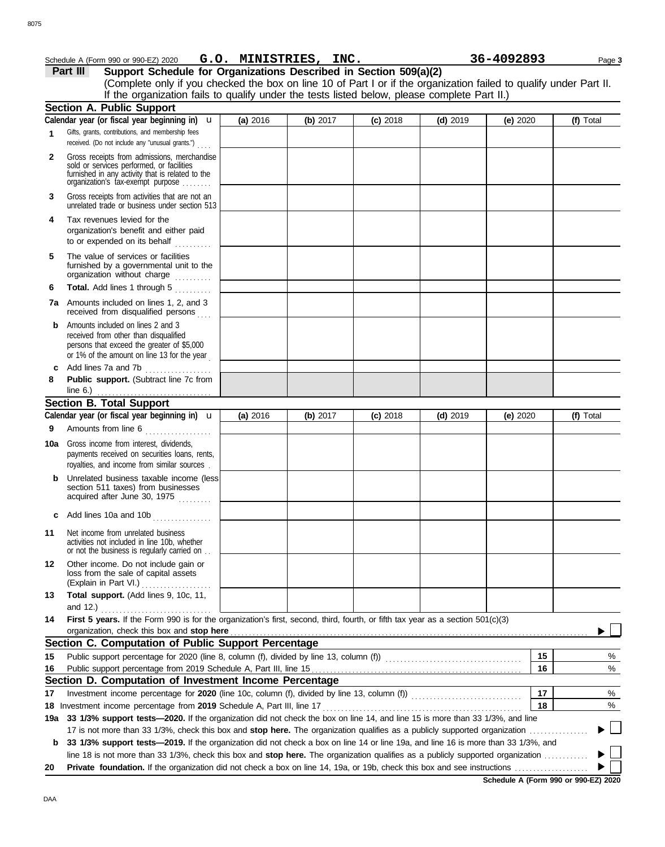## Schedule A (Form 990 or 990-EZ) 2020 Page **3 G.O. MINISTRIES, INC. 36-4092893**

|              | Part III<br>Support Schedule for Organizations Described in Section 509(a)(2)<br>(Complete only if you checked the box on line 10 of Part I or if the organization failed to qualify under Part II.                                                              |          |          |            |            |            |           |
|--------------|------------------------------------------------------------------------------------------------------------------------------------------------------------------------------------------------------------------------------------------------------------------|----------|----------|------------|------------|------------|-----------|
|              | If the organization fails to qualify under the tests listed below, please complete Part II.)                                                                                                                                                                     |          |          |            |            |            |           |
|              | <b>Section A. Public Support</b>                                                                                                                                                                                                                                 |          |          |            |            |            |           |
|              | Calendar year (or fiscal year beginning in) $\mathbf u$                                                                                                                                                                                                          | (a) 2016 | (b) 2017 | $(c)$ 2018 | $(d)$ 2019 | (e) $2020$ | (f) Total |
| 1            | Gifts, grants, contributions, and membership fees<br>received. (Do not include any "unusual grants.")                                                                                                                                                            |          |          |            |            |            |           |
| $\mathbf{2}$ | Gross receipts from admissions, merchandise<br>sold or services performed, or facilities<br>furnished in any activity that is related to the<br>organization's fax-exempt purpose                                                                                |          |          |            |            |            |           |
| 3            | Gross receipts from activities that are not an<br>unrelated trade or business under section 513                                                                                                                                                                  |          |          |            |            |            |           |
| 4            | Tax revenues levied for the<br>organization's benefit and either paid<br>to or expended on its behalf                                                                                                                                                            |          |          |            |            |            |           |
| 5            | The value of services or facilities<br>furnished by a governmental unit to the<br>organization without charge                                                                                                                                                    |          |          |            |            |            |           |
| 6            | Total. Add lines 1 through 5                                                                                                                                                                                                                                     |          |          |            |            |            |           |
|              | 7a Amounts included on lines 1, 2, and 3<br>received from disqualified persons                                                                                                                                                                                   |          |          |            |            |            |           |
| b            | Amounts included on lines 2 and 3<br>received from other than disqualified<br>persons that exceed the greater of \$5,000<br>or 1% of the amount on line 13 for the year                                                                                          |          |          |            |            |            |           |
| c            | Add lines 7a and 7b                                                                                                                                                                                                                                              |          |          |            |            |            |           |
| 8            | Public support. (Subtract line 7c from                                                                                                                                                                                                                           |          |          |            |            |            |           |
|              | line $6.$ )                                                                                                                                                                                                                                                      |          |          |            |            |            |           |
|              | <b>Section B. Total Support</b><br>Calendar year (or fiscal year beginning in) $\mathbf u$                                                                                                                                                                       | (a) 2016 |          |            |            | (e) $2020$ | (f) Total |
| 9            | Amounts from line 6                                                                                                                                                                                                                                              |          | (b) 2017 | $(c)$ 2018 | $(d)$ 2019 |            |           |
| 10a          | Gross income from interest, dividends,<br>payments received on securities loans, rents,<br>royalties, and income from similar sources.                                                                                                                           |          |          |            |            |            |           |
| b            | Unrelated business taxable income (less)<br>section 511 taxes) from businesses<br>acquired after June 30, 1975                                                                                                                                                   |          |          |            |            |            |           |
| C            | Add lines 10a and 10b                                                                                                                                                                                                                                            |          |          |            |            |            |           |
| 11           | Net income from unrelated business<br>activities not included in line 10b, whether<br>or not the business is regularly carried on.                                                                                                                               |          |          |            |            |            |           |
| 12           | Other income. Do not include gain or<br>loss from the sale of capital assets<br>(Explain in Part VI.)<br>. <b>.</b> .                                                                                                                                            |          |          |            |            |            |           |
| 13           | Total support. (Add lines 9, 10c, 11,                                                                                                                                                                                                                            |          |          |            |            |            |           |
|              |                                                                                                                                                                                                                                                                  |          |          |            |            |            |           |
| 14           | First 5 years. If the Form 990 is for the organization's first, second, third, fourth, or fifth tax year as a section 501(c)(3)<br>organization, check this box and stop here                                                                                    |          |          |            |            |            |           |
|              | Section C. Computation of Public Support Percentage                                                                                                                                                                                                              |          |          |            |            |            |           |
| 15           |                                                                                                                                                                                                                                                                  |          |          |            |            | 15         | %         |
| 16           |                                                                                                                                                                                                                                                                  |          |          |            |            | 16         | %         |
|              | Section D. Computation of Investment Income Percentage                                                                                                                                                                                                           |          |          |            |            |            |           |
| 17           |                                                                                                                                                                                                                                                                  |          |          |            |            | 17         | %         |
|              |                                                                                                                                                                                                                                                                  |          |          |            |            | 18         | %         |
|              | 19a 33 1/3% support tests-2020. If the organization did not check the box on line 14, and line 15 is more than 33 1/3%, and line                                                                                                                                 |          |          |            |            |            |           |
| b            | 17 is not more than 33 1/3%, check this box and stop here. The organization qualifies as a publicly supported organization.<br>33 1/3% support tests-2019. If the organization did not check a box on line 14 or line 19a, and line 16 is more than 33 1/3%, and |          |          |            |            |            |           |
|              | line 18 is not more than 33 1/3%, check this box and stop here. The organization qualifies as a publicly supported organization                                                                                                                                  |          |          |            |            |            |           |
| 20           |                                                                                                                                                                                                                                                                  |          |          |            |            |            |           |

**Schedule A (Form 990 or 990-EZ) 2020**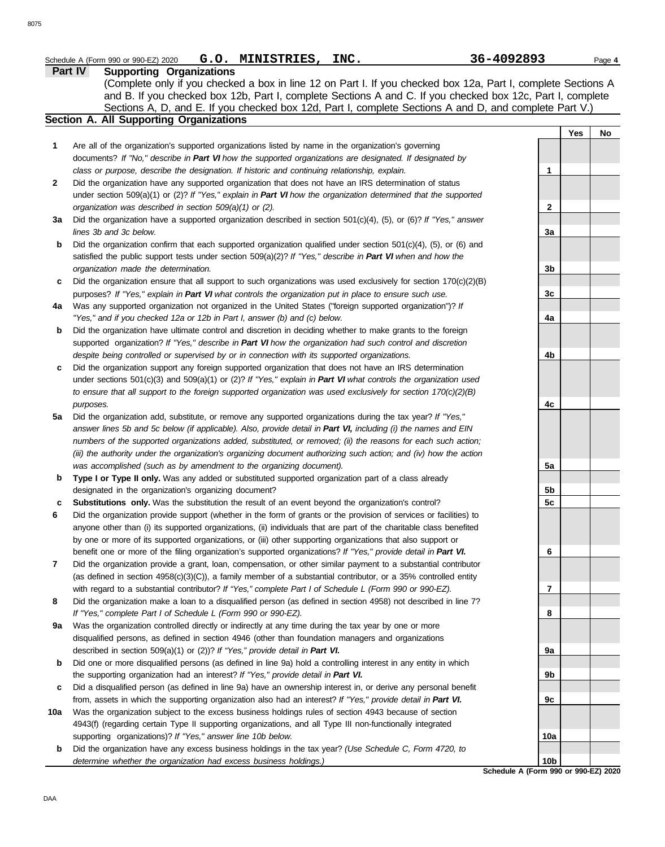|              | G.O. MINISTRIES, INC.<br>Schedule A (Form 990 or 990-EZ) 2020                                                                                                                                                                                                                                                                                                                       | 36-4092893                          |     | Page 4 |
|--------------|-------------------------------------------------------------------------------------------------------------------------------------------------------------------------------------------------------------------------------------------------------------------------------------------------------------------------------------------------------------------------------------|-------------------------------------|-----|--------|
|              | Part IV<br><b>Supporting Organizations</b><br>(Complete only if you checked a box in line 12 on Part I. If you checked box 12a, Part I, complete Sections A<br>and B. If you checked box 12b, Part I, complete Sections A and C. If you checked box 12c, Part I, complete<br>Sections A, D, and E. If you checked box 12d, Part I, complete Sections A and D, and complete Part V.) |                                     |     |        |
|              | Section A. All Supporting Organizations                                                                                                                                                                                                                                                                                                                                             |                                     |     |        |
|              |                                                                                                                                                                                                                                                                                                                                                                                     |                                     | Yes | No     |
| 1            | Are all of the organization's supported organizations listed by name in the organization's governing                                                                                                                                                                                                                                                                                |                                     |     |        |
|              | documents? If "No," describe in Part VI how the supported organizations are designated. If designated by                                                                                                                                                                                                                                                                            | 1                                   |     |        |
| $\mathbf{2}$ | class or purpose, describe the designation. If historic and continuing relationship, explain.                                                                                                                                                                                                                                                                                       |                                     |     |        |
|              | Did the organization have any supported organization that does not have an IRS determination of status<br>under section $509(a)(1)$ or (2)? If "Yes," explain in Part VI how the organization determined that the supported                                                                                                                                                         |                                     |     |        |
|              | organization was described in section 509(a)(1) or (2).                                                                                                                                                                                                                                                                                                                             | 2                                   |     |        |
| За           | Did the organization have a supported organization described in section 501(c)(4), (5), or (6)? If "Yes," answer                                                                                                                                                                                                                                                                    |                                     |     |        |
|              | lines 3b and 3c below.                                                                                                                                                                                                                                                                                                                                                              | 3a                                  |     |        |
| b            | Did the organization confirm that each supported organization qualified under section $501(c)(4)$ , $(5)$ , or $(6)$ and                                                                                                                                                                                                                                                            |                                     |     |        |
|              | satisfied the public support tests under section 509(a)(2)? If "Yes," describe in Part VI when and how the                                                                                                                                                                                                                                                                          |                                     |     |        |
|              | organization made the determination.                                                                                                                                                                                                                                                                                                                                                | 3b                                  |     |        |
| c            | Did the organization ensure that all support to such organizations was used exclusively for section $170(c)(2)(B)$                                                                                                                                                                                                                                                                  |                                     |     |        |
|              | purposes? If "Yes," explain in Part VI what controls the organization put in place to ensure such use.                                                                                                                                                                                                                                                                              | 3 <sub>c</sub>                      |     |        |
| 4a           | Was any supported organization not organized in the United States ("foreign supported organization")? If                                                                                                                                                                                                                                                                            |                                     |     |        |
|              | "Yes," and if you checked 12a or 12b in Part I, answer (b) and (c) below.                                                                                                                                                                                                                                                                                                           | 4a                                  |     |        |
| b            | Did the organization have ultimate control and discretion in deciding whether to make grants to the foreign                                                                                                                                                                                                                                                                         |                                     |     |        |
|              | supported organization? If "Yes," describe in Part VI how the organization had such control and discretion                                                                                                                                                                                                                                                                          |                                     |     |        |
|              | despite being controlled or supervised by or in connection with its supported organizations.                                                                                                                                                                                                                                                                                        | 4b                                  |     |        |
| c            | Did the organization support any foreign supported organization that does not have an IRS determination                                                                                                                                                                                                                                                                             |                                     |     |        |
|              | under sections $501(c)(3)$ and $509(a)(1)$ or (2)? If "Yes," explain in Part VI what controls the organization used                                                                                                                                                                                                                                                                 |                                     |     |        |
|              | to ensure that all support to the foreign supported organization was used exclusively for section $170(c)(2)(B)$                                                                                                                                                                                                                                                                    |                                     |     |        |
|              | purposes.                                                                                                                                                                                                                                                                                                                                                                           | 4c                                  |     |        |
| 5a           | Did the organization add, substitute, or remove any supported organizations during the tax year? If "Yes,"                                                                                                                                                                                                                                                                          |                                     |     |        |
|              | answer lines 5b and 5c below (if applicable). Also, provide detail in Part VI, including (i) the names and EIN                                                                                                                                                                                                                                                                      |                                     |     |        |
|              | numbers of the supported organizations added, substituted, or removed; (ii) the reasons for each such action;                                                                                                                                                                                                                                                                       |                                     |     |        |
|              | (iii) the authority under the organization's organizing document authorizing such action; and (iv) how the action                                                                                                                                                                                                                                                                   |                                     |     |        |
|              | was accomplished (such as by amendment to the organizing document).                                                                                                                                                                                                                                                                                                                 | 5a                                  |     |        |
| b            | Type I or Type II only. Was any added or substituted supported organization part of a class already                                                                                                                                                                                                                                                                                 |                                     |     |        |
|              | designated in the organization's organizing document?                                                                                                                                                                                                                                                                                                                               | 5 <sub>b</sub>                      |     |        |
| c            | Substitutions only. Was the substitution the result of an event beyond the organization's control?                                                                                                                                                                                                                                                                                  | 5c                                  |     |        |
| 6            | Did the organization provide support (whether in the form of grants or the provision of services or facilities) to                                                                                                                                                                                                                                                                  |                                     |     |        |
|              | anyone other than (i) its supported organizations, (ii) individuals that are part of the charitable class benefited                                                                                                                                                                                                                                                                 |                                     |     |        |
|              | by one or more of its supported organizations, or (iii) other supporting organizations that also support or                                                                                                                                                                                                                                                                         |                                     |     |        |
|              | benefit one or more of the filing organization's supported organizations? If "Yes," provide detail in Part VI.                                                                                                                                                                                                                                                                      | 6                                   |     |        |
| 7            | Did the organization provide a grant, loan, compensation, or other similar payment to a substantial contributor                                                                                                                                                                                                                                                                     |                                     |     |        |
|              | (as defined in section $4958(c)(3)(C)$ ), a family member of a substantial contributor, or a 35% controlled entity                                                                                                                                                                                                                                                                  |                                     |     |        |
|              | with regard to a substantial contributor? If "Yes," complete Part I of Schedule L (Form 990 or 990-EZ).                                                                                                                                                                                                                                                                             | 7                                   |     |        |
| 8            | Did the organization make a loan to a disqualified person (as defined in section 4958) not described in line 7?                                                                                                                                                                                                                                                                     |                                     |     |        |
|              | If "Yes," complete Part I of Schedule L (Form 990 or 990-EZ).                                                                                                                                                                                                                                                                                                                       | 8                                   |     |        |
| 9a           | Was the organization controlled directly or indirectly at any time during the tax year by one or more                                                                                                                                                                                                                                                                               |                                     |     |        |
|              | disqualified persons, as defined in section 4946 (other than foundation managers and organizations                                                                                                                                                                                                                                                                                  |                                     |     |        |
|              | described in section 509(a)(1) or (2))? If "Yes," provide detail in Part VI.                                                                                                                                                                                                                                                                                                        | 9а                                  |     |        |
| b            | Did one or more disqualified persons (as defined in line 9a) hold a controlling interest in any entity in which                                                                                                                                                                                                                                                                     |                                     |     |        |
|              | the supporting organization had an interest? If "Yes," provide detail in Part VI.                                                                                                                                                                                                                                                                                                   | 9b                                  |     |        |
| c            | Did a disqualified person (as defined in line 9a) have an ownership interest in, or derive any personal benefit                                                                                                                                                                                                                                                                     |                                     |     |        |
|              | from, assets in which the supporting organization also had an interest? If "Yes," provide detail in Part VI.                                                                                                                                                                                                                                                                        | 9c                                  |     |        |
| 10a          | Was the organization subject to the excess business holdings rules of section 4943 because of section                                                                                                                                                                                                                                                                               |                                     |     |        |
|              | 4943(f) (regarding certain Type II supporting organizations, and all Type III non-functionally integrated                                                                                                                                                                                                                                                                           |                                     |     |        |
|              | supporting organizations)? If "Yes," answer line 10b below.                                                                                                                                                                                                                                                                                                                         | 10a                                 |     |        |
| b            | Did the organization have any excess business holdings in the tax year? (Use Schedule C, Form 4720, to                                                                                                                                                                                                                                                                              |                                     |     |        |
|              | determine whether the organization had excess business holdings.)                                                                                                                                                                                                                                                                                                                   | 10 <sub>b</sub>                     |     |        |
|              |                                                                                                                                                                                                                                                                                                                                                                                     | Schedule A (Form 990 or 990-EZ) 202 |     |        |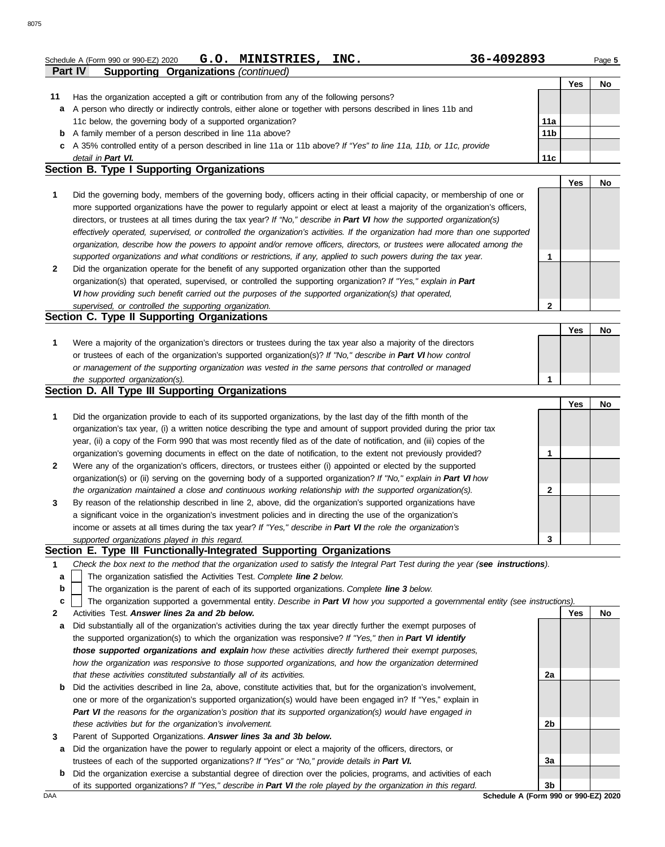|    | G.O. MINISTRIES,<br>Schedule A (Form 990 or 990-EZ) 2020                                | INC. | 36-4092893 |            | Page 5 |
|----|-----------------------------------------------------------------------------------------|------|------------|------------|--------|
|    | Part IV<br><b>Supporting Organizations (continued)</b>                                  |      |            |            |        |
|    |                                                                                         |      |            | <b>Yes</b> | No     |
| 11 | Has the organization accepted a gift or contribution from any of the following persons? |      |            |            |        |

**a** A person who directly or indirectly controls, either alone or together with persons described in lines 11b and 11c below, the governing body of a supported organization?

- **b** A family member of a person described in line 11a above?
- **c** A 35% controlled entity of a person described in line 11a or 11b above? *If "Yes" to line 11a, 11b, or 11c, provide detail in Part VI.*

## **Section B. Type I Supporting Organizations**

**2 1** *supported organizations and what conditions or restrictions, if any, applied to such powers during the tax year. organization, describe how the powers to appoint and/or remove officers, directors, or trustees were allocated among the effectively operated, supervised, or controlled the organization's activities. If the organization had more than one supported* directors, or trustees at all times during the tax year? *If "No," describe in Part VI how the supported organization(s)* more supported organizations have the power to regularly appoint or elect at least a majority of the organization's officers, Did the governing body, members of the governing body, officers acting in their official capacity, or membership of one or Did the organization operate for the benefit of any supported organization other than the supported organization(s) that operated, supervised, or controlled the supporting organization? *If "Yes," explain in Part VI how providing such benefit carried out the purposes of the supported organization(s) that operated, supervised, or controlled the supporting organization.* **2 1 Yes No**

## **Section C. Type II Supporting Organizations**

Were a majority of the organization's directors or trustees during the tax year also a majority of the directors or trustees of each of the organization's supported organization(s)? *If "No," describe in Part VI how control* **1** *or management of the supporting organization was vested in the same persons that controlled or managed the supported organization(s).* **Yes No 1**

## **Section D. All Type III Supporting Organizations**

|              |                                                                                                                        |   | Yes | No |
|--------------|------------------------------------------------------------------------------------------------------------------------|---|-----|----|
| 1            | Did the organization provide to each of its supported organizations, by the last day of the fifth month of the         |   |     |    |
|              | organization's tax year, (i) a written notice describing the type and amount of support provided during the prior tax  |   |     |    |
|              | year, (ii) a copy of the Form 990 that was most recently filed as of the date of notification, and (iii) copies of the |   |     |    |
|              | organization's governing documents in effect on the date of notification, to the extent not previously provided?       |   |     |    |
| $\mathbf{2}$ | Were any of the organization's officers, directors, or trustees either (i) appointed or elected by the supported       |   |     |    |
|              | organization(s) or (ii) serving on the governing body of a supported organization? If "No," explain in Part VI how     |   |     |    |
|              | the organization maintained a close and continuous working relationship with the supported organization(s).            | 2 |     |    |
| $\mathbf{3}$ | By reason of the relationship described in line 2, above, did the organization's supported organizations have          |   |     |    |
|              | a significant voice in the organization's investment policies and in directing the use of the organization's           |   |     |    |
|              | income or assets at all times during the tax year? If "Yes," describe in Part VI the role the organization's           |   |     |    |
|              | supported organizations played in this regard.                                                                         | 3 |     |    |

## **Section E. Type III Functionally-Integrated Supporting Organizations**

- **1** *Check the box next to the method that the organization used to satisfy the Integral Part Test during the year (see instructions).*
	- The organization satisfied the Activities Test. *Complete line 2 below.* **a**
- The organization is the parent of each of its supported organizations. *Complete line 3 below.* **b**
- The organization supported a governmental entity. *Describe in Part VI how you supported a governmental entity (see instructions).* **c**
- **2** Activities Test. *Answer lines 2a and 2b below.*
- **a** Did substantially all of the organization's activities during the tax year directly further the exempt purposes of the supported organization(s) to which the organization was responsive? *If "Yes," then in Part VI identify those supported organizations and explain how these activities directly furthered their exempt purposes,*  how the organization was responsive to those supported organizations, and how the organization determined *that these activities constituted substantially all of its activities.*
- **b** Did the activities described in line 2a, above, constitute activities that, but for the organization's involvement, one or more of the organization's supported organization(s) would have been engaged in? If "Yes," explain in *Part VI the reasons for the organization's position that its supported organization(s) would have engaged in these activities but for the organization's involvement.*
- **3** Parent of Supported Organizations. *Answer lines 3a and 3b below.*
- **a** Did the organization have the power to regularly appoint or elect a majority of the officers, directors, or trustees of each of the supported organizations? *If "Yes" or "No," provide details in Part VI.*
- **b** Did the organization exercise a substantial degree of direction over the policies, programs, and activities of each of its supported organizations? *If "Yes," describe in Part VI the role played by the organization in this regard.*

**Yes No 2a 2b 3a 3b**

DAA **Schedule A (Form 990 or 990-EZ) 2020**

**11a 11b**

**11c**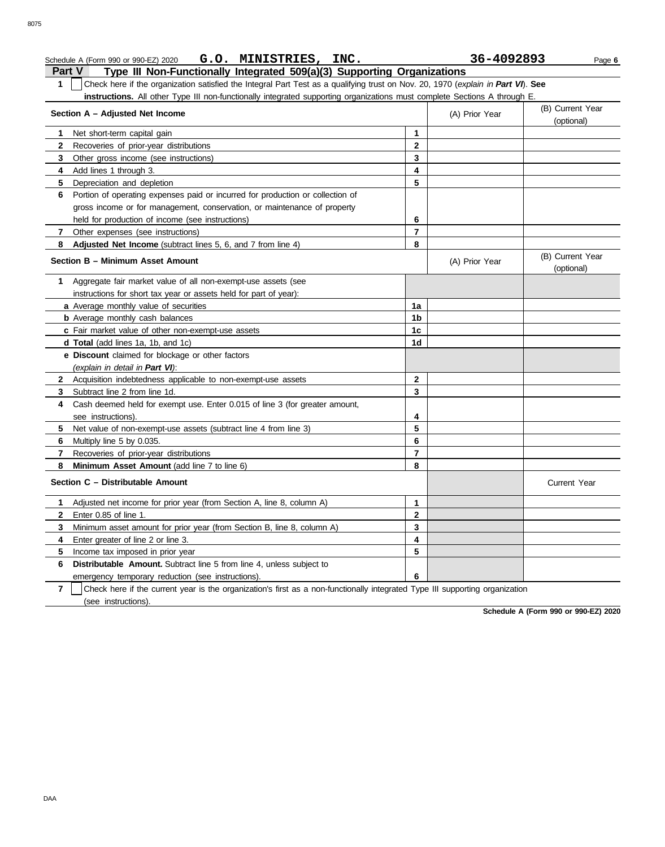## Schedule A (Form 990 or 990-EZ) 2020 **G.O. MINISTRIES, INC.** 36-4092893 Page 6 **G.O. MINISTRIES,**

**Part V Type III Non-Functionally Integrated 509(a)(3) Supporting Organizations 1** Check here if the organization satisfied the Integral Part Test as a qualifying trust on Nov. 20, 1970 (*explain in Part VI*). **See instructions.** All other Type III non-functionally integrated supporting organizations must complete Sections A through E.

|                | Section A - Adjusted Net Income                                                                                                                     | (A) Prior Year | (B) Current Year<br>(optional) |                                |
|----------------|-----------------------------------------------------------------------------------------------------------------------------------------------------|----------------|--------------------------------|--------------------------------|
| 1              | Net short-term capital gain                                                                                                                         | 1              |                                |                                |
| $\mathbf{2}$   | Recoveries of prior-year distributions                                                                                                              | $\overline{2}$ |                                |                                |
| 3              | Other gross income (see instructions)                                                                                                               | 3              |                                |                                |
| 4              | Add lines 1 through 3.                                                                                                                              | 4              |                                |                                |
| 5              | Depreciation and depletion                                                                                                                          | 5              |                                |                                |
| 6              | Portion of operating expenses paid or incurred for production or collection of                                                                      |                |                                |                                |
|                | gross income or for management, conservation, or maintenance of property                                                                            |                |                                |                                |
|                | held for production of income (see instructions)                                                                                                    | 6              |                                |                                |
| $\mathbf{7}$   | Other expenses (see instructions)                                                                                                                   | $\overline{7}$ |                                |                                |
| 8              | Adjusted Net Income (subtract lines 5, 6, and 7 from line 4)                                                                                        | 8              |                                |                                |
|                | Section B - Minimum Asset Amount                                                                                                                    |                | (A) Prior Year                 | (B) Current Year<br>(optional) |
| 1.             | Aggregate fair market value of all non-exempt-use assets (see                                                                                       |                |                                |                                |
|                | instructions for short tax year or assets held for part of year):                                                                                   |                |                                |                                |
|                | a Average monthly value of securities                                                                                                               | 1a             |                                |                                |
|                | <b>b</b> Average monthly cash balances                                                                                                              | 1 <sub>b</sub> |                                |                                |
|                | c Fair market value of other non-exempt-use assets                                                                                                  | 1 <sub>c</sub> |                                |                                |
|                | <b>d Total</b> (add lines 1a, 1b, and 1c)                                                                                                           | 1 <sub>d</sub> |                                |                                |
|                | <b>e Discount</b> claimed for blockage or other factors                                                                                             |                |                                |                                |
|                | (explain in detail in Part VI):                                                                                                                     |                |                                |                                |
| $\mathbf{2}$   | Acquisition indebtedness applicable to non-exempt-use assets                                                                                        | $\mathbf{2}$   |                                |                                |
| 3              | Subtract line 2 from line 1d.                                                                                                                       | 3              |                                |                                |
| 4              | Cash deemed held for exempt use. Enter 0.015 of line 3 (for greater amount,                                                                         |                |                                |                                |
|                | see instructions).                                                                                                                                  | 4              |                                |                                |
| 5.             | Net value of non-exempt-use assets (subtract line 4 from line 3)                                                                                    | 5              |                                |                                |
| 6              | Multiply line 5 by 0.035.                                                                                                                           | 6              |                                |                                |
| 7              | Recoveries of prior-year distributions                                                                                                              | $\overline{7}$ |                                |                                |
| 8              | Minimum Asset Amount (add line 7 to line 6)                                                                                                         | 8              |                                |                                |
|                | Section C - Distributable Amount                                                                                                                    |                |                                | <b>Current Year</b>            |
| 1.             | Adjusted net income for prior year (from Section A, line 8, column A)                                                                               | 1              |                                |                                |
| $\mathbf{2}$   | Enter 0.85 of line 1.                                                                                                                               | $\overline{2}$ |                                |                                |
| 3              | Minimum asset amount for prior year (from Section B, line 8, column A)                                                                              | 3              |                                |                                |
| 4              | Enter greater of line 2 or line 3.                                                                                                                  | 4              |                                |                                |
| 5.             | Income tax imposed in prior year                                                                                                                    | 5              |                                |                                |
| 6              | <b>Distributable Amount.</b> Subtract line 5 from line 4, unless subject to                                                                         |                |                                |                                |
|                | emergency temporary reduction (see instructions).                                                                                                   | 6              |                                |                                |
| $\overline{7}$ | Check here if the current year is the organization's first as a non-functionally integrated Type III supporting organization<br>(see instructions). |                |                                |                                |

**Schedule A (Form 990 or 990-EZ) 2020**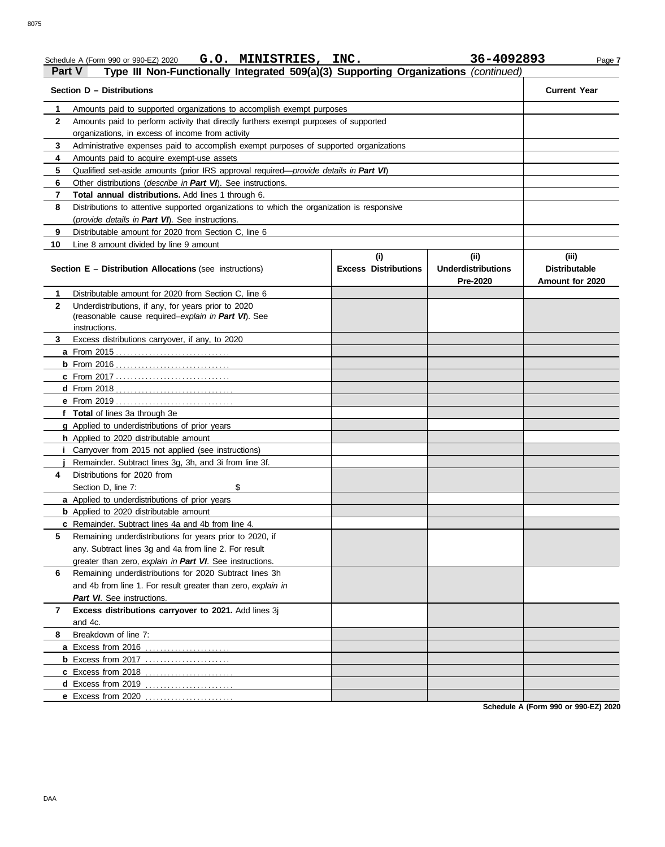## Schedule A (Form 990 or 990-EZ) 2020 Page **7 G.O. MINISTRIES, INC. 36-4092893**

## **Part V Type III Non-Functionally Integrated 509(a)(3) Supporting Organizations** *(continued)*

| Section D - Distributions | <b>Current Year</b>                                                                                                         |                                    |                                               |                                                  |  |  |  |  |
|---------------------------|-----------------------------------------------------------------------------------------------------------------------------|------------------------------------|-----------------------------------------------|--------------------------------------------------|--|--|--|--|
| 1                         | Amounts paid to supported organizations to accomplish exempt purposes                                                       |                                    |                                               |                                                  |  |  |  |  |
| 2                         | Amounts paid to perform activity that directly furthers exempt purposes of supported                                        |                                    |                                               |                                                  |  |  |  |  |
|                           | organizations, in excess of income from activity                                                                            |                                    |                                               |                                                  |  |  |  |  |
| 3                         | Administrative expenses paid to accomplish exempt purposes of supported organizations                                       |                                    |                                               |                                                  |  |  |  |  |
| 4                         | Amounts paid to acquire exempt-use assets                                                                                   |                                    |                                               |                                                  |  |  |  |  |
| 5                         | Qualified set-aside amounts (prior IRS approval required—provide details in Part VI)                                        |                                    |                                               |                                                  |  |  |  |  |
| 6                         | Other distributions (describe in Part VI). See instructions.                                                                |                                    |                                               |                                                  |  |  |  |  |
| 7                         | Total annual distributions. Add lines 1 through 6.                                                                          |                                    |                                               |                                                  |  |  |  |  |
| 8                         | Distributions to attentive supported organizations to which the organization is responsive                                  |                                    |                                               |                                                  |  |  |  |  |
|                           | (provide details in Part VI). See instructions.                                                                             |                                    |                                               |                                                  |  |  |  |  |
| 9                         | Distributable amount for 2020 from Section C, line 6                                                                        |                                    |                                               |                                                  |  |  |  |  |
| 10                        | Line 8 amount divided by line 9 amount                                                                                      |                                    |                                               |                                                  |  |  |  |  |
|                           | <b>Section E – Distribution Allocations</b> (see instructions)                                                              | (i)<br><b>Excess Distributions</b> | (ii)<br><b>Underdistributions</b><br>Pre-2020 | (iii)<br><b>Distributable</b><br>Amount for 2020 |  |  |  |  |
| 1                         | Distributable amount for 2020 from Section C, line 6                                                                        |                                    |                                               |                                                  |  |  |  |  |
| $\mathbf{2}$              | Underdistributions, if any, for years prior to 2020<br>(reasonable cause required-explain in Part VI). See<br>instructions. |                                    |                                               |                                                  |  |  |  |  |
| 3                         | Excess distributions carryover, if any, to 2020                                                                             |                                    |                                               |                                                  |  |  |  |  |
|                           |                                                                                                                             |                                    |                                               |                                                  |  |  |  |  |
|                           |                                                                                                                             |                                    |                                               |                                                  |  |  |  |  |
|                           | c From 2017 <u></u>                                                                                                         |                                    |                                               |                                                  |  |  |  |  |
|                           |                                                                                                                             |                                    |                                               |                                                  |  |  |  |  |
|                           |                                                                                                                             |                                    |                                               |                                                  |  |  |  |  |
|                           | f Total of lines 3a through 3e                                                                                              |                                    |                                               |                                                  |  |  |  |  |
|                           | g Applied to underdistributions of prior years                                                                              |                                    |                                               |                                                  |  |  |  |  |
|                           | h Applied to 2020 distributable amount                                                                                      |                                    |                                               |                                                  |  |  |  |  |
|                           | <i>i</i> Carryover from 2015 not applied (see instructions)                                                                 |                                    |                                               |                                                  |  |  |  |  |
|                           | Remainder. Subtract lines 3g, 3h, and 3i from line 3f.                                                                      |                                    |                                               |                                                  |  |  |  |  |
| 4                         | Distributions for 2020 from                                                                                                 |                                    |                                               |                                                  |  |  |  |  |
|                           | Section D, line 7:<br>\$                                                                                                    |                                    |                                               |                                                  |  |  |  |  |
|                           | a Applied to underdistributions of prior years                                                                              |                                    |                                               |                                                  |  |  |  |  |
|                           | <b>b</b> Applied to 2020 distributable amount                                                                               |                                    |                                               |                                                  |  |  |  |  |
|                           | c Remainder. Subtract lines 4a and 4b from line 4.                                                                          |                                    |                                               |                                                  |  |  |  |  |
|                           | Remaining underdistributions for years prior to 2020, if                                                                    |                                    |                                               |                                                  |  |  |  |  |
|                           | any. Subtract lines 3q and 4a from line 2. For result                                                                       |                                    |                                               |                                                  |  |  |  |  |
|                           | greater than zero, explain in Part VI. See instructions.                                                                    |                                    |                                               |                                                  |  |  |  |  |
| 6                         | Remaining underdistributions for 2020 Subtract lines 3h                                                                     |                                    |                                               |                                                  |  |  |  |  |
|                           | and 4b from line 1. For result greater than zero, explain in                                                                |                                    |                                               |                                                  |  |  |  |  |
|                           | Part VI. See instructions.                                                                                                  |                                    |                                               |                                                  |  |  |  |  |
| 7                         | Excess distributions carryover to 2021. Add lines 3j                                                                        |                                    |                                               |                                                  |  |  |  |  |
|                           | and 4c.                                                                                                                     |                                    |                                               |                                                  |  |  |  |  |
| 8                         | Breakdown of line 7:                                                                                                        |                                    |                                               |                                                  |  |  |  |  |
|                           | a Excess from 2016                                                                                                          |                                    |                                               |                                                  |  |  |  |  |
|                           | <b>b</b> Excess from 2017                                                                                                   |                                    |                                               |                                                  |  |  |  |  |
|                           |                                                                                                                             |                                    |                                               |                                                  |  |  |  |  |
|                           | d Excess from 2019<br>.                                                                                                     |                                    |                                               |                                                  |  |  |  |  |
|                           | e Excess from 2020                                                                                                          |                                    |                                               |                                                  |  |  |  |  |

**Schedule A (Form 990 or 990-EZ) 2020**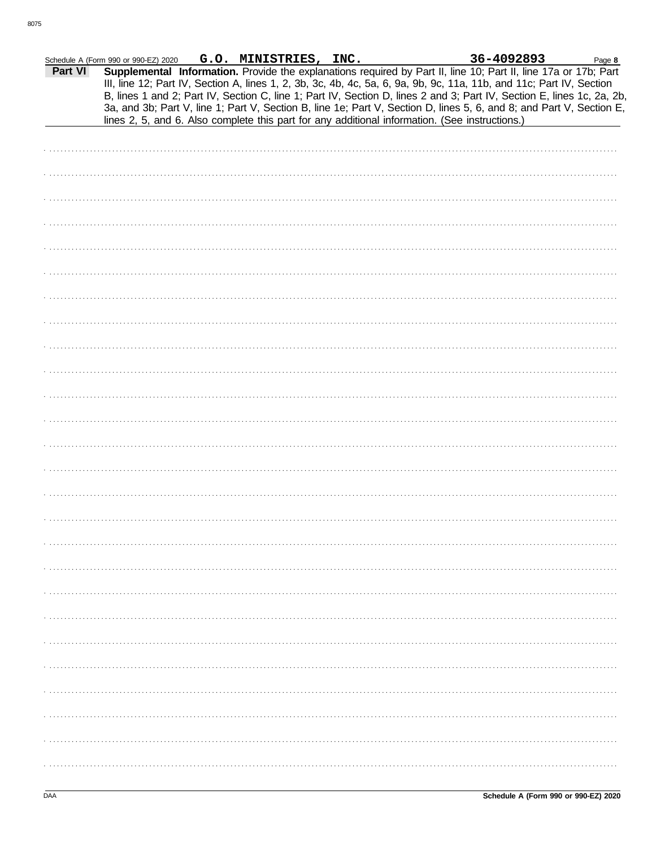|         | Schedule A (Form 990 or 990-EZ) 2020 | G.O. MINISTRIES, INC.                                                                          |  | 36-4092893                                                                                                                                                                                                                                                                                                                                                                                                                                                                                | Page 8 |
|---------|--------------------------------------|------------------------------------------------------------------------------------------------|--|-------------------------------------------------------------------------------------------------------------------------------------------------------------------------------------------------------------------------------------------------------------------------------------------------------------------------------------------------------------------------------------------------------------------------------------------------------------------------------------------|--------|
| Part VI |                                      |                                                                                                |  | Supplemental Information. Provide the explanations required by Part II, line 10; Part II, line 17a or 17b; Part<br>III, line 12; Part IV, Section A, lines 1, 2, 3b, 3c, 4b, 4c, 5a, 6, 9a, 9b, 9c, 11a, 11b, and 11c; Part IV, Section<br>B, lines 1 and 2; Part IV, Section C, line 1; Part IV, Section D, lines 2 and 3; Part IV, Section E, lines 1c, 2a, 2b,<br>3a, and 3b; Part V, line 1; Part V, Section B, line 1e; Part V, Section D, lines 5, 6, and 8; and Part V, Section E, |        |
|         |                                      | lines 2, 5, and 6. Also complete this part for any additional information. (See instructions.) |  |                                                                                                                                                                                                                                                                                                                                                                                                                                                                                           |        |
|         |                                      |                                                                                                |  |                                                                                                                                                                                                                                                                                                                                                                                                                                                                                           |        |
|         |                                      |                                                                                                |  |                                                                                                                                                                                                                                                                                                                                                                                                                                                                                           |        |
|         |                                      |                                                                                                |  |                                                                                                                                                                                                                                                                                                                                                                                                                                                                                           |        |
|         |                                      |                                                                                                |  |                                                                                                                                                                                                                                                                                                                                                                                                                                                                                           |        |
|         |                                      |                                                                                                |  |                                                                                                                                                                                                                                                                                                                                                                                                                                                                                           |        |
|         |                                      |                                                                                                |  |                                                                                                                                                                                                                                                                                                                                                                                                                                                                                           |        |
|         |                                      |                                                                                                |  |                                                                                                                                                                                                                                                                                                                                                                                                                                                                                           |        |
|         |                                      |                                                                                                |  |                                                                                                                                                                                                                                                                                                                                                                                                                                                                                           |        |
|         |                                      |                                                                                                |  |                                                                                                                                                                                                                                                                                                                                                                                                                                                                                           |        |
|         |                                      |                                                                                                |  |                                                                                                                                                                                                                                                                                                                                                                                                                                                                                           |        |
|         |                                      |                                                                                                |  |                                                                                                                                                                                                                                                                                                                                                                                                                                                                                           |        |
|         |                                      |                                                                                                |  |                                                                                                                                                                                                                                                                                                                                                                                                                                                                                           |        |
|         |                                      |                                                                                                |  |                                                                                                                                                                                                                                                                                                                                                                                                                                                                                           |        |
|         |                                      |                                                                                                |  |                                                                                                                                                                                                                                                                                                                                                                                                                                                                                           |        |
|         |                                      |                                                                                                |  |                                                                                                                                                                                                                                                                                                                                                                                                                                                                                           |        |
|         |                                      |                                                                                                |  |                                                                                                                                                                                                                                                                                                                                                                                                                                                                                           |        |
|         |                                      |                                                                                                |  |                                                                                                                                                                                                                                                                                                                                                                                                                                                                                           |        |
|         |                                      |                                                                                                |  |                                                                                                                                                                                                                                                                                                                                                                                                                                                                                           |        |
|         |                                      |                                                                                                |  |                                                                                                                                                                                                                                                                                                                                                                                                                                                                                           |        |
|         |                                      |                                                                                                |  |                                                                                                                                                                                                                                                                                                                                                                                                                                                                                           |        |
|         |                                      |                                                                                                |  |                                                                                                                                                                                                                                                                                                                                                                                                                                                                                           |        |
|         |                                      |                                                                                                |  |                                                                                                                                                                                                                                                                                                                                                                                                                                                                                           |        |
|         |                                      |                                                                                                |  |                                                                                                                                                                                                                                                                                                                                                                                                                                                                                           |        |
|         |                                      |                                                                                                |  |                                                                                                                                                                                                                                                                                                                                                                                                                                                                                           |        |
|         |                                      |                                                                                                |  |                                                                                                                                                                                                                                                                                                                                                                                                                                                                                           |        |
|         |                                      |                                                                                                |  |                                                                                                                                                                                                                                                                                                                                                                                                                                                                                           |        |
|         |                                      |                                                                                                |  |                                                                                                                                                                                                                                                                                                                                                                                                                                                                                           |        |
|         |                                      |                                                                                                |  |                                                                                                                                                                                                                                                                                                                                                                                                                                                                                           |        |
|         |                                      |                                                                                                |  |                                                                                                                                                                                                                                                                                                                                                                                                                                                                                           |        |
|         |                                      |                                                                                                |  |                                                                                                                                                                                                                                                                                                                                                                                                                                                                                           |        |
|         |                                      |                                                                                                |  |                                                                                                                                                                                                                                                                                                                                                                                                                                                                                           |        |
|         |                                      |                                                                                                |  |                                                                                                                                                                                                                                                                                                                                                                                                                                                                                           |        |
|         |                                      |                                                                                                |  |                                                                                                                                                                                                                                                                                                                                                                                                                                                                                           |        |
|         |                                      |                                                                                                |  |                                                                                                                                                                                                                                                                                                                                                                                                                                                                                           |        |
|         |                                      |                                                                                                |  |                                                                                                                                                                                                                                                                                                                                                                                                                                                                                           |        |
|         |                                      |                                                                                                |  |                                                                                                                                                                                                                                                                                                                                                                                                                                                                                           |        |
|         |                                      |                                                                                                |  |                                                                                                                                                                                                                                                                                                                                                                                                                                                                                           |        |
|         |                                      |                                                                                                |  |                                                                                                                                                                                                                                                                                                                                                                                                                                                                                           |        |
|         |                                      |                                                                                                |  |                                                                                                                                                                                                                                                                                                                                                                                                                                                                                           |        |
|         |                                      |                                                                                                |  |                                                                                                                                                                                                                                                                                                                                                                                                                                                                                           |        |
|         |                                      |                                                                                                |  |                                                                                                                                                                                                                                                                                                                                                                                                                                                                                           |        |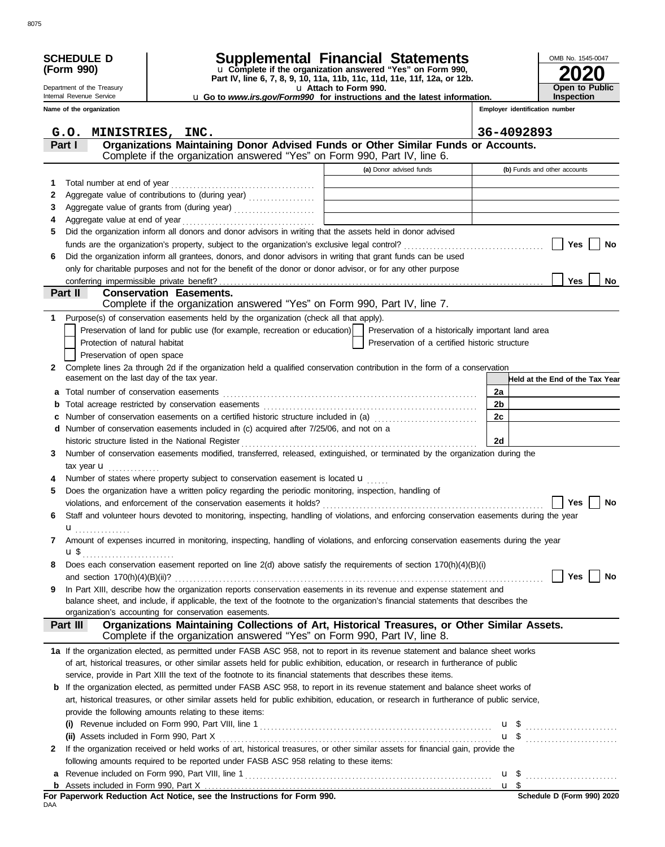|        | <b>SCHEDULE D</b><br>(Form 990)                                                                                                                                                                                                                                                                                                 | Supplemental Financial Statements<br>u Complete if the organization answered "Yes" on Form 990,                                                                                                                           |                       |                                                    |            | OMB No. 1545-0047                   |
|--------|---------------------------------------------------------------------------------------------------------------------------------------------------------------------------------------------------------------------------------------------------------------------------------------------------------------------------------|---------------------------------------------------------------------------------------------------------------------------------------------------------------------------------------------------------------------------|-----------------------|----------------------------------------------------|------------|-------------------------------------|
|        |                                                                                                                                                                                                                                                                                                                                 | Part IV, line 6, 7, 8, 9, 10, 11a, 11b, 11c, 11d, 11e, 11f, 12a, or 12b.                                                                                                                                                  |                       |                                                    |            |                                     |
|        | Department of the Treasury<br>Internal Revenue Service                                                                                                                                                                                                                                                                          | u Go to www.irs.gov/Form990 for instructions and the latest information.                                                                                                                                                  | u Attach to Form 990. |                                                    |            | Open to Public<br><b>Inspection</b> |
|        | Name of the organization                                                                                                                                                                                                                                                                                                        |                                                                                                                                                                                                                           |                       |                                                    |            | Employer identification number      |
|        |                                                                                                                                                                                                                                                                                                                                 |                                                                                                                                                                                                                           |                       |                                                    |            |                                     |
|        | G.O.                                                                                                                                                                                                                                                                                                                            | MINISTRIES, INC.                                                                                                                                                                                                          |                       |                                                    | 36-4092893 |                                     |
|        | Part I                                                                                                                                                                                                                                                                                                                          | Organizations Maintaining Donor Advised Funds or Other Similar Funds or Accounts.                                                                                                                                         |                       |                                                    |            |                                     |
|        |                                                                                                                                                                                                                                                                                                                                 | Complete if the organization answered "Yes" on Form 990, Part IV, line 6.                                                                                                                                                 |                       |                                                    |            |                                     |
|        |                                                                                                                                                                                                                                                                                                                                 |                                                                                                                                                                                                                           |                       | (a) Donor advised funds                            |            | (b) Funds and other accounts        |
| 1      |                                                                                                                                                                                                                                                                                                                                 |                                                                                                                                                                                                                           |                       |                                                    |            |                                     |
| 2      |                                                                                                                                                                                                                                                                                                                                 | Aggregate value of contributions to (during year)                                                                                                                                                                         |                       |                                                    |            |                                     |
| 3      |                                                                                                                                                                                                                                                                                                                                 | Aggregate value of grants from (during year)                                                                                                                                                                              |                       |                                                    |            |                                     |
| 4<br>5 |                                                                                                                                                                                                                                                                                                                                 | Did the organization inform all donors and donor advisors in writing that the assets held in donor advised                                                                                                                |                       |                                                    |            |                                     |
|        |                                                                                                                                                                                                                                                                                                                                 |                                                                                                                                                                                                                           |                       |                                                    |            | Yes<br>No                           |
| 6      |                                                                                                                                                                                                                                                                                                                                 | Did the organization inform all grantees, donors, and donor advisors in writing that grant funds can be used                                                                                                              |                       |                                                    |            |                                     |
|        |                                                                                                                                                                                                                                                                                                                                 | only for charitable purposes and not for the benefit of the donor or donor advisor, or for any other purpose                                                                                                              |                       |                                                    |            |                                     |
|        | conferring impermissible private benefit?                                                                                                                                                                                                                                                                                       |                                                                                                                                                                                                                           |                       |                                                    |            | <b>Yes</b><br>No                    |
|        | <b>Part II</b>                                                                                                                                                                                                                                                                                                                  | <b>Conservation Easements.</b>                                                                                                                                                                                            |                       |                                                    |            |                                     |
|        |                                                                                                                                                                                                                                                                                                                                 | Complete if the organization answered "Yes" on Form 990, Part IV, line 7.                                                                                                                                                 |                       |                                                    |            |                                     |
| 1      |                                                                                                                                                                                                                                                                                                                                 | Purpose(s) of conservation easements held by the organization (check all that apply).                                                                                                                                     |                       |                                                    |            |                                     |
|        |                                                                                                                                                                                                                                                                                                                                 | Preservation of land for public use (for example, recreation or education)                                                                                                                                                |                       | Preservation of a historically important land area |            |                                     |
|        | Protection of natural habitat                                                                                                                                                                                                                                                                                                   |                                                                                                                                                                                                                           |                       | Preservation of a certified historic structure     |            |                                     |
|        | Preservation of open space                                                                                                                                                                                                                                                                                                      |                                                                                                                                                                                                                           |                       |                                                    |            |                                     |
| 2      | easement on the last day of the tax year.                                                                                                                                                                                                                                                                                       | Complete lines 2a through 2d if the organization held a qualified conservation contribution in the form of a conservation                                                                                                 |                       |                                                    |            |                                     |
|        |                                                                                                                                                                                                                                                                                                                                 |                                                                                                                                                                                                                           |                       |                                                    | 2a         | Held at the End of the Tax Year     |
| a      |                                                                                                                                                                                                                                                                                                                                 | Total acreage restricted by conservation easements                                                                                                                                                                        |                       |                                                    | 2b         |                                     |
| b<br>c |                                                                                                                                                                                                                                                                                                                                 | Number of conservation easements on a certified historic structure included in (a) conservation conservation                                                                                                              |                       |                                                    | 2c         |                                     |
|        |                                                                                                                                                                                                                                                                                                                                 | d Number of conservation easements included in (c) acquired after 7/25/06, and not on a                                                                                                                                   |                       |                                                    |            |                                     |
|        |                                                                                                                                                                                                                                                                                                                                 | historic structure listed in the National Register                                                                                                                                                                        |                       |                                                    | 2d         |                                     |
| 3      |                                                                                                                                                                                                                                                                                                                                 | Number of conservation easements modified, transferred, released, extinguished, or terminated by the organization during the                                                                                              |                       |                                                    |            |                                     |
|        | tax year $\mathbf{u}$                                                                                                                                                                                                                                                                                                           |                                                                                                                                                                                                                           |                       |                                                    |            |                                     |
|        |                                                                                                                                                                                                                                                                                                                                 | Number of states where property subject to conservation easement is located <b>u</b>                                                                                                                                      |                       |                                                    |            |                                     |
| 5      |                                                                                                                                                                                                                                                                                                                                 | Does the organization have a written policy regarding the periodic monitoring, inspection, handling of                                                                                                                    |                       |                                                    |            |                                     |
|        |                                                                                                                                                                                                                                                                                                                                 | violations, and enforcement of the conservation easements it holds?                                                                                                                                                       |                       |                                                    |            | Yes<br>No                           |
| 6      |                                                                                                                                                                                                                                                                                                                                 | Staff and volunteer hours devoted to monitoring, inspecting, handling of violations, and enforcing conservation easements during the year                                                                                 |                       |                                                    |            |                                     |
|        | $\mathbf u$ and $\mathbf u$ and $\mathbf u$ and $\mathbf u$ and $\mathbf u$ and $\mathbf u$ and $\mathbf u$ and $\mathbf u$ and $\mathbf u$ and $\mathbf u$ and $\mathbf u$ and $\mathbf u$ and $\mathbf u$ and $\mathbf u$ and $\mathbf u$ and $\mathbf u$ and $\mathbf u$ and $\mathbf u$ and $\mathbf u$ and $\mathbf u$ and |                                                                                                                                                                                                                           |                       |                                                    |            |                                     |
| 7      |                                                                                                                                                                                                                                                                                                                                 | Amount of expenses incurred in monitoring, inspecting, handling of violations, and enforcing conservation easements during the year                                                                                       |                       |                                                    |            |                                     |
|        | <b>u</b> \$                                                                                                                                                                                                                                                                                                                     |                                                                                                                                                                                                                           |                       |                                                    |            |                                     |
| 8      |                                                                                                                                                                                                                                                                                                                                 | Does each conservation easement reported on line 2(d) above satisfy the requirements of section 170(h)(4)(B)(i)                                                                                                           |                       |                                                    |            | No                                  |
| 9      |                                                                                                                                                                                                                                                                                                                                 | In Part XIII, describe how the organization reports conservation easements in its revenue and expense statement and                                                                                                       |                       |                                                    |            | Yes                                 |
|        |                                                                                                                                                                                                                                                                                                                                 | balance sheet, and include, if applicable, the text of the footnote to the organization's financial statements that describes the                                                                                         |                       |                                                    |            |                                     |
|        |                                                                                                                                                                                                                                                                                                                                 | organization's accounting for conservation easements.                                                                                                                                                                     |                       |                                                    |            |                                     |
|        | Part III                                                                                                                                                                                                                                                                                                                        | Organizations Maintaining Collections of Art, Historical Treasures, or Other Similar Assets.                                                                                                                              |                       |                                                    |            |                                     |
|        |                                                                                                                                                                                                                                                                                                                                 | Complete if the organization answered "Yes" on Form 990, Part IV, line 8.                                                                                                                                                 |                       |                                                    |            |                                     |
|        |                                                                                                                                                                                                                                                                                                                                 | 1a If the organization elected, as permitted under FASB ASC 958, not to report in its revenue statement and balance sheet works                                                                                           |                       |                                                    |            |                                     |
|        |                                                                                                                                                                                                                                                                                                                                 | of art, historical treasures, or other similar assets held for public exhibition, education, or research in furtherance of public                                                                                         |                       |                                                    |            |                                     |
|        |                                                                                                                                                                                                                                                                                                                                 | service, provide in Part XIII the text of the footnote to its financial statements that describes these items.                                                                                                            |                       |                                                    |            |                                     |
|        |                                                                                                                                                                                                                                                                                                                                 | <b>b</b> If the organization elected, as permitted under FASB ASC 958, to report in its revenue statement and balance sheet works of                                                                                      |                       |                                                    |            |                                     |
|        |                                                                                                                                                                                                                                                                                                                                 | art, historical treasures, or other similar assets held for public exhibition, education, or research in furtherance of public service,                                                                                   |                       |                                                    |            |                                     |
|        |                                                                                                                                                                                                                                                                                                                                 | provide the following amounts relating to these items:                                                                                                                                                                    |                       |                                                    |            |                                     |
|        | $\mathbf{u}$                                                                                                                                                                                                                                                                                                                    |                                                                                                                                                                                                                           |                       |                                                    |            |                                     |
|        |                                                                                                                                                                                                                                                                                                                                 |                                                                                                                                                                                                                           |                       |                                                    |            | $\mathbf{u}$ \$                     |
| 2      |                                                                                                                                                                                                                                                                                                                                 | If the organization received or held works of art, historical treasures, or other similar assets for financial gain, provide the<br>following amounts required to be reported under FASB ASC 958 relating to these items: |                       |                                                    |            |                                     |
| a      |                                                                                                                                                                                                                                                                                                                                 |                                                                                                                                                                                                                           |                       |                                                    |            |                                     |
| b      |                                                                                                                                                                                                                                                                                                                                 |                                                                                                                                                                                                                           |                       |                                                    |            |                                     |
|        |                                                                                                                                                                                                                                                                                                                                 | For Paperwork Reduction Act Notice, see the Instructions for Form 990.                                                                                                                                                    |                       |                                                    |            | Schedule D (Form 990) 2020          |
| DAA    |                                                                                                                                                                                                                                                                                                                                 |                                                                                                                                                                                                                           |                       |                                                    |            |                                     |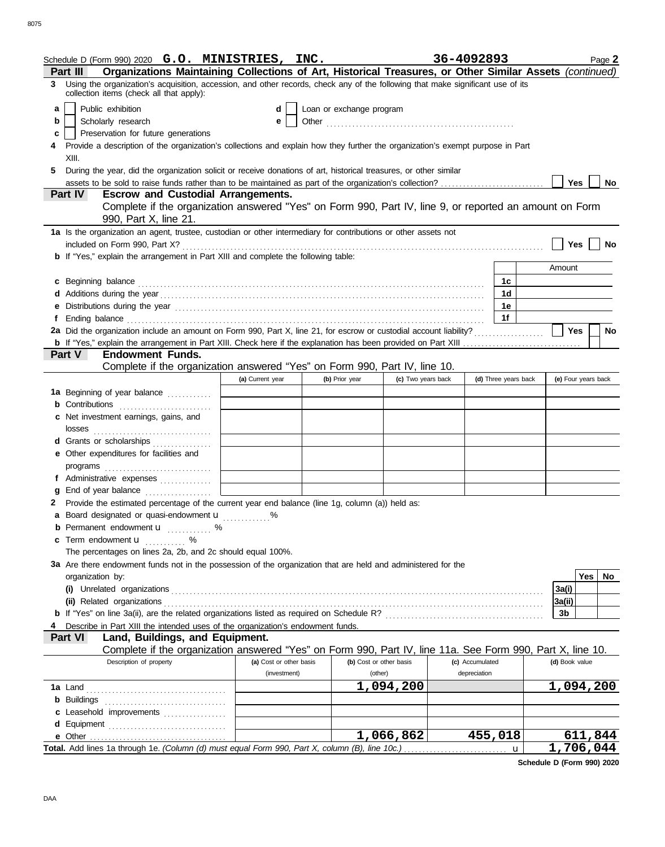|    | Schedule D (Form 990) 2020 G.O. MINISTRIES, INC.                                                                                                                                                                                                         |                         |  |                          |                    | 36-4092893      |                      |              | Page 2               |  |
|----|----------------------------------------------------------------------------------------------------------------------------------------------------------------------------------------------------------------------------------------------------------|-------------------------|--|--------------------------|--------------------|-----------------|----------------------|--------------|----------------------|--|
|    | Organizations Maintaining Collections of Art, Historical Treasures, or Other Similar Assets (continued)<br>Part III<br>3 Using the organization's acquisition, accession, and other records, check any of the following that make significant use of its |                         |  |                          |                    |                 |                      |              |                      |  |
|    | collection items (check all that apply):                                                                                                                                                                                                                 |                         |  |                          |                    |                 |                      |              |                      |  |
| a  | Public exhibition                                                                                                                                                                                                                                        | d                       |  | Loan or exchange program |                    |                 |                      |              |                      |  |
| b  | Scholarly research                                                                                                                                                                                                                                       | е                       |  |                          |                    |                 |                      |              |                      |  |
| c  | Preservation for future generations                                                                                                                                                                                                                      |                         |  |                          |                    |                 |                      |              |                      |  |
|    | Provide a description of the organization's collections and explain how they further the organization's exempt purpose in Part<br>XIII.                                                                                                                  |                         |  |                          |                    |                 |                      |              |                      |  |
| 5  | During the year, did the organization solicit or receive donations of art, historical treasures, or other similar                                                                                                                                        |                         |  |                          |                    |                 |                      |              |                      |  |
|    |                                                                                                                                                                                                                                                          |                         |  |                          |                    |                 |                      |              | Yes<br>No            |  |
|    | <b>Escrow and Custodial Arrangements.</b><br><b>Part IV</b>                                                                                                                                                                                              |                         |  |                          |                    |                 |                      |              |                      |  |
|    | Complete if the organization answered "Yes" on Form 990, Part IV, line 9, or reported an amount on Form<br>990, Part X, line 21.                                                                                                                         |                         |  |                          |                    |                 |                      |              |                      |  |
|    | 1a Is the organization an agent, trustee, custodian or other intermediary for contributions or other assets not                                                                                                                                          |                         |  |                          |                    |                 |                      |              |                      |  |
|    |                                                                                                                                                                                                                                                          |                         |  |                          |                    |                 |                      |              | Yes<br>No            |  |
|    | b If "Yes," explain the arrangement in Part XIII and complete the following table:                                                                                                                                                                       |                         |  |                          |                    |                 |                      |              |                      |  |
|    |                                                                                                                                                                                                                                                          |                         |  |                          |                    |                 |                      |              | Amount               |  |
|    | c Beginning balance expressions and contact the contract of the contract of the contract of the contract of the contract of the contract of the contract of the contract of the contract of the contract of the contract of th                           |                         |  |                          |                    |                 | 1с                   |              |                      |  |
|    |                                                                                                                                                                                                                                                          |                         |  |                          |                    |                 | 1d                   |              |                      |  |
|    | e Distributions during the year manufactured contains and the year manufactured with the year manufactured with the set of the set of the set of the set of the set of the set of the set of the set of the set of the set of                            |                         |  |                          |                    |                 | 1е                   |              |                      |  |
| Ť. |                                                                                                                                                                                                                                                          |                         |  |                          |                    |                 | 1f                   |              |                      |  |
|    | 2a Did the organization include an amount on Form 990, Part X, line 21, for escrow or custodial account liability?                                                                                                                                       |                         |  |                          |                    |                 |                      |              | Yes<br>No            |  |
|    | <b>Endowment Funds.</b><br><b>Part V</b>                                                                                                                                                                                                                 |                         |  |                          |                    |                 |                      |              |                      |  |
|    | Complete if the organization answered "Yes" on Form 990, Part IV, line 10.                                                                                                                                                                               |                         |  |                          |                    |                 |                      |              |                      |  |
|    |                                                                                                                                                                                                                                                          | (a) Current year        |  | (b) Prior year           | (c) Two years back |                 | (d) Three years back |              | (e) Four years back  |  |
|    | 1a Beginning of year balance                                                                                                                                                                                                                             |                         |  |                          |                    |                 |                      |              |                      |  |
|    | <b>b</b> Contributions                                                                                                                                                                                                                                   |                         |  |                          |                    |                 |                      |              |                      |  |
|    | c Net investment earnings, gains, and                                                                                                                                                                                                                    |                         |  |                          |                    |                 |                      |              |                      |  |
|    |                                                                                                                                                                                                                                                          |                         |  |                          |                    |                 |                      |              |                      |  |
|    | d Grants or scholarships<br>e Other expenditures for facilities and                                                                                                                                                                                      |                         |  |                          |                    |                 |                      |              |                      |  |
|    |                                                                                                                                                                                                                                                          |                         |  |                          |                    |                 |                      |              |                      |  |
|    | programs<br>f Administrative expenses                                                                                                                                                                                                                    |                         |  |                          |                    |                 |                      |              |                      |  |
| g  | End of year balance                                                                                                                                                                                                                                      |                         |  |                          |                    |                 |                      |              |                      |  |
|    | 2 Provide the estimated percentage of the current year end balance (line 1g, column (a)) held as:                                                                                                                                                        |                         |  |                          |                    |                 |                      |              |                      |  |
|    | a Board designated or quasi-endowment u                                                                                                                                                                                                                  |                         |  |                          |                    |                 |                      |              |                      |  |
|    | <b>b</b> Permanent endowment <b>u</b> %                                                                                                                                                                                                                  |                         |  |                          |                    |                 |                      |              |                      |  |
|    | <b>c</b> Term endowment $\mathbf{u}$                                                                                                                                                                                                                     |                         |  |                          |                    |                 |                      |              |                      |  |
|    | The percentages on lines 2a, 2b, and 2c should equal 100%.                                                                                                                                                                                               |                         |  |                          |                    |                 |                      |              |                      |  |
|    | 3a Are there endowment funds not in the possession of the organization that are held and administered for the                                                                                                                                            |                         |  |                          |                    |                 |                      |              |                      |  |
|    | organization by:                                                                                                                                                                                                                                         |                         |  |                          |                    |                 |                      |              | <b>Yes</b><br>No     |  |
|    |                                                                                                                                                                                                                                                          |                         |  |                          |                    |                 |                      | 3a(i)        |                      |  |
|    |                                                                                                                                                                                                                                                          |                         |  |                          |                    |                 |                      | 3a(ii)<br>3b |                      |  |
|    | Describe in Part XIII the intended uses of the organization's endowment funds.                                                                                                                                                                           |                         |  |                          |                    |                 |                      |              |                      |  |
|    | Land, Buildings, and Equipment.<br><b>Part VI</b>                                                                                                                                                                                                        |                         |  |                          |                    |                 |                      |              |                      |  |
|    | Complete if the organization answered "Yes" on Form 990, Part IV, line 11a. See Form 990, Part X, line 10.                                                                                                                                               |                         |  |                          |                    |                 |                      |              |                      |  |
|    | Description of property                                                                                                                                                                                                                                  | (a) Cost or other basis |  | (b) Cost or other basis  |                    | (c) Accumulated |                      |              | (d) Book value       |  |
|    |                                                                                                                                                                                                                                                          | (investment)            |  | (other)                  |                    | depreciation    |                      |              |                      |  |
|    |                                                                                                                                                                                                                                                          |                         |  |                          | 1,094,200          |                 |                      |              | 1,094,200            |  |
|    |                                                                                                                                                                                                                                                          |                         |  |                          |                    |                 |                      |              |                      |  |
|    | c Leasehold improvements                                                                                                                                                                                                                                 |                         |  |                          |                    |                 |                      |              |                      |  |
|    | d Equipment                                                                                                                                                                                                                                              |                         |  |                          |                    |                 |                      |              |                      |  |
|    |                                                                                                                                                                                                                                                          |                         |  |                          | 1,066,862          |                 | 455,018              |              | 611,844<br>1,706,044 |  |
|    |                                                                                                                                                                                                                                                          |                         |  |                          |                    |                 | $\mathbf u$          |              |                      |  |

**Schedule D (Form 990) 2020**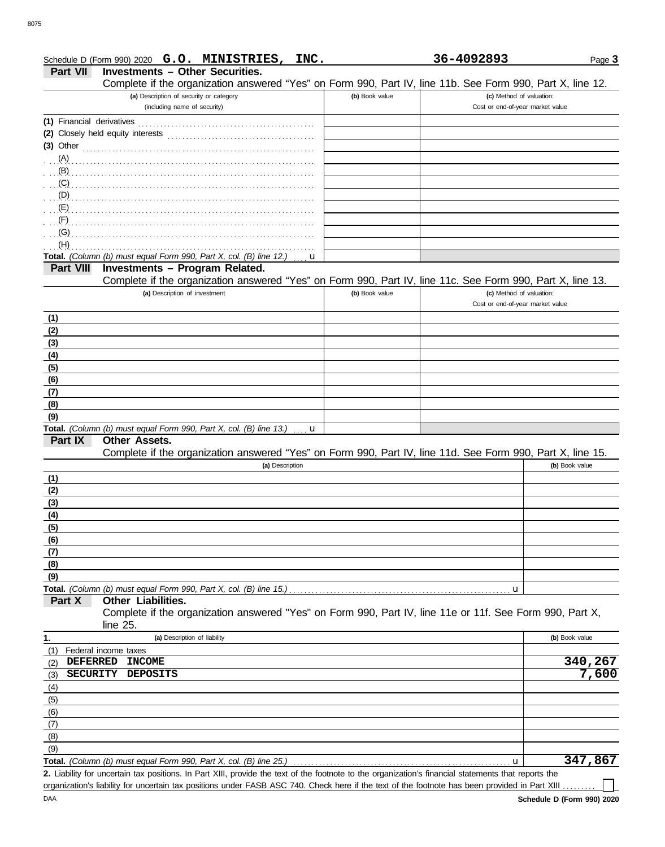|                        | Schedule D (Form 990) 2020 G.O. MINISTRIES, INC.                                                                                                     |                | 36-4092893                                                   | Page 3         |
|------------------------|------------------------------------------------------------------------------------------------------------------------------------------------------|----------------|--------------------------------------------------------------|----------------|
| <b>Part VII</b>        | <b>Investments - Other Securities.</b>                                                                                                               |                |                                                              |                |
|                        | Complete if the organization answered "Yes" on Form 990, Part IV, line 11b. See Form 990, Part X, line 12.                                           |                |                                                              |                |
|                        | (a) Description of security or category<br>(including name of security)                                                                              | (b) Book value | (c) Method of valuation:<br>Cost or end-of-year market value |                |
|                        |                                                                                                                                                      |                |                                                              |                |
|                        | (2) Closely held equity interests                                                                                                                    |                |                                                              |                |
|                        |                                                                                                                                                      |                |                                                              |                |
| (A)                    |                                                                                                                                                      |                |                                                              |                |
| (B)                    |                                                                                                                                                      |                |                                                              |                |
| (C)                    |                                                                                                                                                      |                |                                                              |                |
| (D)                    |                                                                                                                                                      |                |                                                              |                |
| (E)                    |                                                                                                                                                      |                |                                                              |                |
| (F)                    |                                                                                                                                                      |                |                                                              |                |
| (G)                    |                                                                                                                                                      |                |                                                              |                |
| (H)                    | Total. (Column (b) must equal Form 990, Part X, col. (B) line 12.)                                                                                   |                |                                                              |                |
| Part VIII              | u<br>Investments - Program Related.                                                                                                                  |                |                                                              |                |
|                        | Complete if the organization answered "Yes" on Form 990, Part IV, line 11c. See Form 990, Part X, line 13.                                           |                |                                                              |                |
|                        | (a) Description of investment                                                                                                                        | (b) Book value | (c) Method of valuation:                                     |                |
|                        |                                                                                                                                                      |                | Cost or end-of-year market value                             |                |
| <u>(1)</u>             |                                                                                                                                                      |                |                                                              |                |
| (2)                    |                                                                                                                                                      |                |                                                              |                |
| (3)                    |                                                                                                                                                      |                |                                                              |                |
| (4)                    |                                                                                                                                                      |                |                                                              |                |
| (5)                    |                                                                                                                                                      |                |                                                              |                |
| (6)                    |                                                                                                                                                      |                |                                                              |                |
| (7)                    |                                                                                                                                                      |                |                                                              |                |
| (8)                    |                                                                                                                                                      |                |                                                              |                |
| (9)                    |                                                                                                                                                      |                |                                                              |                |
|                        | Total. (Column (b) must equal Form 990, Part X, col. (B) line 13.)<br>u                                                                              |                |                                                              |                |
| Part IX                | Other Assets.                                                                                                                                        |                |                                                              |                |
|                        | Complete if the organization answered "Yes" on Form 990, Part IV, line 11d. See Form 990, Part X, line 15.                                           |                |                                                              |                |
|                        | (a) Description                                                                                                                                      |                |                                                              | (b) Book value |
| (1)                    |                                                                                                                                                      |                |                                                              |                |
| (2)                    |                                                                                                                                                      |                |                                                              |                |
| (3)                    |                                                                                                                                                      |                |                                                              |                |
| (4)                    |                                                                                                                                                      |                |                                                              |                |
| (5)                    |                                                                                                                                                      |                |                                                              |                |
| (6)<br>(7)             |                                                                                                                                                      |                |                                                              |                |
| (8)                    |                                                                                                                                                      |                |                                                              |                |
| (9)                    |                                                                                                                                                      |                |                                                              |                |
|                        | Total. (Column (b) must equal Form 990, Part X, col. (B) line 15.)                                                                                   |                | u                                                            |                |
| Part X                 | Other Liabilities.                                                                                                                                   |                |                                                              |                |
|                        | Complete if the organization answered "Yes" on Form 990, Part IV, line 11e or 11f. See Form 990, Part X,                                             |                |                                                              |                |
|                        | line 25.                                                                                                                                             |                |                                                              |                |
| 1.                     | (a) Description of liability                                                                                                                         |                |                                                              | (b) Book value |
| (1)                    | Federal income taxes                                                                                                                                 |                |                                                              |                |
| <b>DEFERRED</b><br>(2) | <b>INCOME</b>                                                                                                                                        |                |                                                              | 340,267        |
| <b>SECURITY</b><br>(3) | <b>DEPOSITS</b>                                                                                                                                      |                |                                                              | 7,600          |
| (4)                    |                                                                                                                                                      |                |                                                              |                |
| (5)                    |                                                                                                                                                      |                |                                                              |                |
| (6)                    |                                                                                                                                                      |                |                                                              |                |
| (7)                    |                                                                                                                                                      |                |                                                              |                |
| (8)                    |                                                                                                                                                      |                |                                                              |                |
| (9)                    |                                                                                                                                                      |                |                                                              |                |
|                        | Total. (Column (b) must equal Form 990, Part X, col. (B) line 25.)                                                                                   |                | u                                                            | 347,867        |
|                        | 2. Liability for uncertain tax positions. In Part XIII, provide the text of the footnote to the organization's financial statements that reports the |                |                                                              |                |
|                        | organization's liability for uncertain tax positions under FASB ASC 740. Check here if the text of the footnote has been provided in Part XIII       |                |                                                              |                |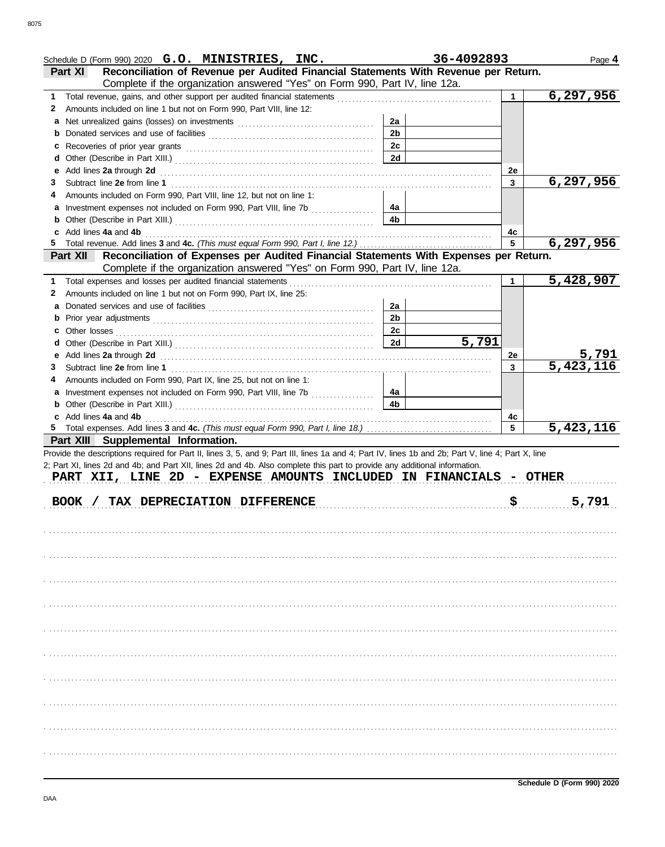|                 | Schedule D (Form 990) 2020 G.O. MINISTRIES, INC.                                                                                                                                                                                                                | 36-4092893     |                           | Page 4    |
|-----------------|-----------------------------------------------------------------------------------------------------------------------------------------------------------------------------------------------------------------------------------------------------------------|----------------|---------------------------|-----------|
| Part XI         | Reconciliation of Revenue per Audited Financial Statements With Revenue per Return.                                                                                                                                                                             |                |                           |           |
|                 | Complete if the organization answered "Yes" on Form 990, Part IV, line 12a.                                                                                                                                                                                     |                |                           |           |
| 1               |                                                                                                                                                                                                                                                                 |                |                           | 6,297,956 |
| 2               | Amounts included on line 1 but not on Form 990, Part VIII, line 12:                                                                                                                                                                                             |                |                           |           |
|                 | a Net unrealized gains (losses) on investments [111] [11] [11] Net unrealized gains (losses) on investments [11] [11] $\cdot$ [11] $\cdot$ [11] $\cdot$ [11] $\cdot$ [11] $\cdot$ [11] $\cdot$ [11] $\cdot$ [11] $\cdot$ [11] $\cdot$ [11] $\cdot$ [11] $\cdot$ | 2a             |                           |           |
|                 |                                                                                                                                                                                                                                                                 | 2 <sub>b</sub> |                           |           |
|                 |                                                                                                                                                                                                                                                                 | 2c             |                           |           |
|                 |                                                                                                                                                                                                                                                                 | 2d             |                           |           |
|                 | e Add lines 2a through 2d (a) and the contract of the Add lines 2a through 1                                                                                                                                                                                    |                | 2e                        |           |
| 3               |                                                                                                                                                                                                                                                                 |                | 3                         | 6,297,956 |
| 4               | Amounts included on Form 990, Part VIII, line 12, but not on line 1:                                                                                                                                                                                            |                |                           |           |
|                 | a Investment expenses not included on Form 990, Part VIII, line 7b [                                                                                                                                                                                            | 4a             |                           |           |
|                 |                                                                                                                                                                                                                                                                 | 4 <sub>b</sub> |                           |           |
|                 | c Add lines 4a and 4b <b>contract and 4</b> b and 40 and 40 and 40 and 40 and 40 and 40 and 40 and 40 and 40 and 40 and 40 and 40 and 40 and 40 and 40 and 40 and 40 and 40 and 40 and 40 and 40 and 40 and 40 and 40 and 40 and 40                             |                | 4c                        |           |
|                 |                                                                                                                                                                                                                                                                 |                | 5                         | 6,297,956 |
| <b>Part XII</b> | Reconciliation of Expenses per Audited Financial Statements With Expenses per Return.                                                                                                                                                                           |                |                           |           |
|                 | Complete if the organization answered "Yes" on Form 990, Part IV, line 12a.                                                                                                                                                                                     |                |                           |           |
| 1               | Total expenses and losses per audited financial statements [111] [11] Total expenses and losses and losses per audited financial statements [11] Total expenses and losses                                                                                      |                | 1                         | 5,428,907 |
| 2               | Amounts included on line 1 but not on Form 990, Part IX, line 25:                                                                                                                                                                                               |                |                           |           |
| a               |                                                                                                                                                                                                                                                                 | 2a             |                           |           |
|                 |                                                                                                                                                                                                                                                                 | 2 <sub>b</sub> |                           |           |
|                 |                                                                                                                                                                                                                                                                 | 2c             |                           |           |
|                 |                                                                                                                                                                                                                                                                 | 5,791<br>2d    |                           |           |
|                 |                                                                                                                                                                                                                                                                 |                | 2e                        | 5,791     |
|                 |                                                                                                                                                                                                                                                                 |                | 3                         | 5,423,116 |
| 4               | Amounts included on Form 990, Part IX, line 25, but not on line 1:                                                                                                                                                                                              |                |                           |           |
|                 | a Investment expenses not included on Form 990, Part VIII, line 7b                                                                                                                                                                                              | 4a             |                           |           |
|                 |                                                                                                                                                                                                                                                                 | 4b             |                           |           |
|                 | c Add lines 4a and 4b                                                                                                                                                                                                                                           |                | 4с                        |           |
|                 |                                                                                                                                                                                                                                                                 |                | 5                         | 5,423,116 |
|                 | Part XIII Supplemental Information.                                                                                                                                                                                                                             |                |                           |           |
|                 | Provide the descriptions required for Part II, lines 3, 5, and 9; Part III, lines 1a and 4; Part IV, lines 1b and 2b; Part V, line 4; Part X, line                                                                                                              |                |                           |           |
|                 | 2; Part XI, lines 2d and 4b; and Part XII, lines 2d and 4b. Also complete this part to provide any additional information.                                                                                                                                      |                |                           |           |
|                 | PART XII, LINE 2D - EXPENSE AMOUNTS INCLUDED IN FINANCIALS - OTHER                                                                                                                                                                                              |                |                           |           |
|                 |                                                                                                                                                                                                                                                                 |                |                           |           |
| <b>BOOK</b>     | TAX DEPRECIATION DIFFERENCE                                                                                                                                                                                                                                     |                | $\boldsymbol{\mathsf{S}}$ | 5,791     |
|                 |                                                                                                                                                                                                                                                                 |                |                           |           |
|                 |                                                                                                                                                                                                                                                                 |                |                           |           |
|                 |                                                                                                                                                                                                                                                                 |                |                           |           |
|                 |                                                                                                                                                                                                                                                                 |                |                           |           |
|                 |                                                                                                                                                                                                                                                                 |                |                           |           |
|                 |                                                                                                                                                                                                                                                                 |                |                           |           |
|                 |                                                                                                                                                                                                                                                                 |                |                           |           |
|                 |                                                                                                                                                                                                                                                                 |                |                           |           |
|                 |                                                                                                                                                                                                                                                                 |                |                           |           |
|                 |                                                                                                                                                                                                                                                                 |                |                           |           |
|                 |                                                                                                                                                                                                                                                                 |                |                           |           |
|                 |                                                                                                                                                                                                                                                                 |                |                           |           |
|                 |                                                                                                                                                                                                                                                                 |                |                           |           |
|                 |                                                                                                                                                                                                                                                                 |                |                           |           |
|                 |                                                                                                                                                                                                                                                                 |                |                           |           |
|                 |                                                                                                                                                                                                                                                                 |                |                           |           |
|                 |                                                                                                                                                                                                                                                                 |                |                           |           |
|                 |                                                                                                                                                                                                                                                                 |                |                           |           |
|                 |                                                                                                                                                                                                                                                                 |                |                           |           |
|                 |                                                                                                                                                                                                                                                                 |                |                           |           |
|                 |                                                                                                                                                                                                                                                                 |                |                           |           |
|                 |                                                                                                                                                                                                                                                                 |                |                           |           |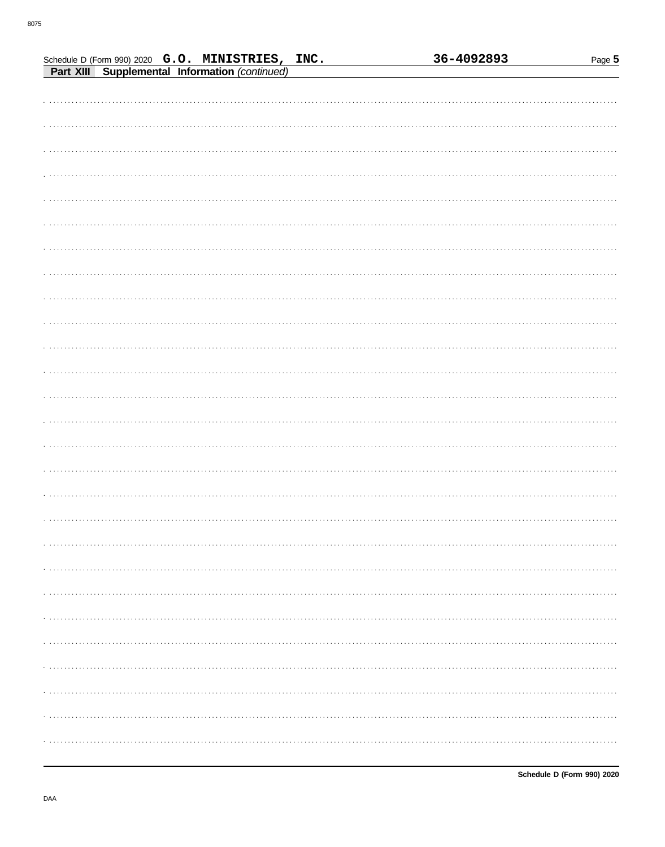|                                                                                                    |  |  | 36-4092893 | Page 5 |
|----------------------------------------------------------------------------------------------------|--|--|------------|--------|
| Schedule D (Form 990) 2020 G.O. MINISTRIES, INC.<br>Part XIII Supplemental Information (continued) |  |  |            |        |
|                                                                                                    |  |  |            |        |
|                                                                                                    |  |  |            |        |
|                                                                                                    |  |  |            |        |
|                                                                                                    |  |  |            |        |
|                                                                                                    |  |  |            |        |
|                                                                                                    |  |  |            |        |
|                                                                                                    |  |  |            |        |
|                                                                                                    |  |  |            |        |
|                                                                                                    |  |  |            |        |
|                                                                                                    |  |  |            |        |
|                                                                                                    |  |  |            |        |
|                                                                                                    |  |  |            |        |
|                                                                                                    |  |  |            |        |
|                                                                                                    |  |  |            |        |
|                                                                                                    |  |  |            |        |
|                                                                                                    |  |  |            |        |
|                                                                                                    |  |  |            |        |
|                                                                                                    |  |  |            |        |
|                                                                                                    |  |  |            |        |
|                                                                                                    |  |  |            |        |
|                                                                                                    |  |  |            |        |
|                                                                                                    |  |  |            |        |
|                                                                                                    |  |  |            |        |
|                                                                                                    |  |  |            |        |
|                                                                                                    |  |  |            |        |
|                                                                                                    |  |  |            |        |
|                                                                                                    |  |  |            |        |
|                                                                                                    |  |  |            |        |
|                                                                                                    |  |  |            |        |
|                                                                                                    |  |  |            |        |
|                                                                                                    |  |  |            |        |
|                                                                                                    |  |  |            |        |
|                                                                                                    |  |  |            |        |
|                                                                                                    |  |  |            |        |
|                                                                                                    |  |  |            |        |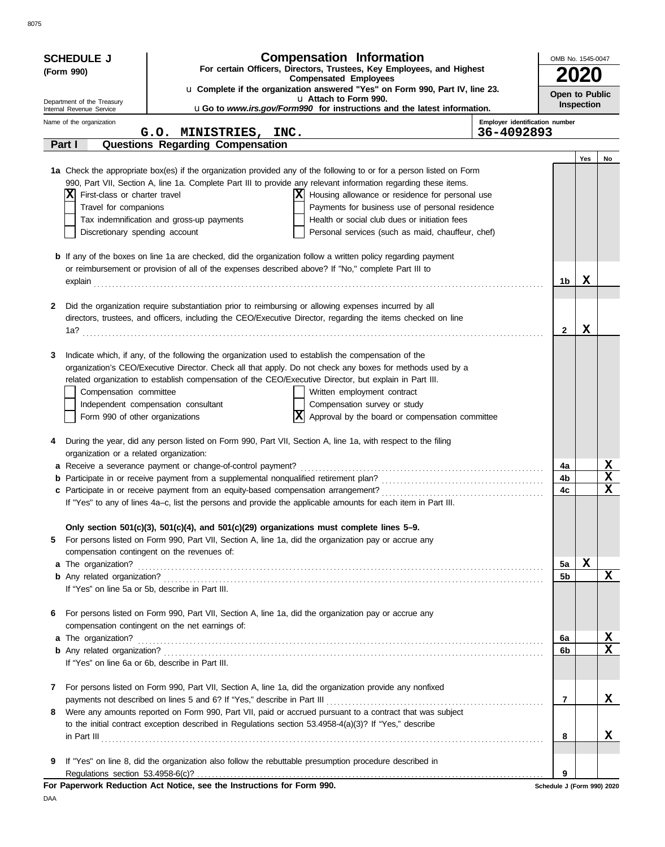|   | <b>SCHEDULE J</b>                                                                                                                                                                                              |                                                                                                                                                                                                          | <b>Compensation Information</b>                                                                                      |                                | OMB No. 1545-0047          |                                     |             |  |  |
|---|----------------------------------------------------------------------------------------------------------------------------------------------------------------------------------------------------------------|----------------------------------------------------------------------------------------------------------------------------------------------------------------------------------------------------------|----------------------------------------------------------------------------------------------------------------------|--------------------------------|----------------------------|-------------------------------------|-------------|--|--|
|   | (Form 990)                                                                                                                                                                                                     |                                                                                                                                                                                                          | For certain Officers, Directors, Trustees, Key Employees, and Highest<br><b>Compensated Employees</b>                |                                |                            |                                     |             |  |  |
|   | u Complete if the organization answered "Yes" on Form 990, Part IV, line 23.<br>u Attach to Form 990.<br>Department of the Treasury<br>uGo to www.irs.gov/Form990 for instructions and the latest information. |                                                                                                                                                                                                          |                                                                                                                      |                                |                            | Open to Public<br><b>Inspection</b> |             |  |  |
|   | Internal Revenue Service<br>Name of the organization                                                                                                                                                           |                                                                                                                                                                                                          |                                                                                                                      | Employer identification number |                            |                                     |             |  |  |
|   |                                                                                                                                                                                                                | G.O. MINISTRIES, INC.                                                                                                                                                                                    |                                                                                                                      | 36-4092893                     |                            |                                     |             |  |  |
|   | Part I                                                                                                                                                                                                         | <b>Questions Regarding Compensation</b>                                                                                                                                                                  |                                                                                                                      |                                |                            |                                     |             |  |  |
|   |                                                                                                                                                                                                                |                                                                                                                                                                                                          |                                                                                                                      |                                |                            | Yes                                 | No          |  |  |
|   |                                                                                                                                                                                                                |                                                                                                                                                                                                          | 1a Check the appropriate box(es) if the organization provided any of the following to or for a person listed on Form |                                |                            |                                     |             |  |  |
|   |                                                                                                                                                                                                                |                                                                                                                                                                                                          | 990, Part VII, Section A, line 1a. Complete Part III to provide any relevant information regarding these items.      |                                |                            |                                     |             |  |  |
|   | х<br>First-class or charter travel                                                                                                                                                                             | ΙXΙ                                                                                                                                                                                                      | Housing allowance or residence for personal use                                                                      |                                |                            |                                     |             |  |  |
|   | Travel for companions                                                                                                                                                                                          |                                                                                                                                                                                                          | Payments for business use of personal residence<br>Health or social club dues or initiation fees                     |                                |                            |                                     |             |  |  |
|   | Discretionary spending account                                                                                                                                                                                 | Tax indemnification and gross-up payments                                                                                                                                                                | Personal services (such as maid, chauffeur, chef)                                                                    |                                |                            |                                     |             |  |  |
|   |                                                                                                                                                                                                                |                                                                                                                                                                                                          |                                                                                                                      |                                |                            |                                     |             |  |  |
|   |                                                                                                                                                                                                                | <b>b</b> If any of the boxes on line 1a are checked, did the organization follow a written policy regarding payment                                                                                      |                                                                                                                      |                                |                            |                                     |             |  |  |
|   |                                                                                                                                                                                                                | or reimbursement or provision of all of the expenses described above? If "No," complete Part III to                                                                                                      |                                                                                                                      |                                |                            |                                     |             |  |  |
|   |                                                                                                                                                                                                                |                                                                                                                                                                                                          |                                                                                                                      |                                | 1b                         | x                                   |             |  |  |
|   |                                                                                                                                                                                                                |                                                                                                                                                                                                          |                                                                                                                      |                                |                            |                                     |             |  |  |
| 2 |                                                                                                                                                                                                                | Did the organization require substantiation prior to reimbursing or allowing expenses incurred by all                                                                                                    |                                                                                                                      |                                |                            |                                     |             |  |  |
|   |                                                                                                                                                                                                                |                                                                                                                                                                                                          | directors, trustees, and officers, including the CEO/Executive Director, regarding the items checked on line         |                                | $\mathbf{2}$               | X                                   |             |  |  |
|   |                                                                                                                                                                                                                |                                                                                                                                                                                                          |                                                                                                                      |                                |                            |                                     |             |  |  |
| 3 |                                                                                                                                                                                                                | Indicate which, if any, of the following the organization used to establish the compensation of the                                                                                                      |                                                                                                                      |                                |                            |                                     |             |  |  |
|   |                                                                                                                                                                                                                |                                                                                                                                                                                                          | organization's CEO/Executive Director. Check all that apply. Do not check any boxes for methods used by a            |                                |                            |                                     |             |  |  |
|   |                                                                                                                                                                                                                | related organization to establish compensation of the CEO/Executive Director, but explain in Part III.                                                                                                   |                                                                                                                      |                                |                            |                                     |             |  |  |
|   | Compensation committee                                                                                                                                                                                         |                                                                                                                                                                                                          | Written employment contract                                                                                          |                                |                            |                                     |             |  |  |
|   |                                                                                                                                                                                                                | Independent compensation consultant                                                                                                                                                                      | Compensation survey or study                                                                                         |                                |                            |                                     |             |  |  |
|   | Form 990 of other organizations                                                                                                                                                                                | IXI                                                                                                                                                                                                      | Approval by the board or compensation committee                                                                      |                                |                            |                                     |             |  |  |
|   |                                                                                                                                                                                                                |                                                                                                                                                                                                          |                                                                                                                      |                                |                            |                                     |             |  |  |
| 4 | organization or a related organization:                                                                                                                                                                        | During the year, did any person listed on Form 990, Part VII, Section A, line 1a, with respect to the filing                                                                                             |                                                                                                                      |                                |                            |                                     |             |  |  |
|   |                                                                                                                                                                                                                |                                                                                                                                                                                                          |                                                                                                                      |                                | 4a                         |                                     | <u>x</u>    |  |  |
|   |                                                                                                                                                                                                                |                                                                                                                                                                                                          |                                                                                                                      |                                | 4b                         |                                     | X           |  |  |
|   |                                                                                                                                                                                                                |                                                                                                                                                                                                          |                                                                                                                      |                                | 4c                         |                                     | X           |  |  |
|   |                                                                                                                                                                                                                | If "Yes" to any of lines 4a-c, list the persons and provide the applicable amounts for each item in Part III.                                                                                            |                                                                                                                      |                                |                            |                                     |             |  |  |
|   |                                                                                                                                                                                                                |                                                                                                                                                                                                          |                                                                                                                      |                                |                            |                                     |             |  |  |
| 5 |                                                                                                                                                                                                                | Only section $501(c)(3)$ , $501(c)(4)$ , and $501(c)(29)$ organizations must complete lines 5–9.<br>For persons listed on Form 990, Part VII, Section A, line 1a, did the organization pay or accrue any |                                                                                                                      |                                |                            |                                     |             |  |  |
|   |                                                                                                                                                                                                                | compensation contingent on the revenues of:                                                                                                                                                              |                                                                                                                      |                                |                            |                                     |             |  |  |
|   |                                                                                                                                                                                                                |                                                                                                                                                                                                          |                                                                                                                      |                                | 5a                         | $\mathbf X$                         |             |  |  |
|   |                                                                                                                                                                                                                |                                                                                                                                                                                                          |                                                                                                                      |                                | 5b                         |                                     | X           |  |  |
|   |                                                                                                                                                                                                                | If "Yes" on line 5a or 5b, describe in Part III.                                                                                                                                                         |                                                                                                                      |                                |                            |                                     |             |  |  |
|   |                                                                                                                                                                                                                |                                                                                                                                                                                                          |                                                                                                                      |                                |                            |                                     |             |  |  |
| 6 |                                                                                                                                                                                                                | For persons listed on Form 990, Part VII, Section A, line 1a, did the organization pay or accrue any                                                                                                     |                                                                                                                      |                                |                            |                                     |             |  |  |
|   |                                                                                                                                                                                                                | compensation contingent on the net earnings of:                                                                                                                                                          |                                                                                                                      |                                |                            |                                     | $\mathbf x$ |  |  |
|   |                                                                                                                                                                                                                |                                                                                                                                                                                                          |                                                                                                                      |                                | 6a<br>6b                   |                                     | X           |  |  |
|   |                                                                                                                                                                                                                | If "Yes" on line 6a or 6b, describe in Part III.                                                                                                                                                         |                                                                                                                      |                                |                            |                                     |             |  |  |
|   |                                                                                                                                                                                                                | 7 For persons listed on Form 990, Part VII, Section A, line 1a, did the organization provide any nonfixed                                                                                                |                                                                                                                      |                                |                            |                                     |             |  |  |
|   |                                                                                                                                                                                                                |                                                                                                                                                                                                          |                                                                                                                      |                                | 7                          |                                     | X           |  |  |
| 8 |                                                                                                                                                                                                                |                                                                                                                                                                                                          | Were any amounts reported on Form 990, Part VII, paid or accrued pursuant to a contract that was subject             |                                |                            |                                     |             |  |  |
|   |                                                                                                                                                                                                                | to the initial contract exception described in Regulations section 53.4958-4(a)(3)? If "Yes," describe                                                                                                   |                                                                                                                      |                                |                            |                                     |             |  |  |
|   |                                                                                                                                                                                                                |                                                                                                                                                                                                          |                                                                                                                      |                                | 8                          |                                     | x           |  |  |
|   |                                                                                                                                                                                                                |                                                                                                                                                                                                          |                                                                                                                      |                                |                            |                                     |             |  |  |
| 9 |                                                                                                                                                                                                                | If "Yes" on line 8, did the organization also follow the rebuttable presumption procedure described in                                                                                                   |                                                                                                                      |                                | 9                          |                                     |             |  |  |
|   |                                                                                                                                                                                                                | For Paperwork Reduction Act Notice, see the Instructions for Form 990.                                                                                                                                   |                                                                                                                      |                                | Schedule J (Form 990) 2020 |                                     |             |  |  |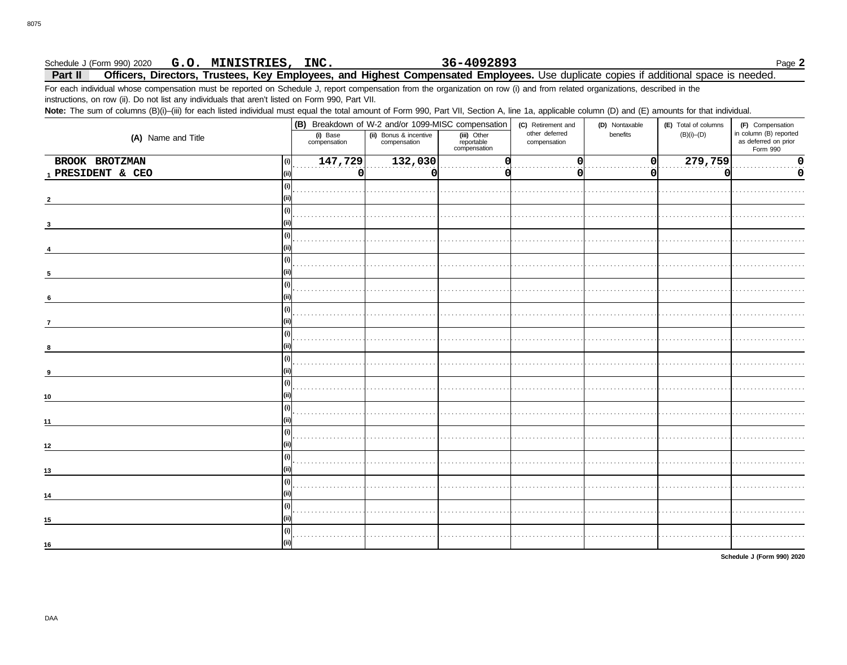## Schedule J (Form 990) 2020 G.O. MINISTRIES, INC.

## 36-4092893

## Page 2

Officers, Directors, Trustees, Key Employees, and Highest Compensated Employees. Use duplicate copies if additional space is needed. Part II

For each individual whose compensation must be reported on Schedule J, report compensation from the organization on row (i) and from related organizations, described in the instructions, on row (ii). Do not list any individuals that aren't listed on Form 990, Part VII.

Note: The sum of columns (B)(i)-(iii) for each listed individual must equal the total amount of Form 990, Part VII, Section A, line 1a, applicable column (D) and (E) amounts for that individual.

|                       | (B) Breakdown of W-2 and/or 1099-MISC compensation |                                        |                                           | (D) Nontaxable<br>(C) Retirement and       |                | (E) Total of columns | (F) Compensation                                           |  |
|-----------------------|----------------------------------------------------|----------------------------------------|-------------------------------------------|--------------------------------------------|----------------|----------------------|------------------------------------------------------------|--|
| (A) Name and Title    | (i) Base<br>compensation                           | (ii) Bonus & incentive<br>compensation | (iii) Other<br>reportable<br>compensation | other deferred<br>benefits<br>compensation |                | $(B)(i)$ - $(D)$     | in column (B) reported<br>as deferred on prior<br>Form 990 |  |
| BROOK BROTZMAN<br>(i) | 147,729                                            | 132,030                                | n                                         | 0                                          | $\overline{0}$ | 279,759              | 0                                                          |  |
| $_1$ PRESIDENT & CEO  | $\mathbf 0$                                        | <sub>0</sub>                           |                                           | 0                                          | 0              | O                    | 0                                                          |  |
| (i)                   |                                                    |                                        |                                           |                                            |                |                      |                                                            |  |
|                       |                                                    |                                        |                                           |                                            |                |                      |                                                            |  |
| (i)                   |                                                    |                                        |                                           |                                            |                |                      |                                                            |  |
|                       |                                                    |                                        |                                           |                                            |                |                      |                                                            |  |
| (i)                   |                                                    |                                        |                                           |                                            |                |                      |                                                            |  |
|                       |                                                    |                                        |                                           |                                            |                |                      |                                                            |  |
| (i)                   |                                                    |                                        |                                           |                                            |                |                      |                                                            |  |
| (i)                   |                                                    |                                        |                                           |                                            |                |                      |                                                            |  |
| 6                     |                                                    |                                        |                                           |                                            |                |                      |                                                            |  |
| (i)                   |                                                    |                                        |                                           |                                            |                |                      |                                                            |  |
| $\overline{7}$        |                                                    |                                        |                                           |                                            |                |                      |                                                            |  |
| (i)                   |                                                    |                                        |                                           |                                            |                |                      |                                                            |  |
| 8                     |                                                    |                                        |                                           |                                            |                |                      |                                                            |  |
| (i)<br>$\circ$        |                                                    |                                        |                                           |                                            |                |                      |                                                            |  |
| (i)                   |                                                    |                                        |                                           |                                            |                |                      |                                                            |  |
| 10                    |                                                    |                                        |                                           |                                            |                |                      |                                                            |  |
| (i)                   |                                                    |                                        |                                           |                                            |                |                      |                                                            |  |
| 11                    |                                                    |                                        |                                           |                                            |                |                      |                                                            |  |
| (i)                   |                                                    |                                        |                                           |                                            |                |                      |                                                            |  |
| 12                    |                                                    |                                        |                                           |                                            |                |                      |                                                            |  |
| (i)                   |                                                    |                                        |                                           |                                            |                |                      |                                                            |  |
| 13                    |                                                    |                                        |                                           |                                            |                |                      |                                                            |  |
| (i)                   |                                                    |                                        |                                           |                                            |                |                      |                                                            |  |
| 14                    |                                                    |                                        |                                           |                                            |                |                      |                                                            |  |
| (i)                   |                                                    |                                        |                                           |                                            |                |                      |                                                            |  |
| 15                    |                                                    |                                        |                                           |                                            |                |                      |                                                            |  |
| (i)                   |                                                    |                                        |                                           |                                            |                |                      |                                                            |  |
| 16                    |                                                    |                                        |                                           |                                            |                |                      |                                                            |  |

Schedule J (Form 990) 2020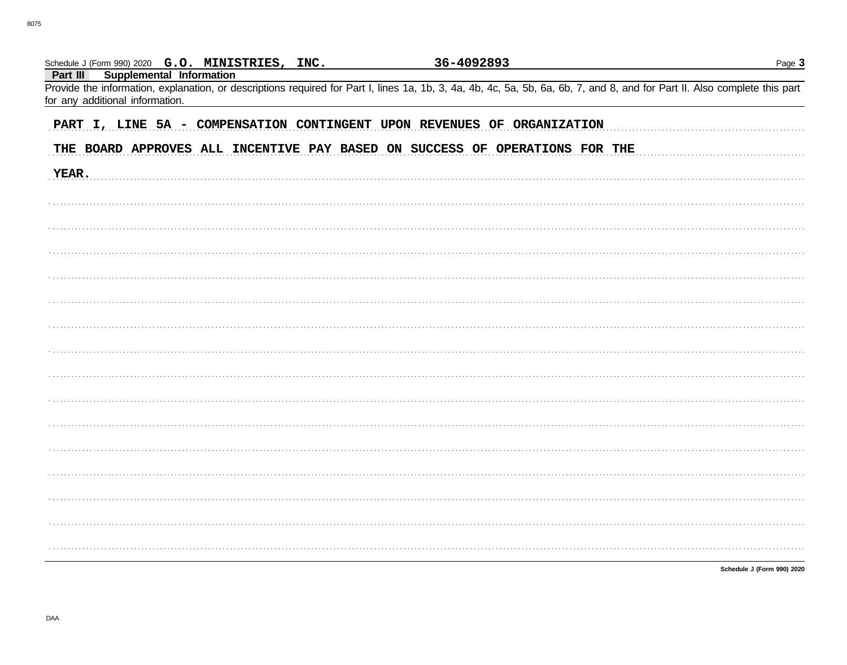| Supplemental Information<br>Part III                                                                                                                                       |  |
|----------------------------------------------------------------------------------------------------------------------------------------------------------------------------|--|
| Provide the information, explanation, or descriptions required for Part I, lines 1a, 1b, 3, 4a, 4b, 4c, 5a, 5b, 6a, 6b, 7, and 8, and for Part II. Also complete this part |  |
| for any additional information.                                                                                                                                            |  |
|                                                                                                                                                                            |  |
| PART I, LINE 5A - COMPENSATION CONTINGENT UPON REVENUES OF ORGANIZATION                                                                                                    |  |
|                                                                                                                                                                            |  |
| THE BOARD APPROVES ALL INCENTIVE PAY BASED ON SUCCESS OF OPERATIONS FOR THE                                                                                                |  |
|                                                                                                                                                                            |  |
| YEAR.                                                                                                                                                                      |  |
|                                                                                                                                                                            |  |
|                                                                                                                                                                            |  |
|                                                                                                                                                                            |  |
|                                                                                                                                                                            |  |
|                                                                                                                                                                            |  |
|                                                                                                                                                                            |  |
|                                                                                                                                                                            |  |
|                                                                                                                                                                            |  |
|                                                                                                                                                                            |  |
|                                                                                                                                                                            |  |
|                                                                                                                                                                            |  |
|                                                                                                                                                                            |  |
|                                                                                                                                                                            |  |
|                                                                                                                                                                            |  |
|                                                                                                                                                                            |  |
|                                                                                                                                                                            |  |
|                                                                                                                                                                            |  |
|                                                                                                                                                                            |  |
|                                                                                                                                                                            |  |
|                                                                                                                                                                            |  |
|                                                                                                                                                                            |  |
|                                                                                                                                                                            |  |
|                                                                                                                                                                            |  |
|                                                                                                                                                                            |  |
|                                                                                                                                                                            |  |
|                                                                                                                                                                            |  |
|                                                                                                                                                                            |  |
|                                                                                                                                                                            |  |
|                                                                                                                                                                            |  |
| Schedule J (Form 990) 2020                                                                                                                                                 |  |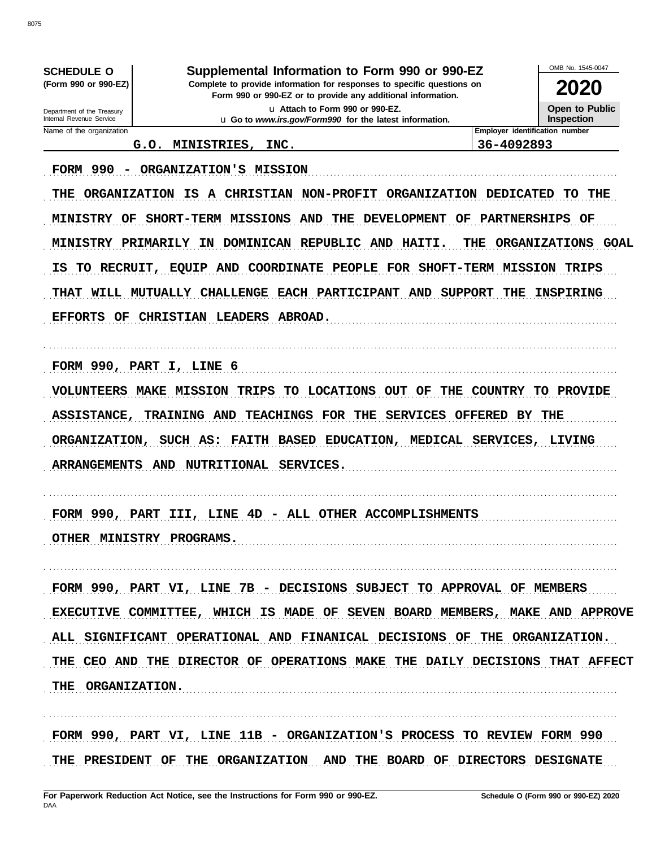| <b>SCHEDULE O</b>                                                                                                                                              | Supplemental Information to Form 990 or 990-EZ                                             |                                           | OMB No. 1545-0047                          |
|----------------------------------------------------------------------------------------------------------------------------------------------------------------|--------------------------------------------------------------------------------------------|-------------------------------------------|--------------------------------------------|
| (Form 990 or 990-EZ)<br>Complete to provide information for responses to specific questions on<br>Form 990 or 990-EZ or to provide any additional information. |                                                                                            |                                           | 2020                                       |
| Department of the Treasury<br>Internal Revenue Service                                                                                                         | u Attach to Form 990 or 990-EZ.<br>u Go to www.irs.gov/Form990 for the latest information. |                                           | <b>Open to Public</b><br><b>Inspection</b> |
| Name of the organization                                                                                                                                       |                                                                                            |                                           | Employer identification number             |
| G.O.                                                                                                                                                           | <b>MINISTRIES,</b><br>INC.                                                                 | 36-4092893                                |                                            |
| FORM 990                                                                                                                                                       | ORGANIZATION'S MISSION                                                                     |                                           |                                            |
| <b>ORGANIZATION</b><br>THE                                                                                                                                     | <b>CHRISTIAN NON-PROFIT</b><br>IS<br>A                                                     | <b>ORGANIZATION</b><br><b>DEDICATED</b>   | TО<br>THE                                  |
| <b>MINISTRY OF</b>                                                                                                                                             | SHORT-TERM MISSIONS<br><b>AND</b><br>THE                                                   | DEVELOPMENT<br>OF                         | <b>PARTNERSHIPS</b><br>OF                  |
|                                                                                                                                                                |                                                                                            |                                           |                                            |
| <b>MINISTRY PRIMARILY</b>                                                                                                                                      | DOMINICAN REPUBLIC<br>ΙN.<br>AND                                                           | <b>HAITI.</b><br>THE                      | <b>ORGANIZATIONS</b><br><b>GOAL</b>        |
| ΙS<br>TO RECRUIT, EQUIP                                                                                                                                        | <b>AND</b><br><b>COORDINATE</b><br><b>PEOPLE</b>                                           | FOR SHOFT-TERM MISSION TRIPS              |                                            |
| THAT                                                                                                                                                           | WILL MUTUALLY CHALLENGE<br><b>EACH PARTICIPANT</b>                                         | SUPPORT<br>AND<br>THE                     | <b>INSPIRING</b>                           |
| <b>EFFORTS</b><br>OF                                                                                                                                           | CHRISTIAN LEADERS<br><b>ABROAD.</b>                                                        |                                           |                                            |
|                                                                                                                                                                |                                                                                            |                                           |                                            |
|                                                                                                                                                                |                                                                                            |                                           |                                            |
| FORM 990, PART I, LINE 6                                                                                                                                       |                                                                                            |                                           |                                            |
| <b>VOLUNTEERS</b><br><b>MAKE</b>                                                                                                                               | <b>MISSION</b><br><b>TRIPS</b><br><b>LOCATIONS</b><br>TO.                                  | <b>OUT</b><br>OF<br>THE<br><b>COUNTRY</b> | TO.<br><b>PROVIDE</b>                      |
| ASSISTANCE,                                                                                                                                                    | AND<br><b>TEACHINGS</b><br><b>FOR</b><br><b>TRAINING</b><br>THE                            | <b>SERVICES</b><br><b>OFFERED</b>         | BY<br>THE                                  |
|                                                                                                                                                                |                                                                                            |                                           |                                            |
| <b>ORGANIZATION,</b>                                                                                                                                           | SUCH AS:<br>FAITH BASED EDUCATION,                                                         | MEDICAL SERVICES,                         | LIVING                                     |
| <b>ARRANGEMENTS</b>                                                                                                                                            | NUTRITIONAL<br><b>SERVICES.</b><br><b>AND</b>                                              |                                           |                                            |
|                                                                                                                                                                |                                                                                            |                                           |                                            |
|                                                                                                                                                                | FORM 990, PART III, LINE 4D - ALL OTHER ACCOMPLISHMENTS                                    |                                           |                                            |
|                                                                                                                                                                |                                                                                            |                                           |                                            |
| OTHER MINISTRY PROGRAMS.                                                                                                                                       |                                                                                            |                                           |                                            |
|                                                                                                                                                                |                                                                                            |                                           |                                            |
|                                                                                                                                                                | FORM 990, PART VI, LINE 7B - DECISIONS SUBJECT TO APPROVAL OF MEMBERS                      |                                           |                                            |
|                                                                                                                                                                | EXECUTIVE COMMITTEE, WHICH IS MADE OF SEVEN BOARD MEMBERS, MAKE AND APPROVE                |                                           |                                            |
|                                                                                                                                                                | ALL SIGNIFICANT OPERATIONAL AND FINANICAL DECISIONS OF THE ORGANIZATION.                   |                                           |                                            |
|                                                                                                                                                                |                                                                                            |                                           |                                            |
|                                                                                                                                                                | THE CEO AND THE DIRECTOR OF OPERATIONS MAKE THE DAILY DECISIONS THAT AFFECT                |                                           |                                            |
| THE ORGANIZATION.                                                                                                                                              |                                                                                            |                                           |                                            |
|                                                                                                                                                                |                                                                                            |                                           |                                            |
|                                                                                                                                                                | FORM 990, PART VI, LINE 11B - ORGANIZATION'S PROCESS TO REVIEW FORM 990                    |                                           |                                            |
|                                                                                                                                                                |                                                                                            |                                           |                                            |
|                                                                                                                                                                | THE PRESIDENT OF THE ORGANIZATION AND THE BOARD OF DIRECTORS DESIGNATE                     |                                           |                                            |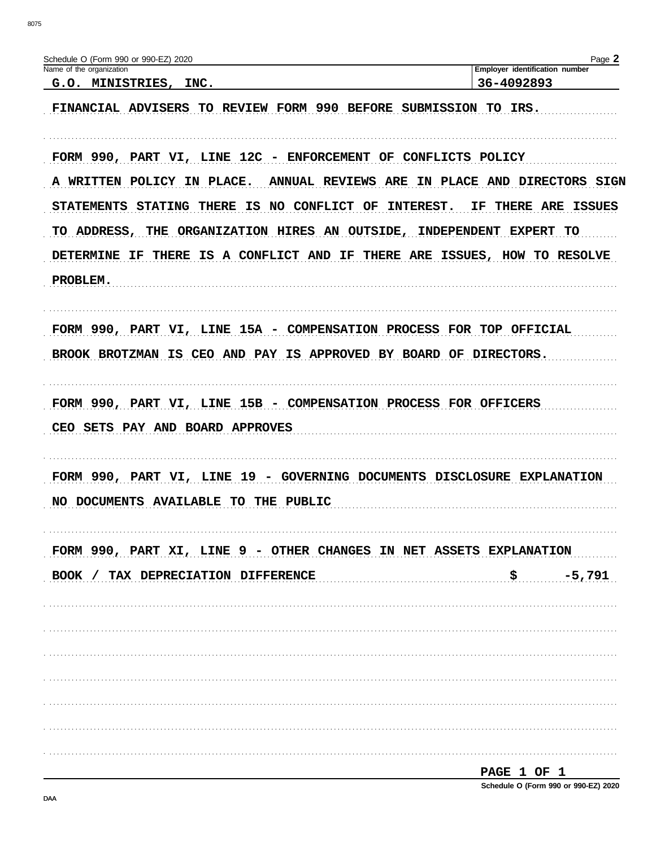| Schedule O (Form 990 or 990-EZ) 2020<br>Name of the organization                   | Page 2<br>Employer identification number |
|------------------------------------------------------------------------------------|------------------------------------------|
| G.O. MINISTRIES,<br>INC.                                                           | 36-4092893                               |
| TO REVIEW FORM 990 BEFORE SUBMISSION TO IRS.<br>FINANCIAL ADVISERS                 |                                          |
| FORM 990, PART VI, LINE 12C - ENFORCEMENT OF CONFLICTS POLICY                      |                                          |
| A WRITTEN POLICY IN PLACE.<br>ANNUAL REVIEWS ARE IN PLACE AND DIRECTORS SIGN       |                                          |
| STATEMENTS STATING THERE IS NO CONFLICT OF INTEREST.                               | IF THERE ARE ISSUES                      |
| TO ADDRESS, THE ORGANIZATION HIRES AN OUTSIDE, INDEPENDENT                         | <b>EXPERT TO</b>                         |
| THERE IS A CONFLICT AND IF THERE ARE ISSUES, HOW TO RESOLVE<br><b>DETERMINE IF</b> |                                          |
| PROBLEM.                                                                           |                                          |
|                                                                                    |                                          |
| FORM 990, PART VI, LINE 15A - COMPENSATION PROCESS FOR TOP OFFICIAL                |                                          |
| BROOK BROTZMAN IS CEO AND PAY IS APPROVED BY BOARD OF DIRECTORS.                   |                                          |
| FORM 990, PART VI, LINE 15B - COMPENSATION PROCESS FOR OFFICERS                    |                                          |
| CEO SETS PAY AND BOARD APPROVES                                                    |                                          |
| FORM 990, PART VI, LINE<br>19 - GOVERNING DOCUMENTS DISCLOSURE EXPLANATION         |                                          |
| NO DOCUMENTS AVAILABLE TO THE PUBLIC                                               |                                          |
| FORM 990, PART XI, LINE 9 - OTHER CHANGES IN NET ASSETS EXPLANATION                |                                          |
| BOOK / TAX DEPRECIATION DIFFERENCE                                                 | $-5,791$                                 |
|                                                                                    |                                          |
|                                                                                    |                                          |
|                                                                                    |                                          |
|                                                                                    |                                          |
|                                                                                    |                                          |
|                                                                                    |                                          |
|                                                                                    |                                          |
|                                                                                    | PAGE 1 OF 1                              |

Schedule O (Form 990 or 990-EZ) 2020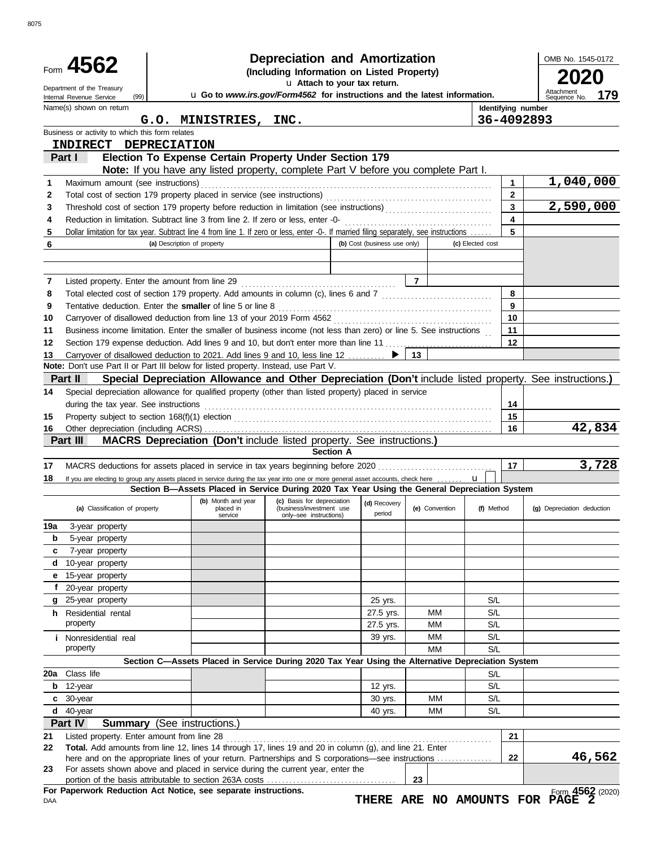| <b>Depreciation and Amortization</b><br>Form 4562<br>(Including Information on Listed Property)<br>u Attach to your tax return.<br>Department of the Treasury<br>u Go to www.irs.gov/Form4562 for instructions and the latest information.<br>(99)<br>Internal Revenue Service |                                                                                                                                                                                                                             |                             |                                                        |                                                    |                                                                                                                                                                        |                | OMB No. 1545-0172<br>Attachment<br>179<br>Sequence No. |                    |                                                                                                          |
|--------------------------------------------------------------------------------------------------------------------------------------------------------------------------------------------------------------------------------------------------------------------------------|-----------------------------------------------------------------------------------------------------------------------------------------------------------------------------------------------------------------------------|-----------------------------|--------------------------------------------------------|----------------------------------------------------|------------------------------------------------------------------------------------------------------------------------------------------------------------------------|----------------|--------------------------------------------------------|--------------------|----------------------------------------------------------------------------------------------------------|
|                                                                                                                                                                                                                                                                                | Name(s) shown on return                                                                                                                                                                                                     |                             |                                                        |                                                    |                                                                                                                                                                        |                |                                                        | Identifying number |                                                                                                          |
|                                                                                                                                                                                                                                                                                |                                                                                                                                                                                                                             |                             | G.O. MINISTRIES,                                       | INC.                                               |                                                                                                                                                                        |                |                                                        |                    | 36-4092893                                                                                               |
|                                                                                                                                                                                                                                                                                | Business or activity to which this form relates                                                                                                                                                                             |                             |                                                        |                                                    |                                                                                                                                                                        |                |                                                        |                    |                                                                                                          |
|                                                                                                                                                                                                                                                                                | INDIRECT DEPRECIATION                                                                                                                                                                                                       |                             |                                                        |                                                    |                                                                                                                                                                        |                |                                                        |                    |                                                                                                          |
|                                                                                                                                                                                                                                                                                | Part I                                                                                                                                                                                                                      |                             | Election To Expense Certain Property Under Section 179 |                                                    |                                                                                                                                                                        |                |                                                        |                    |                                                                                                          |
|                                                                                                                                                                                                                                                                                |                                                                                                                                                                                                                             |                             |                                                        |                                                    | Note: If you have any listed property, complete Part V before you complete Part I.                                                                                     |                |                                                        |                    |                                                                                                          |
| 1                                                                                                                                                                                                                                                                              | Maximum amount (see instructions)                                                                                                                                                                                           |                             |                                                        |                                                    |                                                                                                                                                                        |                |                                                        | 1                  | 1,040,000                                                                                                |
| 2                                                                                                                                                                                                                                                                              |                                                                                                                                                                                                                             |                             |                                                        |                                                    |                                                                                                                                                                        |                |                                                        | $\mathbf{2}$       |                                                                                                          |
| 3                                                                                                                                                                                                                                                                              |                                                                                                                                                                                                                             |                             |                                                        |                                                    |                                                                                                                                                                        |                |                                                        | $\mathbf{3}$<br>4  | 2,590,000                                                                                                |
| 4                                                                                                                                                                                                                                                                              | Reduction in limitation. Subtract line 3 from line 2. If zero or less, enter -0-<br>Dollar limitation for tax year. Subtract line 4 from line 1. If zero or less, enter -0-. If married filing separately, see instructions |                             |                                                        |                                                    |                                                                                                                                                                        |                |                                                        | 5                  |                                                                                                          |
| 5<br>6                                                                                                                                                                                                                                                                         |                                                                                                                                                                                                                             | (a) Description of property |                                                        |                                                    | (b) Cost (business use only)                                                                                                                                           |                | (c) Elected cost                                       |                    |                                                                                                          |
|                                                                                                                                                                                                                                                                                |                                                                                                                                                                                                                             |                             |                                                        |                                                    |                                                                                                                                                                        |                |                                                        |                    |                                                                                                          |
|                                                                                                                                                                                                                                                                                |                                                                                                                                                                                                                             |                             |                                                        |                                                    |                                                                                                                                                                        |                |                                                        |                    |                                                                                                          |
| 7                                                                                                                                                                                                                                                                              | Listed property. Enter the amount from line 29                                                                                                                                                                              |                             |                                                        |                                                    |                                                                                                                                                                        | $\overline{7}$ |                                                        |                    |                                                                                                          |
| 8                                                                                                                                                                                                                                                                              | Total elected cost of section 179 property. Add amounts in column (c), lines 6 and 7 [[[[[[[[[[[[[[[[[[[[[[[[                                                                                                               |                             |                                                        |                                                    |                                                                                                                                                                        |                |                                                        | 8                  |                                                                                                          |
| 9                                                                                                                                                                                                                                                                              | Tentative deduction. Enter the smaller of line 5 or line 8                                                                                                                                                                  |                             |                                                        |                                                    |                                                                                                                                                                        |                |                                                        | 9                  |                                                                                                          |
| 10                                                                                                                                                                                                                                                                             |                                                                                                                                                                                                                             |                             |                                                        |                                                    |                                                                                                                                                                        |                |                                                        | 10                 |                                                                                                          |
| 11                                                                                                                                                                                                                                                                             | Business income limitation. Enter the smaller of business income (not less than zero) or line 5. See instructions                                                                                                           |                             |                                                        |                                                    |                                                                                                                                                                        |                |                                                        | 11                 |                                                                                                          |
| 12                                                                                                                                                                                                                                                                             | Section 179 expense deduction. Add lines 9 and 10, but don't enter more than line 11                                                                                                                                        |                             |                                                        |                                                    |                                                                                                                                                                        |                |                                                        | $12 \,$            |                                                                                                          |
| 13                                                                                                                                                                                                                                                                             | Carryover of disallowed deduction to 2021. Add lines 9 and 10, less line 12                                                                                                                                                 |                             |                                                        |                                                    |                                                                                                                                                                        | 13             |                                                        |                    |                                                                                                          |
|                                                                                                                                                                                                                                                                                | Note: Don't use Part II or Part III below for listed property. Instead, use Part V.                                                                                                                                         |                             |                                                        |                                                    |                                                                                                                                                                        |                |                                                        |                    |                                                                                                          |
|                                                                                                                                                                                                                                                                                | Part II                                                                                                                                                                                                                     |                             |                                                        |                                                    |                                                                                                                                                                        |                |                                                        |                    | Special Depreciation Allowance and Other Depreciation (Don't include listed property. See instructions.) |
| 14                                                                                                                                                                                                                                                                             | Special depreciation allowance for qualified property (other than listed property) placed in service                                                                                                                        |                             |                                                        |                                                    |                                                                                                                                                                        |                |                                                        |                    |                                                                                                          |
|                                                                                                                                                                                                                                                                                | during the tax year. See instructions                                                                                                                                                                                       |                             |                                                        |                                                    |                                                                                                                                                                        |                |                                                        | 14                 |                                                                                                          |
| 15                                                                                                                                                                                                                                                                             |                                                                                                                                                                                                                             |                             |                                                        |                                                    |                                                                                                                                                                        |                |                                                        | 15                 |                                                                                                          |
| 16                                                                                                                                                                                                                                                                             |                                                                                                                                                                                                                             |                             |                                                        |                                                    |                                                                                                                                                                        |                |                                                        | 16                 | 42,834                                                                                                   |
|                                                                                                                                                                                                                                                                                | Part III                                                                                                                                                                                                                    |                             |                                                        |                                                    | <b>MACRS Depreciation (Don't include listed property. See instructions.)</b>                                                                                           |                |                                                        |                    |                                                                                                          |
|                                                                                                                                                                                                                                                                                |                                                                                                                                                                                                                             |                             |                                                        | <b>Section A</b>                                   |                                                                                                                                                                        |                |                                                        |                    |                                                                                                          |
| 17                                                                                                                                                                                                                                                                             | MACRS deductions for assets placed in service in tax years beginning before 2020                                                                                                                                            |                             |                                                        |                                                    |                                                                                                                                                                        |                |                                                        | 17                 | 3,728                                                                                                    |
| 18                                                                                                                                                                                                                                                                             | If you are electing to group any assets placed in service during the tax year into one or more general asset accounts, check here                                                                                           |                             |                                                        |                                                    |                                                                                                                                                                        |                | $\mathbf{u}$                                           |                    |                                                                                                          |
|                                                                                                                                                                                                                                                                                |                                                                                                                                                                                                                             |                             |                                                        |                                                    | Section B—Assets Placed in Service During 2020 Tax Year Using the General Depreciation System                                                                          |                |                                                        |                    |                                                                                                          |
|                                                                                                                                                                                                                                                                                | (a) Classification of property                                                                                                                                                                                              |                             | placed in<br>service                                   | (business/investment use<br>only-see instructions) | (b) Month and year $\begin{vmatrix} \text{c} \\ \text{b} \end{vmatrix}$ Basis for depreciation $\begin{vmatrix} \text{d} \\ \text{d} \end{vmatrix}$ Recovery<br>period | (e) Convention | (f) Method                                             |                    | (g) Depreciation deduction                                                                               |
| 19a                                                                                                                                                                                                                                                                            | 3-year property                                                                                                                                                                                                             |                             |                                                        |                                                    |                                                                                                                                                                        |                |                                                        |                    |                                                                                                          |
| b                                                                                                                                                                                                                                                                              | 5-year property                                                                                                                                                                                                             |                             |                                                        |                                                    |                                                                                                                                                                        |                |                                                        |                    |                                                                                                          |
| c                                                                                                                                                                                                                                                                              | 7-year property                                                                                                                                                                                                             |                             |                                                        |                                                    |                                                                                                                                                                        |                |                                                        |                    |                                                                                                          |
| d                                                                                                                                                                                                                                                                              | 10-year property                                                                                                                                                                                                            |                             |                                                        |                                                    |                                                                                                                                                                        |                |                                                        |                    |                                                                                                          |
| е                                                                                                                                                                                                                                                                              | 15-year property                                                                                                                                                                                                            |                             |                                                        |                                                    |                                                                                                                                                                        |                |                                                        |                    |                                                                                                          |
| f                                                                                                                                                                                                                                                                              | 20-year property                                                                                                                                                                                                            |                             |                                                        |                                                    |                                                                                                                                                                        |                |                                                        |                    |                                                                                                          |
| g                                                                                                                                                                                                                                                                              | 25-year property                                                                                                                                                                                                            |                             |                                                        |                                                    | 25 yrs.                                                                                                                                                                |                | S/L                                                    |                    |                                                                                                          |
|                                                                                                                                                                                                                                                                                | h Residential rental                                                                                                                                                                                                        |                             |                                                        |                                                    | 27.5 yrs.                                                                                                                                                              | <b>MM</b>      | S/L                                                    |                    |                                                                                                          |
|                                                                                                                                                                                                                                                                                | property                                                                                                                                                                                                                    |                             |                                                        |                                                    | 27.5 yrs.                                                                                                                                                              | МM             | S/L                                                    |                    |                                                                                                          |
| i.                                                                                                                                                                                                                                                                             | Nonresidential real                                                                                                                                                                                                         |                             |                                                        |                                                    | 39 yrs.                                                                                                                                                                | MМ             | S/L                                                    |                    |                                                                                                          |
|                                                                                                                                                                                                                                                                                | property                                                                                                                                                                                                                    |                             |                                                        |                                                    |                                                                                                                                                                        | МM             | S/L                                                    |                    |                                                                                                          |
|                                                                                                                                                                                                                                                                                |                                                                                                                                                                                                                             |                             |                                                        |                                                    | Section C-Assets Placed in Service During 2020 Tax Year Using the Alternative Depreciation System                                                                      |                |                                                        |                    |                                                                                                          |
| 20a                                                                                                                                                                                                                                                                            | Class life                                                                                                                                                                                                                  |                             |                                                        |                                                    |                                                                                                                                                                        |                | S/L                                                    |                    |                                                                                                          |
| b                                                                                                                                                                                                                                                                              | 12-year                                                                                                                                                                                                                     |                             |                                                        |                                                    | 12 yrs.                                                                                                                                                                |                | S/L                                                    |                    |                                                                                                          |
|                                                                                                                                                                                                                                                                                | $c30$ -year                                                                                                                                                                                                                 |                             |                                                        |                                                    | 30 yrs.                                                                                                                                                                | <b>MM</b>      | S/L                                                    |                    |                                                                                                          |
| d                                                                                                                                                                                                                                                                              | 40-year                                                                                                                                                                                                                     |                             |                                                        |                                                    | 40 yrs.                                                                                                                                                                | MМ             | S/L                                                    |                    |                                                                                                          |
|                                                                                                                                                                                                                                                                                | Part IV<br><b>Summary</b> (See instructions.)                                                                                                                                                                               |                             |                                                        |                                                    |                                                                                                                                                                        |                |                                                        |                    |                                                                                                          |
| 21                                                                                                                                                                                                                                                                             | Listed property. Enter amount from line 28                                                                                                                                                                                  |                             |                                                        |                                                    |                                                                                                                                                                        |                |                                                        | 21                 |                                                                                                          |
| 22                                                                                                                                                                                                                                                                             | Total. Add amounts from line 12, lines 14 through 17, lines 19 and 20 in column (g), and line 21. Enter                                                                                                                     |                             |                                                        |                                                    |                                                                                                                                                                        |                |                                                        |                    |                                                                                                          |
|                                                                                                                                                                                                                                                                                | here and on the appropriate lines of your return. Partnerships and S corporations—see instructions                                                                                                                          |                             |                                                        |                                                    |                                                                                                                                                                        |                |                                                        | 22                 | 46,562                                                                                                   |
| 23                                                                                                                                                                                                                                                                             | For assets shown above and placed in service during the current year, enter the                                                                                                                                             |                             |                                                        |                                                    |                                                                                                                                                                        |                |                                                        |                    |                                                                                                          |
|                                                                                                                                                                                                                                                                                | For Paperwork Reduction Act Notice, see separate instructions.                                                                                                                                                              |                             |                                                        |                                                    |                                                                                                                                                                        | 23             |                                                        |                    | Form 4562 (2020)                                                                                         |
| DAA                                                                                                                                                                                                                                                                            |                                                                                                                                                                                                                             |                             |                                                        |                                                    |                                                                                                                                                                        |                |                                                        |                    | THERE ARE NO AMOUNTS FOR PAGE 2                                                                          |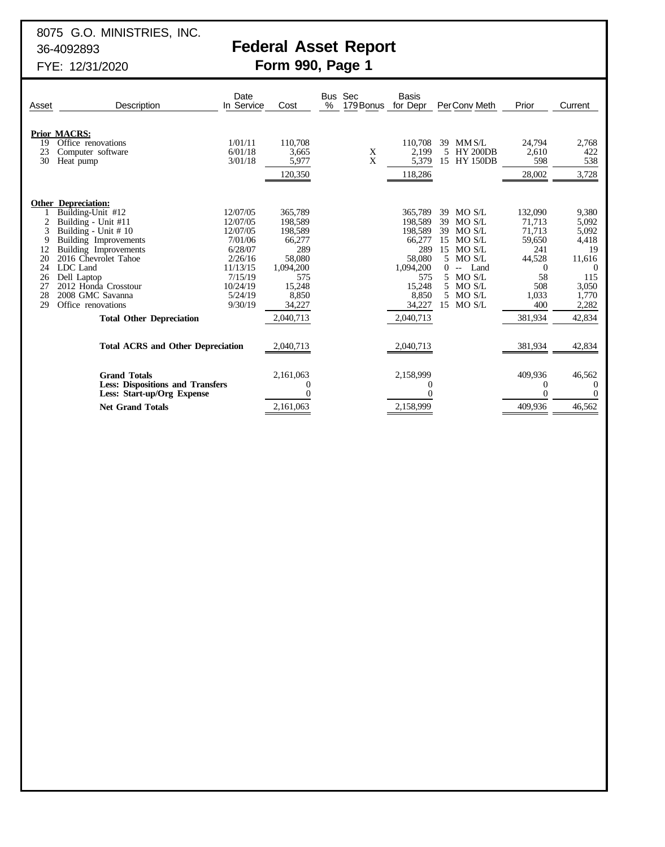# 8075 G.O. MINISTRIES, INC. 36-4092893 **Federal Asset Report**

# FYE: 12/31/2020 **Form 990, Page 1**

| Asset                                            | Description                                                                                                                                                                                                                                                                                             | Date<br>In Service                                                                                                         | Cost                                                                                                                   | % | Bus Sec<br>179 Bonus | <b>Basis</b><br>for Depr                                                                                               |          | PerConv Meth                                                                                                                          | Prior                                                                                                      | Current                                                                                                        |
|--------------------------------------------------|---------------------------------------------------------------------------------------------------------------------------------------------------------------------------------------------------------------------------------------------------------------------------------------------------------|----------------------------------------------------------------------------------------------------------------------------|------------------------------------------------------------------------------------------------------------------------|---|----------------------|------------------------------------------------------------------------------------------------------------------------|----------|---------------------------------------------------------------------------------------------------------------------------------------|------------------------------------------------------------------------------------------------------------|----------------------------------------------------------------------------------------------------------------|
| 19<br>23<br>30                                   | <b>Prior MACRS:</b><br>Office renovations<br>Computer software<br>Heat pump                                                                                                                                                                                                                             | 1/01/11<br>6/01/18<br>3/01/18                                                                                              | 110,708<br>3,665<br>5,977<br>120,350                                                                                   |   | X<br>X               | 110,708<br>2,199<br>5,379<br>118,286                                                                                   | 15       | 39 MM S/L<br>5 HY 200DB<br><b>HY 150DB</b>                                                                                            | 24,794<br>2,610<br>598<br>28,002                                                                           | 2,768<br>422<br>538<br>3,728                                                                                   |
| 3<br>9<br>12<br>20<br>24<br>26<br>27<br>28<br>29 | <b>Other Depreciation:</b><br>Building-Unit #12<br>Building - Unit #11<br>Building - Unit #10<br>Building Improvements<br>Building Improvements<br>2016 Chevrolet Tahoe<br>LDC Land<br>Dell Laptop<br>2012 Honda Crosstour<br>2008 GMC Savanna<br>Office renovations<br><b>Total Other Depreciation</b> | 12/07/05<br>12/07/05<br>12/07/05<br>7/01/06<br>6/28/07<br>2/26/16<br>11/13/15<br>7/15/19<br>10/24/19<br>5/24/19<br>9/30/19 | 365,789<br>198,589<br>198,589<br>66,277<br>289<br>58,080<br>1,094,200<br>575<br>15,248<br>8,850<br>34,227<br>2,040,713 |   |                      | 365,789<br>198,589<br>198,589<br>66,277<br>289<br>58,080<br>1,094,200<br>575<br>15,248<br>8,850<br>34,227<br>2,040,713 | 39<br>39 | 39 MO S/L<br>MO S/L<br>MO S/L<br>15 MO S/L<br>15 MO S/L<br>5 MO S/L<br>Land<br>$0 -$<br>5 MO S/L<br>5 MO S/L<br>5 MO S/L<br>15 MO S/L | 132,090<br>71,713<br>71,713<br>59,650<br>241<br>44,528<br>$\theta$<br>58<br>508<br>1,033<br>400<br>381,934 | 9,380<br>5,092<br>5,092<br>4,418<br>19<br>11,616<br>$\overline{0}$<br>115<br>3,050<br>1,770<br>2,282<br>42,834 |
|                                                  | <b>Total ACRS and Other Depreciation</b>                                                                                                                                                                                                                                                                |                                                                                                                            | 2,040,713                                                                                                              |   |                      | 2,040,713                                                                                                              |          |                                                                                                                                       | 381,934                                                                                                    | 42,834                                                                                                         |
|                                                  | <b>Grand Totals</b><br><b>Less: Dispositions and Transfers</b><br>Less: Start-up/Org Expense<br><b>Net Grand Totals</b>                                                                                                                                                                                 |                                                                                                                            | 2,161,063<br>0<br>2,161,063                                                                                            |   |                      | 2,158,999<br>0<br>2,158,999                                                                                            |          |                                                                                                                                       | 409,936<br>0<br>409.936                                                                                    | 46,562<br>$\left($<br>$\theta$<br>46,562                                                                       |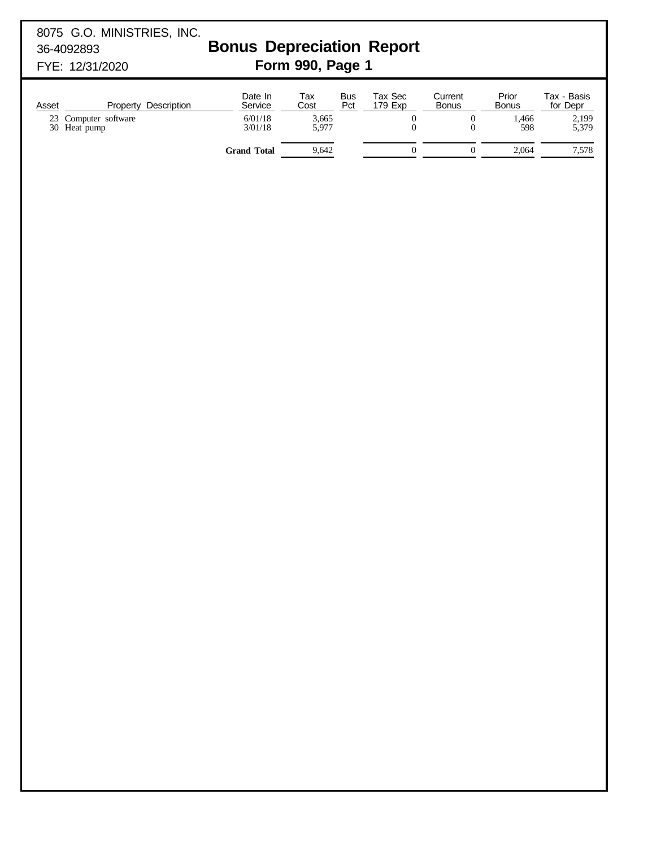|       | 8075 G.O. MINISTRIES, INC.<br>36-4092893<br>FYE: 12/31/2020 | <b>Bonus Depreciation Report</b><br><b>Form 990, Page 1</b> |                |                   |                    |                         |                |                         |
|-------|-------------------------------------------------------------|-------------------------------------------------------------|----------------|-------------------|--------------------|-------------------------|----------------|-------------------------|
| Asset | Property Description                                        | Date In<br>Service                                          | Tax<br>Cost    | <b>Bus</b><br>Pct | Tax Sec<br>179 Exp | Current<br><b>Bonus</b> | Prior<br>Bonus | Tax - Basis<br>for Depr |
|       | 23 Computer software<br>30 Heat pump                        | 6/01/18<br>3/01/18                                          | 3,665<br>5,977 |                   | 0<br>$\theta$      | $\mathbf{0}$            | 1.466<br>598   | 2,199<br>5,379          |
|       |                                                             | <b>Grand Total</b>                                          | 9,642          |                   |                    | $\Omega$                | 2.064          | 7,578                   |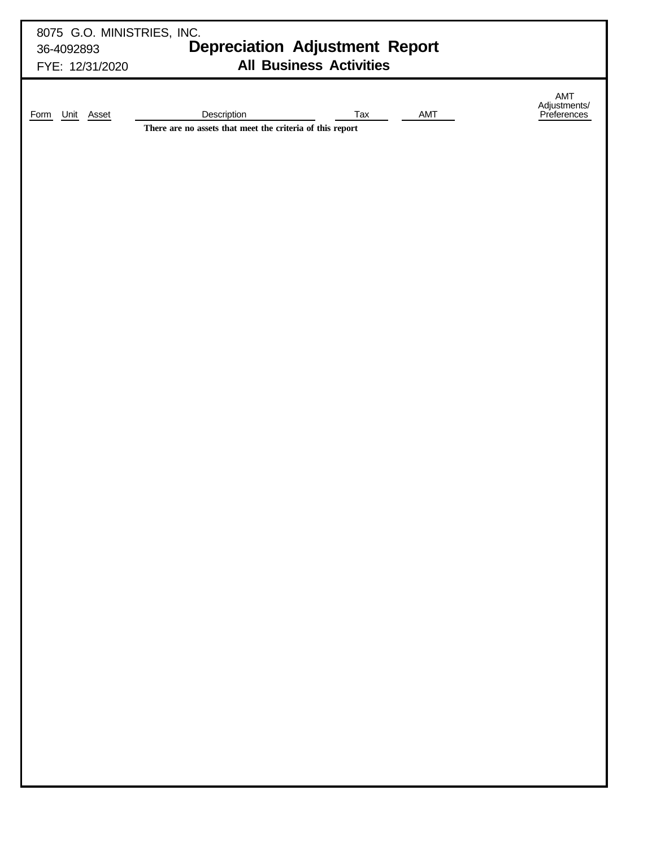| 8075 G.O. MINISTRIES, INC.<br>36-4092893<br>FYE: 12/31/2020 | <b>Depreciation Adjustment Report</b>                                    | <b>All Business Activities</b> |     |                                           |
|-------------------------------------------------------------|--------------------------------------------------------------------------|--------------------------------|-----|-------------------------------------------|
| Unit Asset<br>Form                                          | Description<br>There are no assets that meet the criteria of this report | Tax                            | AMT | AMT<br>Adjustments/<br><u>Preferences</u> |
|                                                             |                                                                          |                                |     |                                           |
|                                                             |                                                                          |                                |     |                                           |
|                                                             |                                                                          |                                |     |                                           |
|                                                             |                                                                          |                                |     |                                           |
|                                                             |                                                                          |                                |     |                                           |
|                                                             |                                                                          |                                |     |                                           |
|                                                             |                                                                          |                                |     |                                           |
|                                                             |                                                                          |                                |     |                                           |
|                                                             |                                                                          |                                |     |                                           |
|                                                             |                                                                          |                                |     |                                           |
|                                                             |                                                                          |                                |     |                                           |
|                                                             |                                                                          |                                |     |                                           |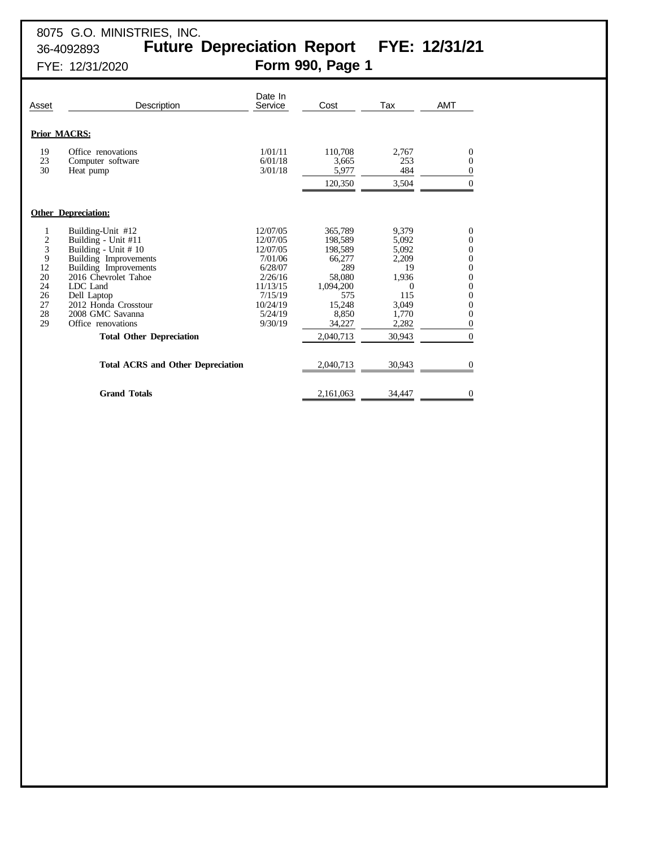# 8075 G.O. MINISTRIES, INC. 36-4092893 **Future Depreciation Report FYE: 12/31/21** FYE: 12/31/2020 **Form 990, Page 1**

| Asset                                                             | Description                                                                                                                                                                                                                                                               | Date In<br>Service                                                                                                         | Cost                                                                                                                   | Tax                                                                                              | AMT                                                                                                                          |
|-------------------------------------------------------------------|---------------------------------------------------------------------------------------------------------------------------------------------------------------------------------------------------------------------------------------------------------------------------|----------------------------------------------------------------------------------------------------------------------------|------------------------------------------------------------------------------------------------------------------------|--------------------------------------------------------------------------------------------------|------------------------------------------------------------------------------------------------------------------------------|
|                                                                   | <b>Prior MACRS:</b>                                                                                                                                                                                                                                                       |                                                                                                                            |                                                                                                                        |                                                                                                  |                                                                                                                              |
| 19<br>23<br>30                                                    | Office renovations<br>Computer software<br>Heat pump                                                                                                                                                                                                                      | 1/01/11<br>6/01/18<br>3/01/18                                                                                              | 110,708<br>3.665<br>5,977<br>120,350                                                                                   | 2,767<br>253<br>484<br>3,504                                                                     | 0<br>0<br>0<br>$\Omega$                                                                                                      |
|                                                                   | <b>Other Depreciation:</b>                                                                                                                                                                                                                                                |                                                                                                                            |                                                                                                                        |                                                                                                  |                                                                                                                              |
| 1<br>$\frac{2}{3}$<br>9<br>12<br>20<br>24<br>26<br>27<br>28<br>29 | Building-Unit #12<br>Building - Unit #11<br>Building - Unit #10<br>Building Improvements<br>Building Improvements<br>2016 Chevrolet Tahoe<br>LDC Land<br>Dell Laptop<br>2012 Honda Crosstour<br>2008 GMC Savanna<br>Office renovations<br><b>Total Other Depreciation</b> | 12/07/05<br>12/07/05<br>12/07/05<br>7/01/06<br>6/28/07<br>2/26/16<br>11/13/15<br>7/15/19<br>10/24/19<br>5/24/19<br>9/30/19 | 365,789<br>198,589<br>198,589<br>66,277<br>289<br>58,080<br>1,094,200<br>575<br>15,248<br>8,850<br>34,227<br>2,040,713 | 9,379<br>5,092<br>5,092<br>2,209<br>19<br>1,936<br>0<br>115<br>3,049<br>1,770<br>2,282<br>30,943 | $\mathbf{0}$<br>$\overline{0}$<br>0<br>0<br>0<br>0<br>0<br>0<br>$\boldsymbol{0}$<br>$\boldsymbol{0}$<br>$\theta$<br>$\Omega$ |
|                                                                   | <b>Total ACRS and Other Depreciation</b>                                                                                                                                                                                                                                  |                                                                                                                            | 2,040,713                                                                                                              | 30,943                                                                                           | 0                                                                                                                            |
|                                                                   | <b>Grand Totals</b>                                                                                                                                                                                                                                                       |                                                                                                                            | 2,161,063                                                                                                              | 34,447                                                                                           | $\mathbf{0}$                                                                                                                 |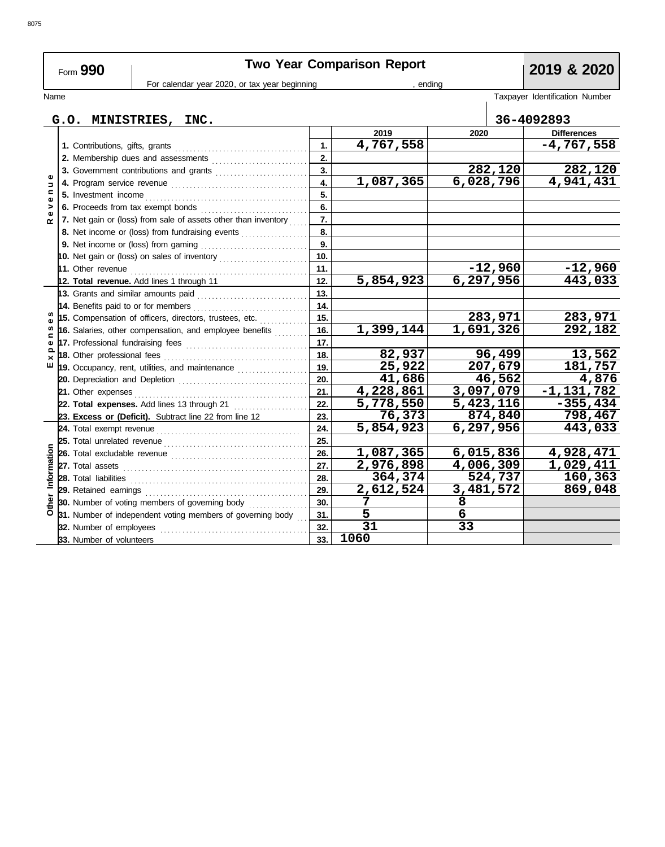| Form 990                  |                                    |                                                                     |                                                                                                                                                                                                                                                                                                                                                                                                                                                                                                                                                                                                                                                                                                                                                                    |         | 2019 & 2020 |                        |                                |
|---------------------------|------------------------------------|---------------------------------------------------------------------|--------------------------------------------------------------------------------------------------------------------------------------------------------------------------------------------------------------------------------------------------------------------------------------------------------------------------------------------------------------------------------------------------------------------------------------------------------------------------------------------------------------------------------------------------------------------------------------------------------------------------------------------------------------------------------------------------------------------------------------------------------------------|---------|-------------|------------------------|--------------------------------|
| Name                      |                                    |                                                                     |                                                                                                                                                                                                                                                                                                                                                                                                                                                                                                                                                                                                                                                                                                                                                                    |         |             |                        | Taxpayer Identification Number |
|                           |                                    |                                                                     |                                                                                                                                                                                                                                                                                                                                                                                                                                                                                                                                                                                                                                                                                                                                                                    |         |             |                        |                                |
|                           |                                    | G.O. MINISTRIES, INC.                                               |                                                                                                                                                                                                                                                                                                                                                                                                                                                                                                                                                                                                                                                                                                                                                                    |         |             |                        | 36-4092893                     |
|                           |                                    |                                                                     |                                                                                                                                                                                                                                                                                                                                                                                                                                                                                                                                                                                                                                                                                                                                                                    | 2019    |             |                        | <b>Differences</b>             |
|                           |                                    |                                                                     |                                                                                                                                                                                                                                                                                                                                                                                                                                                                                                                                                                                                                                                                                                                                                                    |         |             |                        | $-4,767,558$                   |
|                           | 2. Membership dues and assessments |                                                                     |                                                                                                                                                                                                                                                                                                                                                                                                                                                                                                                                                                                                                                                                                                                                                                    |         |             |                        |                                |
|                           |                                    |                                                                     | <b>Two Year Comparison Report</b><br>For calendar year 2020, or tax year beginning<br>, ending<br>2020<br>4,767,558<br>1.<br>2.<br>$\overline{3}$ .<br>$\overline{4}$ .<br>1,087,365<br>6,028,796<br>5.<br>6.<br>7.<br>8.<br>$\overline{9}$ .<br>10.<br>11.<br>6, 297, 956<br>5,854,923<br>12.<br>13.<br>14.<br>15.<br>1,399,144<br>1,691,326<br>16.<br>17.<br>82,937<br>18.<br>25,922<br>19.<br>41,686<br>20.<br>$\overline{4}$ , 228, 861<br>3,097,079<br>21.<br>5,778,550<br>5,423,116<br>22.<br>76,373<br>23.<br>$\overline{5}$ , 854, 923<br>6,297,956<br>24.<br>25.<br>6,015,836<br>1,087,365<br>26.<br>2,976,898<br>4,006,309<br>27.<br>364,374<br>28.<br>2,612,524<br>3,481,572<br>29.<br>7<br>8<br>30.<br>5<br>6<br>31.<br>31<br>33<br>32.<br>1060<br>33. | 282,120 | 282,120     |                        |                                |
| $\Rightarrow$             |                                    |                                                                     |                                                                                                                                                                                                                                                                                                                                                                                                                                                                                                                                                                                                                                                                                                                                                                    |         |             |                        | $\overline{4,941,431}$         |
| $\mathbf{C}$<br>$\bullet$ | 5. Investment income               |                                                                     |                                                                                                                                                                                                                                                                                                                                                                                                                                                                                                                                                                                                                                                                                                                                                                    |         |             |                        |                                |
| >                         |                                    | 6. Proceeds from tax exempt bonds                                   |                                                                                                                                                                                                                                                                                                                                                                                                                                                                                                                                                                                                                                                                                                                                                                    |         |             |                        |                                |
| œ                         |                                    | 7. Net gain or (loss) from sale of assets other than inventory      |                                                                                                                                                                                                                                                                                                                                                                                                                                                                                                                                                                                                                                                                                                                                                                    |         |             |                        |                                |
|                           |                                    | 8. Net income or (loss) from fundraising events                     |                                                                                                                                                                                                                                                                                                                                                                                                                                                                                                                                                                                                                                                                                                                                                                    |         |             |                        |                                |
|                           |                                    | 9. Net income or (loss) from gaming                                 |                                                                                                                                                                                                                                                                                                                                                                                                                                                                                                                                                                                                                                                                                                                                                                    |         |             |                        |                                |
|                           |                                    |                                                                     |                                                                                                                                                                                                                                                                                                                                                                                                                                                                                                                                                                                                                                                                                                                                                                    |         |             |                        |                                |
|                           | 11. Other revenue                  |                                                                     |                                                                                                                                                                                                                                                                                                                                                                                                                                                                                                                                                                                                                                                                                                                                                                    |         |             | $-12,960$              | $-12,960$                      |
|                           |                                    | 12. Total revenue. Add lines 1 through 11                           |                                                                                                                                                                                                                                                                                                                                                                                                                                                                                                                                                                                                                                                                                                                                                                    |         |             |                        | 443,033                        |
|                           |                                    | 13. Grants and similar amounts paid                                 |                                                                                                                                                                                                                                                                                                                                                                                                                                                                                                                                                                                                                                                                                                                                                                    |         |             |                        |                                |
|                           |                                    | 14. Benefits paid to or for members                                 |                                                                                                                                                                                                                                                                                                                                                                                                                                                                                                                                                                                                                                                                                                                                                                    |         |             |                        |                                |
|                           |                                    | 15. Compensation of officers, directors, trustees, etc.             |                                                                                                                                                                                                                                                                                                                                                                                                                                                                                                                                                                                                                                                                                                                                                                    |         |             | 283,971                | 283,971                        |
|                           |                                    | 16. Salaries, other compensation, and employee benefits             |                                                                                                                                                                                                                                                                                                                                                                                                                                                                                                                                                                                                                                                                                                                                                                    |         |             |                        | 292,182                        |
| Φ                         |                                    |                                                                     |                                                                                                                                                                                                                                                                                                                                                                                                                                                                                                                                                                                                                                                                                                                                                                    |         |             |                        |                                |
| ×                         |                                    | 18. Other professional fees                                         |                                                                                                                                                                                                                                                                                                                                                                                                                                                                                                                                                                                                                                                                                                                                                                    |         |             | 96,499                 | 13,562                         |
| ш                         |                                    | 19. Occupancy, rent, utilities, and maintenance <i>minimizion</i> . |                                                                                                                                                                                                                                                                                                                                                                                                                                                                                                                                                                                                                                                                                                                                                                    |         |             | 207,679                | 181,757                        |
|                           |                                    | 20. Depreciation and Depletion                                      |                                                                                                                                                                                                                                                                                                                                                                                                                                                                                                                                                                                                                                                                                                                                                                    |         |             | 46,562                 | 4,876                          |
|                           |                                    |                                                                     |                                                                                                                                                                                                                                                                                                                                                                                                                                                                                                                                                                                                                                                                                                                                                                    |         |             |                        | $-1,131,782$                   |
|                           |                                    | 22. Total expenses. Add lines 13 through 21                         |                                                                                                                                                                                                                                                                                                                                                                                                                                                                                                                                                                                                                                                                                                                                                                    |         |             |                        | $-355,434$                     |
|                           |                                    | 23. Excess or (Deficit). Subtract line 22 from line 12              |                                                                                                                                                                                                                                                                                                                                                                                                                                                                                                                                                                                                                                                                                                                                                                    |         |             | 874,840                | 798,467                        |
|                           |                                    | 24. Total exempt revenue                                            |                                                                                                                                                                                                                                                                                                                                                                                                                                                                                                                                                                                                                                                                                                                                                                    |         |             |                        | 443,033                        |
|                           |                                    |                                                                     |                                                                                                                                                                                                                                                                                                                                                                                                                                                                                                                                                                                                                                                                                                                                                                    |         |             |                        |                                |
|                           |                                    | 26. Total excludable revenue                                        |                                                                                                                                                                                                                                                                                                                                                                                                                                                                                                                                                                                                                                                                                                                                                                    |         |             | $\overline{4,928,471}$ |                                |
|                           |                                    |                                                                     |                                                                                                                                                                                                                                                                                                                                                                                                                                                                                                                                                                                                                                                                                                                                                                    |         |             |                        | 1,029,411                      |
| Information               | 28. Total liabilities              |                                                                     |                                                                                                                                                                                                                                                                                                                                                                                                                                                                                                                                                                                                                                                                                                                                                                    |         |             | 524,737                | 160,363                        |
|                           |                                    |                                                                     |                                                                                                                                                                                                                                                                                                                                                                                                                                                                                                                                                                                                                                                                                                                                                                    |         |             |                        | 869,048                        |
|                           |                                    | 30. Number of voting members of governing body                      |                                                                                                                                                                                                                                                                                                                                                                                                                                                                                                                                                                                                                                                                                                                                                                    |         |             |                        |                                |
|                           |                                    | 31. Number of independent voting members of governing body          |                                                                                                                                                                                                                                                                                                                                                                                                                                                                                                                                                                                                                                                                                                                                                                    |         |             |                        |                                |
|                           |                                    | 32. Number of employees                                             |                                                                                                                                                                                                                                                                                                                                                                                                                                                                                                                                                                                                                                                                                                                                                                    |         |             |                        |                                |
|                           |                                    | 33. Number of volunteers                                            |                                                                                                                                                                                                                                                                                                                                                                                                                                                                                                                                                                                                                                                                                                                                                                    |         |             |                        |                                |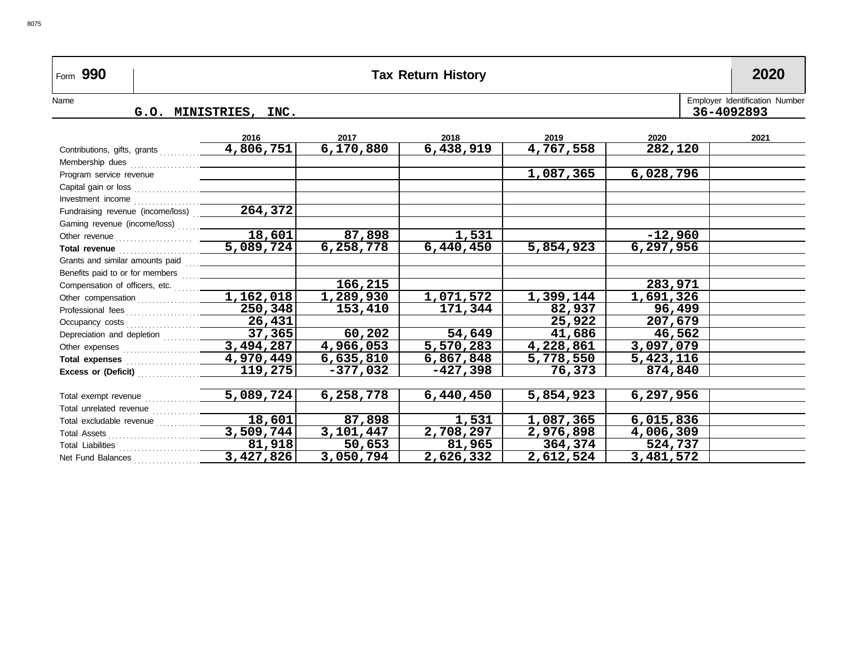| Form 990                                                                                                                                                                                                                             | <b>Tax Return History</b> |                        |            |           |                           |                                              |  |  |  |  |
|--------------------------------------------------------------------------------------------------------------------------------------------------------------------------------------------------------------------------------------|---------------------------|------------------------|------------|-----------|---------------------------|----------------------------------------------|--|--|--|--|
| Name                                                                                                                                                                                                                                 | G.O. MINISTRIES, INC.     |                        |            |           |                           | Employer Identification Number<br>36-4092893 |  |  |  |  |
|                                                                                                                                                                                                                                      | 2016                      | 2017                   | 2018       | 2019      | 2020                      | 2021                                         |  |  |  |  |
|                                                                                                                                                                                                                                      | 4,806,751                 | 6,170,880              | 6,438,919  | 4,767,558 | 282,120                   |                                              |  |  |  |  |
|                                                                                                                                                                                                                                      |                           |                        |            |           |                           |                                              |  |  |  |  |
| Program service revenue                                                                                                                                                                                                              |                           |                        |            | 1,087,365 | 6,028,796                 |                                              |  |  |  |  |
|                                                                                                                                                                                                                                      |                           |                        |            |           |                           |                                              |  |  |  |  |
|                                                                                                                                                                                                                                      |                           |                        |            |           |                           |                                              |  |  |  |  |
| Fundraising revenue (income/loss) 264,372                                                                                                                                                                                            |                           |                        |            |           |                           |                                              |  |  |  |  |
|                                                                                                                                                                                                                                      |                           |                        |            |           |                           |                                              |  |  |  |  |
|                                                                                                                                                                                                                                      | 18,601                    | 87,898                 | 1,531      |           | $-12,960$                 |                                              |  |  |  |  |
| Total revenue <b>contact and the contact of the contact of the contact of the contact of the contact of the contact of the contact of the contact of the contact of the contact of the contact of the contact of the contact of </b> | $\overline{5,089,724}$    | 6,258,778              | 6,440,450  | 5,854,923 | 6,297,956                 |                                              |  |  |  |  |
| Grants and similar amounts paid [11]                                                                                                                                                                                                 |                           |                        |            |           |                           |                                              |  |  |  |  |
|                                                                                                                                                                                                                                      |                           |                        |            |           |                           |                                              |  |  |  |  |
|                                                                                                                                                                                                                                      |                           | $\overline{166}$ , 215 |            |           | 283,971                   |                                              |  |  |  |  |
|                                                                                                                                                                                                                                      | 1,162,018                 | $\overline{1,}289,930$ | 1,071,572  | 1,399,144 | 1,691,326                 |                                              |  |  |  |  |
|                                                                                                                                                                                                                                      | $\sqrt{250, 348}$         | 153,410                | 171,344    | 82,937    | 96,499                    |                                              |  |  |  |  |
|                                                                                                                                                                                                                                      | $\overline{26, 431}$      |                        |            | 25,922    | 207,679                   |                                              |  |  |  |  |
|                                                                                                                                                                                                                                      | $\overline{37,365}$       | 60,202                 | 54,649     | 41,686    | 46,562                    |                                              |  |  |  |  |
|                                                                                                                                                                                                                                      | $\overline{3,494,287}$    | 4,966,053              | 5,570,283  | 4,228,861 | 3,097,079                 |                                              |  |  |  |  |
| Total expenses <b>contained</b> and the contact of the contact of the contact of the contact of the contact of the contact of the contact of the contact of the contact of the contact of the contact of the contact of the contact  | 4,970,449                 | 6,635,810              | 6,867,848  | 5,778,550 | $\overline{5}$ , 423, 116 |                                              |  |  |  |  |
|                                                                                                                                                                                                                                      | 119,275                   | $-377,032$             | $-427,398$ | 76,373    | 874,840                   |                                              |  |  |  |  |
|                                                                                                                                                                                                                                      |                           |                        |            |           |                           |                                              |  |  |  |  |
|                                                                                                                                                                                                                                      | 5,089,724                 | 6,258,778              | 6,440,450  | 5,854,923 | 6,297,956                 |                                              |  |  |  |  |
|                                                                                                                                                                                                                                      |                           |                        |            |           |                           |                                              |  |  |  |  |
|                                                                                                                                                                                                                                      | 18,601                    | 87,898                 | 1,531      | 1,087,365 | 6,015,836                 |                                              |  |  |  |  |
|                                                                                                                                                                                                                                      | $\overline{3,509,744}$    | 3,101,447              | 2,708,297  | 2,976,898 | 4,006,309                 |                                              |  |  |  |  |
|                                                                                                                                                                                                                                      | 81,918                    | 50,653                 | 81,965     | 364,374   | 524,737                   |                                              |  |  |  |  |
|                                                                                                                                                                                                                                      | 3,427,826                 | 3,050,794              | 2,626,332  | 2,612,524 | 3,481,572                 |                                              |  |  |  |  |

 $\Gamma$